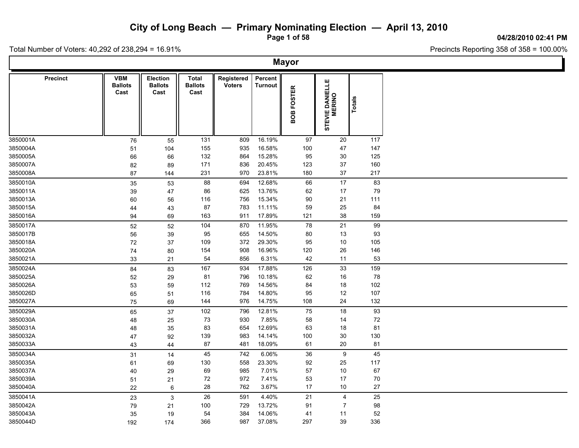**Page 1 of 58**

**04/28/2010 02:41 PM**

Ъ

Total Number of Voters: 40,292 of 238,294 = 16.91%

Г

|                 | <b>Mayor</b>                         |                                    |                                        |                             |                    |                      |                           |               |  |  |  |  |  |  |
|-----------------|--------------------------------------|------------------------------------|----------------------------------------|-----------------------------|--------------------|----------------------|---------------------------|---------------|--|--|--|--|--|--|
| <b>Precinct</b> | <b>VBM</b><br><b>Ballots</b><br>Cast | Election<br><b>Ballots</b><br>Cast | <b>Total</b><br><b>Ballots</b><br>Cast | Registered<br><b>Voters</b> | Percent<br>Turnout | <b>FOSTER</b><br>80B | STEVIE DANIELLE<br>MERINO | <b>Totals</b> |  |  |  |  |  |  |
| 3850001A        | 76                                   | 55                                 | 131                                    | 809                         | 16.19%             | 97                   | 20                        | 117           |  |  |  |  |  |  |
| 3850004A        | 51                                   | 104                                | 155                                    | 935                         | 16.58%             | 100                  | 47                        | 147           |  |  |  |  |  |  |
| 3850005A        | 66                                   | 66                                 | 132                                    | 864                         | 15.28%             | 95                   | 30                        | 125           |  |  |  |  |  |  |
| 3850007A        | 82                                   | 89                                 | 171                                    | 836                         | 20.45%             | 123                  | 37                        | 160           |  |  |  |  |  |  |
| 3850008A        | 87                                   | 144                                | 231                                    | 970                         | 23.81%             | 180                  | $37\,$                    | 217           |  |  |  |  |  |  |
| 3850010A        | 35                                   | 53                                 | 88                                     | 694                         | 12.68%             | 66                   | 17                        | 83            |  |  |  |  |  |  |
| 3850011A        | 39                                   | 47                                 | 86                                     | 625                         | 13.76%             | 62                   | 17                        | 79            |  |  |  |  |  |  |
| 3850013A        | 60                                   | 56                                 | 116                                    | 756                         | 15.34%             | 90                   | 21                        | 111           |  |  |  |  |  |  |
| 3850015A        | 44                                   | 43                                 | 87                                     | 783                         | 11.11%             | 59                   | 25                        | 84            |  |  |  |  |  |  |
| 3850016A        | 94                                   | 69                                 | 163                                    | 911                         | 17.89%             | 121                  | 38                        | 159           |  |  |  |  |  |  |
| 3850017A        | $52\,$                               | 52                                 | 104                                    | 870                         | 11.95%             | 78                   | 21                        | 99            |  |  |  |  |  |  |
| 3850017B        | 56                                   | 39                                 | 95                                     | 655                         | 14.50%             | 80                   | 13                        | 93            |  |  |  |  |  |  |
| 3850018A        | 72                                   | 37                                 | 109                                    | 372                         | 29.30%             | 95                   | 10                        | 105           |  |  |  |  |  |  |
| 3850020A        | 74                                   | 80                                 | 154                                    | 908                         | 16.96%             | 120                  | 26                        | 146           |  |  |  |  |  |  |
| 3850021A        | 33                                   | 21                                 | 54                                     | 856                         | 6.31%              | 42                   | 11                        | 53            |  |  |  |  |  |  |
| 3850024A        | 84                                   | 83                                 | 167                                    | 934                         | 17.88%             | 126                  | 33                        | 159           |  |  |  |  |  |  |
| 3850025A        | 52                                   | 29                                 | 81                                     | 796                         | 10.18%             | 62                   | 16                        | 78            |  |  |  |  |  |  |
| 3850026A        | 53                                   | 59                                 | 112                                    | 769                         | 14.56%             | 84                   | $18$                      | 102           |  |  |  |  |  |  |
| 3850026D        | 65                                   | 51                                 | 116                                    | 784                         | 14.80%             | 95                   | 12                        | 107           |  |  |  |  |  |  |
| 3850027A        | 75                                   | 69                                 | 144                                    | 976                         | 14.75%             | 108                  | 24                        | 132           |  |  |  |  |  |  |
| 3850029A        | 65                                   | 37                                 | 102                                    | 796                         | 12.81%             | 75                   | 18                        | 93            |  |  |  |  |  |  |
| 3850030A        | 48                                   | 25                                 | 73                                     | 930                         | 7.85%              | 58                   | 14                        | 72            |  |  |  |  |  |  |
| 3850031A        | 48                                   | 35                                 | 83                                     | 654                         | 12.69%             | 63                   | 18                        | 81            |  |  |  |  |  |  |
| 3850032A        | 47                                   | 92                                 | 139                                    | 983                         | 14.14%             | 100                  | 30                        | 130           |  |  |  |  |  |  |
| 3850033A        | 43                                   | 44                                 | 87                                     | 481                         | 18.09%             | 61                   | 20                        | 81            |  |  |  |  |  |  |
| 3850034A        | 31                                   | 14                                 | 45                                     | 742                         | 6.06%              | 36                   | 9                         | 45            |  |  |  |  |  |  |
| 3850035A        | 61                                   | 69                                 | 130                                    | 558                         | 23.30%             | 92                   | 25                        | 117           |  |  |  |  |  |  |
| 3850037A        | 40                                   | 29                                 | 69                                     | 985                         | 7.01%              | 57                   | $10\,$                    | 67            |  |  |  |  |  |  |
| 3850039A        | 51                                   | 21                                 | 72                                     | 972                         | 7.41%              | 53                   | 17                        | 70            |  |  |  |  |  |  |
| 3850040A        | 22                                   | 6                                  | 28                                     | 762                         | 3.67%              | 17                   | 10                        | 27            |  |  |  |  |  |  |
| 3850041A        | 23                                   | $\mathbf{3}$                       | 26                                     | 591                         | 4.40%              | 21                   | $\overline{4}$            | 25            |  |  |  |  |  |  |
| 3850042A        | 79                                   | 21                                 | 100                                    | 729                         | 13.72%             | 91                   | $\overline{7}$            | 98            |  |  |  |  |  |  |
| 3850043A        | 35                                   | 19                                 | 54                                     | 384                         | 14.06%             | 41                   | 11                        | 52            |  |  |  |  |  |  |
| 3850044D        | 192                                  | 174                                | 366                                    | 987                         | 37.08%             | 297                  | 39                        | 336           |  |  |  |  |  |  |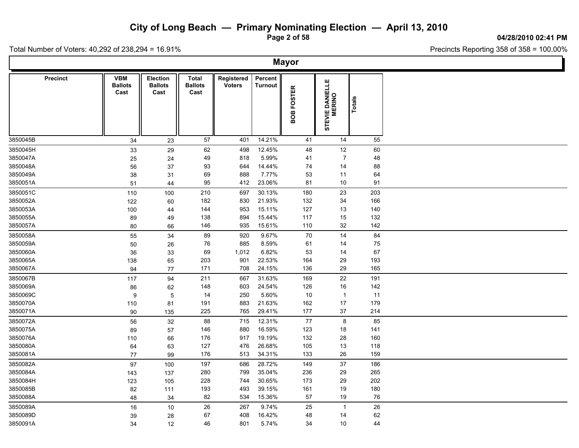**Page 2 of 58**

**04/28/2010 02:41 PM**

Ъ.

Total Number of Voters: 40,292 of 238,294 = 16.91%

Г

|                 | <b>Mayor</b>                         |                                           |                                 |                             |                           |            |                           |        |  |  |  |  |  |  |
|-----------------|--------------------------------------|-------------------------------------------|---------------------------------|-----------------------------|---------------------------|------------|---------------------------|--------|--|--|--|--|--|--|
| <b>Precinct</b> | <b>VBM</b><br><b>Ballots</b><br>Cast | <b>Election</b><br><b>Ballots</b><br>Cast | Total<br><b>Ballots</b><br>Cast | Registered<br><b>Voters</b> | Percent<br><b>Turnout</b> | BOB FOSTER | STEVIE DANIELLE<br>MERINO | Totals |  |  |  |  |  |  |
| 3850045B        | 34                                   | 23                                        | 57                              | 401                         | 14.21%                    | 41         | 14                        | 55     |  |  |  |  |  |  |
| 3850045H        | 33                                   | 29                                        | 62                              | 498                         | 12.45%                    | 48         | 12                        | 60     |  |  |  |  |  |  |
| 3850047A        | 25                                   | 24                                        | 49                              | 818                         | 5.99%                     | 41         | $\overline{7}$            | 48     |  |  |  |  |  |  |
| 3850048A        | 56                                   | 37                                        | 93                              | 644                         | 14.44%                    | 74         | 14                        | 88     |  |  |  |  |  |  |
| 3850049A        | 38                                   | 31                                        | 69                              | 888                         | 7.77%                     | 53         | 11                        | 64     |  |  |  |  |  |  |
| 3850051A        | 51                                   | 44                                        | 95                              | 412                         | 23.06%                    | 81         | 10                        | 91     |  |  |  |  |  |  |
| 3850051C        | 110                                  | 100                                       | 210                             | 697                         | 30.13%                    | 180        | 23                        | 203    |  |  |  |  |  |  |
| 3850052A        | 122                                  | 60                                        | 182                             | 830                         | 21.93%                    | 132        | 34                        | 166    |  |  |  |  |  |  |
| 3850053A        | 100                                  | 44                                        | 144                             | 953                         | 15.11%                    | 127        | 13                        | 140    |  |  |  |  |  |  |
| 3850055A        | 89                                   | 49                                        | 138                             | 894                         | 15.44%                    | 117        | 15                        | 132    |  |  |  |  |  |  |
| 3850057A        | 80                                   | 66                                        | 146                             | 935                         | 15.61%                    | 110        | 32                        | 142    |  |  |  |  |  |  |
| 3850058A        | 55                                   | 34                                        | 89                              | 920                         | 9.67%                     | 70         | 14                        | 84     |  |  |  |  |  |  |
| 3850059A        | 50                                   | 26                                        | 76                              | 885                         | 8.59%                     | 61         | 14                        | 75     |  |  |  |  |  |  |
| 3850060A        | 36                                   | 33                                        | 69                              | 1,012                       | 6.82%                     | 53         | 14                        | 67     |  |  |  |  |  |  |
| 3850065A        | 138                                  | 65                                        | 203                             | 901                         | 22.53%                    | 164        | 29                        | 193    |  |  |  |  |  |  |
| 3850067A        | 94                                   | 77                                        | 171                             | 708                         | 24.15%                    | 136        | 29                        | 165    |  |  |  |  |  |  |
| 3850067B        | 117                                  | 94                                        | 211                             | 667                         | 31.63%                    | 169        | 22                        | 191    |  |  |  |  |  |  |
| 3850069A        | 86                                   | 62                                        | 148                             | 603                         | 24.54%                    | 126        | 16                        | 142    |  |  |  |  |  |  |
| 3850069C        | 9                                    | 5                                         | 14                              | 250                         | 5.60%                     | 10         | $\overline{1}$            | 11     |  |  |  |  |  |  |
| 3850070A        | 110                                  | 81                                        | 191                             | 883                         | 21.63%                    | 162        | 17                        | 179    |  |  |  |  |  |  |
| 3850071A        | 90                                   | 135                                       | 225                             | 765                         | 29.41%                    | 177        | 37                        | 214    |  |  |  |  |  |  |
| 3850072A        | 56                                   | 32                                        | 88                              | 715                         | 12.31%                    | 77         | 8                         | 85     |  |  |  |  |  |  |
| 3850075A        | 89                                   | 57                                        | 146                             | 880                         | 16.59%                    | 123        | 18                        | 141    |  |  |  |  |  |  |
| 3850076A        | 110                                  | 66                                        | 176                             | 917                         | 19.19%                    | 132        | 28                        | 160    |  |  |  |  |  |  |
| 3850080A        | 64                                   | 63                                        | 127                             | 476                         | 26.68%                    | 105        | 13                        | 118    |  |  |  |  |  |  |
| 3850081A        | $77\,$                               | 99                                        | 176                             | 513                         | 34.31%                    | 133        | 26                        | 159    |  |  |  |  |  |  |
| 3850082A        | $97\,$                               | 100                                       | 197                             | 686                         | 28.72%                    | 149        | 37                        | 186    |  |  |  |  |  |  |
| 3850084A        | 143                                  | 137                                       | 280                             | 799                         | 35.04%                    | 236        | 29                        | 265    |  |  |  |  |  |  |
| 3850084H        | 123                                  | 105                                       | 228                             | 744                         | 30.65%                    | 173        | 29                        | 202    |  |  |  |  |  |  |
| 3850085B        | 82                                   | 111                                       | 193                             | 493                         | 39.15%                    | 161        | 19                        | 180    |  |  |  |  |  |  |
| 3850088A        | 48                                   | 34                                        | 82                              | 534                         | 15.36%                    | 57         | 19                        | 76     |  |  |  |  |  |  |
| 3850089A        | 16                                   | 10                                        | 26                              | 267                         | 9.74%                     | 25         | $\overline{1}$            | 26     |  |  |  |  |  |  |
| 3850089D        | 39                                   | 28                                        | 67                              | 408                         | 16.42%                    | 48         | 14                        | 62     |  |  |  |  |  |  |
| 3850091A        | 34                                   | 12                                        | 46                              | 801                         | 5.74%                     | 34         | 10                        | 44     |  |  |  |  |  |  |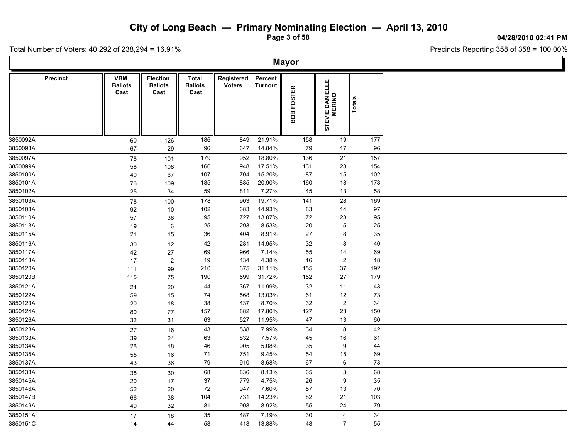**Page 3 of 58**

**04/28/2010 02:41 PM**

Total Number of Voters: 40,292 of 238,294 = 16.91%

|                 |                                      |                                    |                                        |                             |                           | <b>Mayor</b>         |                           |        |  |
|-----------------|--------------------------------------|------------------------------------|----------------------------------------|-----------------------------|---------------------------|----------------------|---------------------------|--------|--|
| <b>Precinct</b> | <b>VBM</b><br><b>Ballots</b><br>Cast | Election<br><b>Ballots</b><br>Cast | <b>Total</b><br><b>Ballots</b><br>Cast | Registered<br><b>Voters</b> | Percent<br><b>Turnout</b> | <b>FOSTER</b><br>80B | STEVIE DANIELLE<br>MERINO | Totals |  |
| 3850092A        | 60                                   | 126                                | 186                                    | 849                         | 21.91%                    | 158                  | 19                        | 177    |  |
| 3850093A        | 67                                   | 29                                 | 96                                     | 647                         | 14.84%                    | 79                   | 17                        | 96     |  |
| 3850097A        | 78                                   | 101                                | 179                                    | 952                         | 18.80%                    | 136                  | 21                        | 157    |  |
| 3850099A        | 58                                   | 108                                | 166                                    | 948                         | 17.51%                    | 131                  | 23                        | 154    |  |
| 3850100A        | 40                                   | 67                                 | 107                                    | 704                         | 15.20%                    | 87                   | 15                        | 102    |  |
| 3850101A        | 76                                   | 109                                | 185                                    | 885                         | 20.90%                    | 160                  | 18                        | 178    |  |
| 3850102A        | 25                                   | 34                                 | 59                                     | 811                         | 7.27%                     | 45                   | 13                        | 58     |  |
| 3850103A        | 78                                   | 100                                | 178                                    | 903                         | 19.71%                    | 141                  | 28                        | 169    |  |
| 3850108A        | 92                                   | 10                                 | 102                                    | 683                         | 14.93%                    | 83                   | 14                        | 97     |  |
| 3850110A        | 57                                   | 38                                 | 95                                     | 727                         | 13.07%                    | 72                   | 23                        | 95     |  |
| 3850113A        | 19                                   | 6                                  | 25                                     | 293                         | 8.53%                     | 20                   | $\overline{5}$            | 25     |  |
| 3850115A        | 21                                   | 15                                 | $36\,$                                 | 404                         | 8.91%                     | 27                   | 8                         | 35     |  |
| 3850116A        | $30\,$                               | 12                                 | 42                                     | 281                         | 14.95%                    | 32                   | 8                         | 40     |  |
| 3850117A        | 42                                   | 27                                 | 69                                     | 966                         | 7.14%                     | 55                   | 14                        | 69     |  |
| 3850118A        | 17                                   | $\boldsymbol{2}$                   | 19                                     | 434                         | 4.38%                     | $16\,$               | $\overline{c}$            | 18     |  |
| 3850120A        | 111                                  | 99                                 | 210                                    | 675                         | 31.11%                    | 155                  | 37                        | 192    |  |
| 3850120B        | 115                                  | 75                                 | 190                                    | 599                         | 31.72%                    | 152                  | 27                        | 179    |  |
| 3850121A        | 24                                   | 20                                 | 44                                     | 367                         | 11.99%                    | 32                   | 11                        | 43     |  |
| 3850122A        | 59                                   | 15                                 | 74                                     | 568                         | 13.03%                    | 61                   | 12                        | 73     |  |
| 3850123A        | 20                                   | 18                                 | 38                                     | 437                         | 8.70%                     | 32                   | $\overline{c}$            | 34     |  |
| 3850124A        | 80                                   | 77                                 | 157                                    | 882                         | 17.80%                    | 127                  | 23                        | 150    |  |
| 3850126A        | 32                                   | 31                                 | 63                                     | 527                         | 11.95%                    | 47                   | 13                        | 60     |  |
| 3850128A        | 27                                   | 16                                 | 43                                     | 538                         | 7.99%                     | 34                   | $\bf 8$                   | 42     |  |
| 3850133A        | 39                                   | 24                                 | 63                                     | 832                         | 7.57%                     | 45                   | 16                        | 61     |  |
| 3850134A        | 28                                   | 18                                 | 46                                     | 905                         | 5.08%                     | 35                   | 9                         | 44     |  |
| 3850135A        | 55                                   | 16                                 | 71                                     | 751                         | 9.45%                     | 54                   | 15                        | 69     |  |
| 3850137A        | 43                                   | 36                                 | 79                                     | 910                         | 8.68%                     | 67                   | 6                         | 73     |  |
| 3850138A        | 38                                   | 30                                 | 68                                     | 836                         | 8.13%                     | 65                   | 3                         | 68     |  |
| 3850145A        | 20                                   | 17                                 | 37                                     | 779                         | 4.75%                     | 26                   | $\boldsymbol{9}$          | 35     |  |
| 3850146A        | 52                                   | 20                                 | 72                                     | 947                         | 7.60%                     | 57                   | 13                        | 70     |  |
| 3850147B        | 66                                   | 38                                 | 104                                    | 731                         | 14.23%                    | 82                   | 21                        | 103    |  |
| 3850149A        | 49                                   | 32                                 | 81                                     | 908                         | 8.92%                     | 55                   | 24                        | 79     |  |
| 3850151A        | 17                                   | 18                                 | 35                                     | 487                         | 7.19%                     | 30                   | 4                         | 34     |  |
| 3850151C        | 14                                   | 44                                 | 58                                     | 418                         | 13.88%                    | 48                   | $\overline{7}$            | 55     |  |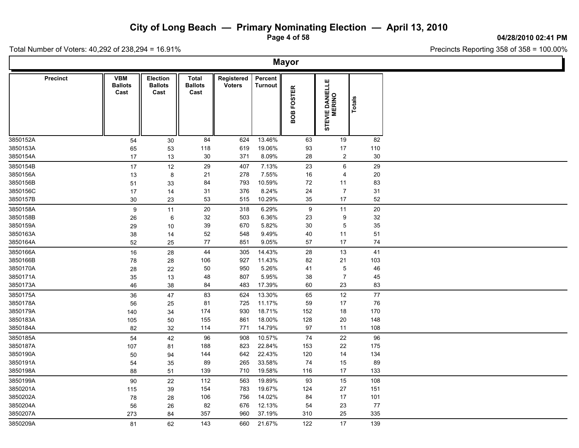**Page 4 of 58**

**04/28/2010 02:41 PM**

Total Number of Voters: 40,292 of 238,294 = 16.91%

|                 |                                      |                                           |                                        |                             |                           | <b>Mayor</b>                      |                           |        |  |
|-----------------|--------------------------------------|-------------------------------------------|----------------------------------------|-----------------------------|---------------------------|-----------------------------------|---------------------------|--------|--|
| <b>Precinct</b> | <b>VBM</b><br><b>Ballots</b><br>Cast | <b>Election</b><br><b>Ballots</b><br>Cast | <b>Total</b><br><b>Ballots</b><br>Cast | Registered<br><b>Voters</b> | Percent<br><b>Turnout</b> | <b>FOSTER</b><br>BOB <sub>I</sub> | STEVIE DANIELLE<br>MERINO | Totals |  |
| 3850152A        | 54                                   | 30                                        | 84                                     | 624                         | 13.46%                    | 63                                | 19                        | 82     |  |
| 3850153A        | 65                                   | 53                                        | 118                                    | 619                         | 19.06%                    | 93                                | 17                        | 110    |  |
| 3850154A        | $17\,$                               | 13                                        | 30                                     | 371                         | 8.09%                     | 28                                | $\overline{2}$            | 30     |  |
| 3850154B        | 17                                   | 12                                        | 29                                     | 407                         | 7.13%                     | 23                                | 6                         | 29     |  |
| 3850156A        | 13                                   | 8                                         | 21                                     | 278                         | 7.55%                     | 16                                | 4                         | 20     |  |
| 3850156B        | 51                                   | 33                                        | 84                                     | 793                         | 10.59%                    | $72\,$                            | 11                        | 83     |  |
| 3850156C        | 17                                   | 14                                        | 31                                     | 376                         | 8.24%                     | 24                                | $\overline{7}$            | 31     |  |
| 3850157B        | 30                                   | 23                                        | 53                                     | 515                         | 10.29%                    | 35                                | 17                        | 52     |  |
| 3850158A        | $\boldsymbol{9}$                     | 11                                        | $20\,$                                 | 318                         | 6.29%                     | 9                                 | 11                        | 20     |  |
| 3850158B        | $26\,$                               | 6                                         | 32                                     | 503                         | 6.36%                     | 23                                | 9                         | 32     |  |
| 3850159A        | 29                                   | 10                                        | 39                                     | 670                         | 5.82%                     | 30                                | $\,$ 5 $\,$               | 35     |  |
| 3850163A        | 38                                   | 14                                        | 52                                     | 548                         | 9.49%                     | 40                                | 11                        | 51     |  |
| 3850164A        | 52                                   | 25                                        | 77                                     | 851                         | 9.05%                     | 57                                | 17                        | 74     |  |
| 3850166A        | 16                                   | 28                                        | 44                                     | 305                         | 14.43%                    | 28                                | 13                        | 41     |  |
| 3850166B        | 78                                   | 28                                        | 106                                    | 927                         | 11.43%                    | 82                                | 21                        | 103    |  |
| 3850170A        | 28                                   | 22                                        | 50                                     | 950                         | 5.26%                     | 41                                | $\,$ 5 $\,$               | 46     |  |
| 3850171A        | 35                                   | 13                                        | 48                                     | 807                         | 5.95%                     | 38                                | $\overline{7}$            | 45     |  |
| 3850173A        | 46                                   | 38                                        | 84                                     | 483                         | 17.39%                    | 60                                | 23                        | 83     |  |
| 3850175A        | 36                                   | 47                                        | 83                                     | 624                         | 13.30%                    | 65                                | 12                        | 77     |  |
| 3850178A        | 56                                   | 25                                        | 81                                     | 725                         | 11.17%                    | 59                                | 17                        | 76     |  |
| 3850179A        | 140                                  | 34                                        | 174                                    | 930                         | 18.71%                    | 152                               | 18                        | 170    |  |
| 3850183A        | 105                                  | 50                                        | 155                                    | 861                         | 18.00%                    | 128                               | 20                        | 148    |  |
| 3850184A        | 82                                   | 32                                        | 114                                    | 771                         | 14.79%                    | 97                                | 11                        | 108    |  |
| 3850185A        | 54                                   | 42                                        | 96                                     | 908                         | 10.57%                    | 74                                | 22                        | 96     |  |
| 3850187A        | 107                                  | 81                                        | 188                                    | 823                         | 22.84%                    | 153                               | 22                        | 175    |  |
| 3850190A        | 50                                   | 94                                        | 144                                    | 642                         | 22.43%                    | 120                               | 14                        | 134    |  |
| 3850191A        | 54                                   | 35                                        | 89                                     | 265                         | 33.58%                    | 74                                | 15                        | 89     |  |
| 3850198A        | 88                                   | 51                                        | 139                                    | 710                         | 19.58%                    | 116                               | 17                        | 133    |  |
| 3850199A        | 90                                   | 22                                        | 112                                    | 563                         | 19.89%                    | 93                                | 15                        | 108    |  |
| 3850201A        | 115                                  | 39                                        | 154                                    | 783                         | 19.67%                    | 124                               | 27                        | 151    |  |
| 3850202A        | 78                                   | 28                                        | 106                                    | 756                         | 14.02%                    | 84                                | 17                        | 101    |  |
| 3850204A        | 56                                   | 26                                        | 82                                     | 676                         | 12.13%                    | 54                                | 23                        | 77     |  |
| 3850207A        | 273                                  | 84                                        | 357                                    | 960                         | 37.19%                    | 310                               | 25                        | 335    |  |
| 3850209A        | 81                                   | 62                                        | 143                                    | 660                         | 21.67%                    | 122                               | 17                        | 139    |  |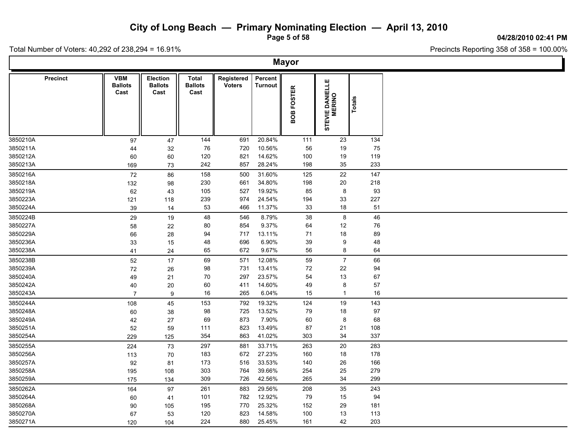**Page 5 of 58**

**04/28/2010 02:41 PM**

Ъ.

Total Number of Voters: 40,292 of 238,294 = 16.91%

Г

| <b>Mayor</b>    |                                      |                                           |                                 |                             |                    |            |                           |        |  |  |  |  |  |
|-----------------|--------------------------------------|-------------------------------------------|---------------------------------|-----------------------------|--------------------|------------|---------------------------|--------|--|--|--|--|--|
| <b>Precinct</b> | <b>VBM</b><br><b>Ballots</b><br>Cast | <b>Election</b><br><b>Ballots</b><br>Cast | Total<br><b>Ballots</b><br>Cast | Registered<br><b>Voters</b> | Percent<br>Turnout | BOB FOSTER | STEVIE DANIELLE<br>MERINO | Totals |  |  |  |  |  |
| 3850210A        | 97                                   | 47                                        | 144                             | 691                         | 20.84%             | 111        | 23                        | 134    |  |  |  |  |  |
| 3850211A        | 44                                   | 32                                        | 76                              | 720                         | 10.56%             | 56         | 19                        | 75     |  |  |  |  |  |
| 3850212A        | 60                                   | 60                                        | 120                             | 821                         | 14.62%             | 100        | 19                        | 119    |  |  |  |  |  |
| 3850213A        | 169                                  | 73                                        | 242                             | 857                         | 28.24%             | 198        | 35                        | 233    |  |  |  |  |  |
| 3850216A        | 72                                   | 86                                        | 158                             | 500                         | 31.60%             | 125        | 22                        | 147    |  |  |  |  |  |
| 3850218A        | 132                                  | 98                                        | 230                             | 661                         | 34.80%             | 198        | $20\,$                    | 218    |  |  |  |  |  |
| 3850219A        | 62                                   | 43                                        | 105                             | 527                         | 19.92%             | 85         | 8                         | 93     |  |  |  |  |  |
| 3850223A        | 121                                  | 118                                       | 239                             | 974                         | 24.54%             | 194        | 33                        | 227    |  |  |  |  |  |
| 3850224A        | 39                                   | 14                                        | 53                              | 466                         | 11.37%             | 33         | 18                        | 51     |  |  |  |  |  |
| 3850224B        | 29                                   | 19                                        | 48                              | 546                         | 8.79%              | 38         | 8                         | 46     |  |  |  |  |  |
| 3850227A        | 58                                   | 22                                        | 80                              | 854                         | 9.37%              | 64         | 12                        | 76     |  |  |  |  |  |
| 3850229A        | 66                                   | 28                                        | 94                              | 717                         | 13.11%             | 71         | $18$                      | 89     |  |  |  |  |  |
| 3850236A        | 33                                   | 15                                        | 48                              | 696                         | 6.90%              | $39\,$     | 9                         | 48     |  |  |  |  |  |
| 3850238A        | 41                                   | 24                                        | 65                              | 672                         | 9.67%              | 56         | 8                         | 64     |  |  |  |  |  |
| 3850238B        | 52                                   | 17                                        | 69                              | 571                         | 12.08%             | 59         | $\overline{7}$            | 66     |  |  |  |  |  |
| 3850239A        | 72                                   | 26                                        | 98                              | 731                         | 13.41%             | 72         | 22                        | 94     |  |  |  |  |  |
| 3850240A        | 49                                   | 21                                        | 70                              | 297                         | 23.57%             | 54         | 13                        | 67     |  |  |  |  |  |
| 3850242A        | 40                                   | 20                                        | 60                              | 411                         | 14.60%             | 49         | 8                         | 57     |  |  |  |  |  |
| 3850243A        | $\overline{7}$                       | 9                                         | 16                              | 265                         | 6.04%              | 15         | $\mathbf{1}$              | 16     |  |  |  |  |  |
| 3850244A        | 108                                  | 45                                        | 153                             | 792                         | 19.32%             | 124        | 19                        | 143    |  |  |  |  |  |
| 3850248A        | 60                                   | 38                                        | 98                              | 725                         | 13.52%             | 79         | 18                        | 97     |  |  |  |  |  |
| 3850249A        | 42                                   | 27                                        | 69                              | 873                         | 7.90%              | 60         | $\bf 8$                   | 68     |  |  |  |  |  |
| 3850251A        | 52                                   | 59                                        | 111                             | 823                         | 13.49%             | 87         | 21                        | 108    |  |  |  |  |  |
| 3850254A        | 229                                  | 125                                       | 354                             | 863                         | 41.02%             | 303        | 34                        | 337    |  |  |  |  |  |
| 3850255A        | 224                                  | 73                                        | 297                             | 881                         | 33.71%             | 263        | $20\,$                    | 283    |  |  |  |  |  |
| 3850256A        | 113                                  | 70                                        | 183                             | 672                         | 27.23%             | 160        | 18                        | 178    |  |  |  |  |  |
| 3850257A        | 92                                   | 81                                        | 173                             | 516                         | 33.53%             | 140        | 26                        | 166    |  |  |  |  |  |
| 3850258A        | 195                                  | 108                                       | 303                             | 764                         | 39.66%             | 254        | 25                        | 279    |  |  |  |  |  |
| 3850259A        | 175                                  | 134                                       | 309                             | 726                         | 42.56%             | 265        | 34                        | 299    |  |  |  |  |  |
| 3850262A        | 164                                  | 97                                        | 261                             | 883                         | 29.56%             | 208        | 35                        | 243    |  |  |  |  |  |
| 3850264A        | 60                                   | 41                                        | 101                             | 782                         | 12.92%             | 79         | 15                        | 94     |  |  |  |  |  |
| 3850268A        | 90                                   | 105                                       | 195                             | 770                         | 25.32%             | 152        | 29                        | 181    |  |  |  |  |  |
| 3850270A        | 67                                   | 53                                        | 120                             | 823                         | 14.58%             | 100        | 13                        | 113    |  |  |  |  |  |
| 3850271A        | 120                                  | 104                                       | 224                             | 880                         | 25.45%             | 161        | 42                        | 203    |  |  |  |  |  |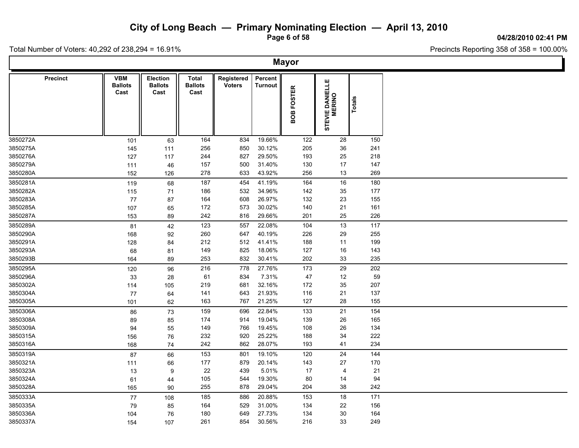**Page 6 of 58**

**04/28/2010 02:41 PM**

T

Total Number of Voters: 40,292 of 238,294 = 16.91%

 $\mathsf{L}$ 

| Percent<br><b>Precinct</b><br><b>VBM</b><br><b>Election</b><br>Total<br>Registered<br>STEVIE DANIELLE<br>MERINO<br><b>Ballots</b><br><b>Ballots</b><br><b>Ballots</b><br><b>Voters</b><br><b>Turnout</b><br>BOB FOSTER<br>Cast<br>Cast<br>Cast<br>Totals<br>19.66%<br>122<br>150<br>164<br>834<br>28<br>101<br>63<br>256<br>850<br>30.12%<br>205<br>36<br>241<br>145<br>111<br>29.50%<br>25<br>218<br>244<br>827<br>193<br>127<br>117<br>3850279A<br>500<br>31.40%<br>130<br>17<br>147<br>157<br>111<br>46<br>633<br>43.92%<br>13<br>269<br>278<br>256<br>152<br>126<br>187<br>41.19%<br>16<br>180<br>454<br>164<br>119<br>68<br>186<br>532<br>34.96%<br>177<br>142<br>35<br>115<br>71<br>608<br>26.97%<br>132<br>23<br>155<br>77<br>164<br>87<br>172<br>573<br>30.02%<br>140<br>21<br>161<br>107<br>65<br>226<br>242<br>29.66%<br>201<br>25<br>816<br>153<br>89<br>123<br>22.08%<br>13<br>117<br>557<br>104<br>42<br>81<br>260<br>647<br>40.19%<br>226<br>29<br>255<br>168<br>92<br>512<br>41.41%<br>199<br>212<br>188<br>11<br>128<br>84<br>825<br>18.06%<br>127<br>$16\,$<br>143<br>149<br>68<br>81<br>253<br>832<br>30.41%<br>202<br>33<br>235<br>164<br>89<br>27.76%<br>29<br>202<br>96<br>216<br>778<br>173<br>120<br>7.31%<br>59<br>61<br>834<br>47<br>12<br>33<br>28<br>32.16%<br>172<br>35<br>207<br>219<br>681<br>114<br>105<br>21.93%<br>643<br>116<br>21<br>137<br>77<br>141<br>64<br>163<br>767<br>21.25%<br>127<br>28<br>155<br>101<br>62<br>22.84%<br>154<br>159<br>696<br>133<br>21<br>86<br>73<br>19.04%<br>165<br>174<br>914<br>139<br>26<br>89<br>85<br>19.45%<br>149<br>766<br>108<br>$26\,$<br>134<br>94<br>55<br>34<br>232<br>920<br>25.22%<br>188<br>222<br>76<br>156<br>28.07%<br>234<br>242<br>862<br>193<br>41<br>168<br>74<br>24<br>153<br>144<br>801<br>19.10%<br>120<br>87<br>66<br>$177$<br>879<br>20.14%<br>143<br>27<br>170<br>111<br>66<br>22<br>439<br>5.01%<br>17<br>21<br>13<br>9<br>$\overline{4}$<br>19.30%<br>80<br>105<br>544<br>94<br>14<br>61<br>44<br>255<br>878<br>29.04%<br>204<br>38<br>242<br>165<br>90<br>185<br>20.88%<br>171<br>77<br>886<br>153<br>18<br>108<br>164<br>529<br>31.00%<br>134<br>22<br>156<br>79<br>85<br>27.73%<br>30<br>164<br>180<br>649<br>134<br>104<br>76 |          | <b>Mayor</b> |     |     |     |        |     |    |     |  |  |  |  |  |  |
|----------------------------------------------------------------------------------------------------------------------------------------------------------------------------------------------------------------------------------------------------------------------------------------------------------------------------------------------------------------------------------------------------------------------------------------------------------------------------------------------------------------------------------------------------------------------------------------------------------------------------------------------------------------------------------------------------------------------------------------------------------------------------------------------------------------------------------------------------------------------------------------------------------------------------------------------------------------------------------------------------------------------------------------------------------------------------------------------------------------------------------------------------------------------------------------------------------------------------------------------------------------------------------------------------------------------------------------------------------------------------------------------------------------------------------------------------------------------------------------------------------------------------------------------------------------------------------------------------------------------------------------------------------------------------------------------------------------------------------------------------------------------------------------------------------------------------------------------------------------------------------------------------------------------------------------------------------------------------------------------------------------------------------------------------------------------------------------------------------------------------------------------------------------------------------------------------------------------------------|----------|--------------|-----|-----|-----|--------|-----|----|-----|--|--|--|--|--|--|
|                                                                                                                                                                                                                                                                                                                                                                                                                                                                                                                                                                                                                                                                                                                                                                                                                                                                                                                                                                                                                                                                                                                                                                                                                                                                                                                                                                                                                                                                                                                                                                                                                                                                                                                                                                                                                                                                                                                                                                                                                                                                                                                                                                                                                                  |          |              |     |     |     |        |     |    |     |  |  |  |  |  |  |
|                                                                                                                                                                                                                                                                                                                                                                                                                                                                                                                                                                                                                                                                                                                                                                                                                                                                                                                                                                                                                                                                                                                                                                                                                                                                                                                                                                                                                                                                                                                                                                                                                                                                                                                                                                                                                                                                                                                                                                                                                                                                                                                                                                                                                                  | 3850272A |              |     |     |     |        |     |    |     |  |  |  |  |  |  |
|                                                                                                                                                                                                                                                                                                                                                                                                                                                                                                                                                                                                                                                                                                                                                                                                                                                                                                                                                                                                                                                                                                                                                                                                                                                                                                                                                                                                                                                                                                                                                                                                                                                                                                                                                                                                                                                                                                                                                                                                                                                                                                                                                                                                                                  | 3850275A |              |     |     |     |        |     |    |     |  |  |  |  |  |  |
|                                                                                                                                                                                                                                                                                                                                                                                                                                                                                                                                                                                                                                                                                                                                                                                                                                                                                                                                                                                                                                                                                                                                                                                                                                                                                                                                                                                                                                                                                                                                                                                                                                                                                                                                                                                                                                                                                                                                                                                                                                                                                                                                                                                                                                  | 3850276A |              |     |     |     |        |     |    |     |  |  |  |  |  |  |
|                                                                                                                                                                                                                                                                                                                                                                                                                                                                                                                                                                                                                                                                                                                                                                                                                                                                                                                                                                                                                                                                                                                                                                                                                                                                                                                                                                                                                                                                                                                                                                                                                                                                                                                                                                                                                                                                                                                                                                                                                                                                                                                                                                                                                                  |          |              |     |     |     |        |     |    |     |  |  |  |  |  |  |
|                                                                                                                                                                                                                                                                                                                                                                                                                                                                                                                                                                                                                                                                                                                                                                                                                                                                                                                                                                                                                                                                                                                                                                                                                                                                                                                                                                                                                                                                                                                                                                                                                                                                                                                                                                                                                                                                                                                                                                                                                                                                                                                                                                                                                                  | 3850280A |              |     |     |     |        |     |    |     |  |  |  |  |  |  |
|                                                                                                                                                                                                                                                                                                                                                                                                                                                                                                                                                                                                                                                                                                                                                                                                                                                                                                                                                                                                                                                                                                                                                                                                                                                                                                                                                                                                                                                                                                                                                                                                                                                                                                                                                                                                                                                                                                                                                                                                                                                                                                                                                                                                                                  | 3850281A |              |     |     |     |        |     |    |     |  |  |  |  |  |  |
|                                                                                                                                                                                                                                                                                                                                                                                                                                                                                                                                                                                                                                                                                                                                                                                                                                                                                                                                                                                                                                                                                                                                                                                                                                                                                                                                                                                                                                                                                                                                                                                                                                                                                                                                                                                                                                                                                                                                                                                                                                                                                                                                                                                                                                  | 3850282A |              |     |     |     |        |     |    |     |  |  |  |  |  |  |
|                                                                                                                                                                                                                                                                                                                                                                                                                                                                                                                                                                                                                                                                                                                                                                                                                                                                                                                                                                                                                                                                                                                                                                                                                                                                                                                                                                                                                                                                                                                                                                                                                                                                                                                                                                                                                                                                                                                                                                                                                                                                                                                                                                                                                                  | 3850283A |              |     |     |     |        |     |    |     |  |  |  |  |  |  |
|                                                                                                                                                                                                                                                                                                                                                                                                                                                                                                                                                                                                                                                                                                                                                                                                                                                                                                                                                                                                                                                                                                                                                                                                                                                                                                                                                                                                                                                                                                                                                                                                                                                                                                                                                                                                                                                                                                                                                                                                                                                                                                                                                                                                                                  | 3850285A |              |     |     |     |        |     |    |     |  |  |  |  |  |  |
|                                                                                                                                                                                                                                                                                                                                                                                                                                                                                                                                                                                                                                                                                                                                                                                                                                                                                                                                                                                                                                                                                                                                                                                                                                                                                                                                                                                                                                                                                                                                                                                                                                                                                                                                                                                                                                                                                                                                                                                                                                                                                                                                                                                                                                  | 3850287A |              |     |     |     |        |     |    |     |  |  |  |  |  |  |
|                                                                                                                                                                                                                                                                                                                                                                                                                                                                                                                                                                                                                                                                                                                                                                                                                                                                                                                                                                                                                                                                                                                                                                                                                                                                                                                                                                                                                                                                                                                                                                                                                                                                                                                                                                                                                                                                                                                                                                                                                                                                                                                                                                                                                                  | 3850289A |              |     |     |     |        |     |    |     |  |  |  |  |  |  |
|                                                                                                                                                                                                                                                                                                                                                                                                                                                                                                                                                                                                                                                                                                                                                                                                                                                                                                                                                                                                                                                                                                                                                                                                                                                                                                                                                                                                                                                                                                                                                                                                                                                                                                                                                                                                                                                                                                                                                                                                                                                                                                                                                                                                                                  | 3850290A |              |     |     |     |        |     |    |     |  |  |  |  |  |  |
|                                                                                                                                                                                                                                                                                                                                                                                                                                                                                                                                                                                                                                                                                                                                                                                                                                                                                                                                                                                                                                                                                                                                                                                                                                                                                                                                                                                                                                                                                                                                                                                                                                                                                                                                                                                                                                                                                                                                                                                                                                                                                                                                                                                                                                  | 3850291A |              |     |     |     |        |     |    |     |  |  |  |  |  |  |
|                                                                                                                                                                                                                                                                                                                                                                                                                                                                                                                                                                                                                                                                                                                                                                                                                                                                                                                                                                                                                                                                                                                                                                                                                                                                                                                                                                                                                                                                                                                                                                                                                                                                                                                                                                                                                                                                                                                                                                                                                                                                                                                                                                                                                                  | 3850293A |              |     |     |     |        |     |    |     |  |  |  |  |  |  |
|                                                                                                                                                                                                                                                                                                                                                                                                                                                                                                                                                                                                                                                                                                                                                                                                                                                                                                                                                                                                                                                                                                                                                                                                                                                                                                                                                                                                                                                                                                                                                                                                                                                                                                                                                                                                                                                                                                                                                                                                                                                                                                                                                                                                                                  | 3850293B |              |     |     |     |        |     |    |     |  |  |  |  |  |  |
|                                                                                                                                                                                                                                                                                                                                                                                                                                                                                                                                                                                                                                                                                                                                                                                                                                                                                                                                                                                                                                                                                                                                                                                                                                                                                                                                                                                                                                                                                                                                                                                                                                                                                                                                                                                                                                                                                                                                                                                                                                                                                                                                                                                                                                  | 3850295A |              |     |     |     |        |     |    |     |  |  |  |  |  |  |
|                                                                                                                                                                                                                                                                                                                                                                                                                                                                                                                                                                                                                                                                                                                                                                                                                                                                                                                                                                                                                                                                                                                                                                                                                                                                                                                                                                                                                                                                                                                                                                                                                                                                                                                                                                                                                                                                                                                                                                                                                                                                                                                                                                                                                                  | 3850296A |              |     |     |     |        |     |    |     |  |  |  |  |  |  |
|                                                                                                                                                                                                                                                                                                                                                                                                                                                                                                                                                                                                                                                                                                                                                                                                                                                                                                                                                                                                                                                                                                                                                                                                                                                                                                                                                                                                                                                                                                                                                                                                                                                                                                                                                                                                                                                                                                                                                                                                                                                                                                                                                                                                                                  | 3850302A |              |     |     |     |        |     |    |     |  |  |  |  |  |  |
|                                                                                                                                                                                                                                                                                                                                                                                                                                                                                                                                                                                                                                                                                                                                                                                                                                                                                                                                                                                                                                                                                                                                                                                                                                                                                                                                                                                                                                                                                                                                                                                                                                                                                                                                                                                                                                                                                                                                                                                                                                                                                                                                                                                                                                  | 3850304A |              |     |     |     |        |     |    |     |  |  |  |  |  |  |
|                                                                                                                                                                                                                                                                                                                                                                                                                                                                                                                                                                                                                                                                                                                                                                                                                                                                                                                                                                                                                                                                                                                                                                                                                                                                                                                                                                                                                                                                                                                                                                                                                                                                                                                                                                                                                                                                                                                                                                                                                                                                                                                                                                                                                                  | 3850305A |              |     |     |     |        |     |    |     |  |  |  |  |  |  |
|                                                                                                                                                                                                                                                                                                                                                                                                                                                                                                                                                                                                                                                                                                                                                                                                                                                                                                                                                                                                                                                                                                                                                                                                                                                                                                                                                                                                                                                                                                                                                                                                                                                                                                                                                                                                                                                                                                                                                                                                                                                                                                                                                                                                                                  | 3850306A |              |     |     |     |        |     |    |     |  |  |  |  |  |  |
|                                                                                                                                                                                                                                                                                                                                                                                                                                                                                                                                                                                                                                                                                                                                                                                                                                                                                                                                                                                                                                                                                                                                                                                                                                                                                                                                                                                                                                                                                                                                                                                                                                                                                                                                                                                                                                                                                                                                                                                                                                                                                                                                                                                                                                  | 3850308A |              |     |     |     |        |     |    |     |  |  |  |  |  |  |
|                                                                                                                                                                                                                                                                                                                                                                                                                                                                                                                                                                                                                                                                                                                                                                                                                                                                                                                                                                                                                                                                                                                                                                                                                                                                                                                                                                                                                                                                                                                                                                                                                                                                                                                                                                                                                                                                                                                                                                                                                                                                                                                                                                                                                                  | 3850309A |              |     |     |     |        |     |    |     |  |  |  |  |  |  |
|                                                                                                                                                                                                                                                                                                                                                                                                                                                                                                                                                                                                                                                                                                                                                                                                                                                                                                                                                                                                                                                                                                                                                                                                                                                                                                                                                                                                                                                                                                                                                                                                                                                                                                                                                                                                                                                                                                                                                                                                                                                                                                                                                                                                                                  | 3850315A |              |     |     |     |        |     |    |     |  |  |  |  |  |  |
|                                                                                                                                                                                                                                                                                                                                                                                                                                                                                                                                                                                                                                                                                                                                                                                                                                                                                                                                                                                                                                                                                                                                                                                                                                                                                                                                                                                                                                                                                                                                                                                                                                                                                                                                                                                                                                                                                                                                                                                                                                                                                                                                                                                                                                  | 3850316A |              |     |     |     |        |     |    |     |  |  |  |  |  |  |
|                                                                                                                                                                                                                                                                                                                                                                                                                                                                                                                                                                                                                                                                                                                                                                                                                                                                                                                                                                                                                                                                                                                                                                                                                                                                                                                                                                                                                                                                                                                                                                                                                                                                                                                                                                                                                                                                                                                                                                                                                                                                                                                                                                                                                                  | 3850319A |              |     |     |     |        |     |    |     |  |  |  |  |  |  |
|                                                                                                                                                                                                                                                                                                                                                                                                                                                                                                                                                                                                                                                                                                                                                                                                                                                                                                                                                                                                                                                                                                                                                                                                                                                                                                                                                                                                                                                                                                                                                                                                                                                                                                                                                                                                                                                                                                                                                                                                                                                                                                                                                                                                                                  | 3850321A |              |     |     |     |        |     |    |     |  |  |  |  |  |  |
|                                                                                                                                                                                                                                                                                                                                                                                                                                                                                                                                                                                                                                                                                                                                                                                                                                                                                                                                                                                                                                                                                                                                                                                                                                                                                                                                                                                                                                                                                                                                                                                                                                                                                                                                                                                                                                                                                                                                                                                                                                                                                                                                                                                                                                  | 3850323A |              |     |     |     |        |     |    |     |  |  |  |  |  |  |
|                                                                                                                                                                                                                                                                                                                                                                                                                                                                                                                                                                                                                                                                                                                                                                                                                                                                                                                                                                                                                                                                                                                                                                                                                                                                                                                                                                                                                                                                                                                                                                                                                                                                                                                                                                                                                                                                                                                                                                                                                                                                                                                                                                                                                                  | 3850324A |              |     |     |     |        |     |    |     |  |  |  |  |  |  |
|                                                                                                                                                                                                                                                                                                                                                                                                                                                                                                                                                                                                                                                                                                                                                                                                                                                                                                                                                                                                                                                                                                                                                                                                                                                                                                                                                                                                                                                                                                                                                                                                                                                                                                                                                                                                                                                                                                                                                                                                                                                                                                                                                                                                                                  | 3850328A |              |     |     |     |        |     |    |     |  |  |  |  |  |  |
|                                                                                                                                                                                                                                                                                                                                                                                                                                                                                                                                                                                                                                                                                                                                                                                                                                                                                                                                                                                                                                                                                                                                                                                                                                                                                                                                                                                                                                                                                                                                                                                                                                                                                                                                                                                                                                                                                                                                                                                                                                                                                                                                                                                                                                  | 3850333A |              |     |     |     |        |     |    |     |  |  |  |  |  |  |
|                                                                                                                                                                                                                                                                                                                                                                                                                                                                                                                                                                                                                                                                                                                                                                                                                                                                                                                                                                                                                                                                                                                                                                                                                                                                                                                                                                                                                                                                                                                                                                                                                                                                                                                                                                                                                                                                                                                                                                                                                                                                                                                                                                                                                                  | 3850335A |              |     |     |     |        |     |    |     |  |  |  |  |  |  |
|                                                                                                                                                                                                                                                                                                                                                                                                                                                                                                                                                                                                                                                                                                                                                                                                                                                                                                                                                                                                                                                                                                                                                                                                                                                                                                                                                                                                                                                                                                                                                                                                                                                                                                                                                                                                                                                                                                                                                                                                                                                                                                                                                                                                                                  | 3850336A |              |     |     |     |        |     |    |     |  |  |  |  |  |  |
|                                                                                                                                                                                                                                                                                                                                                                                                                                                                                                                                                                                                                                                                                                                                                                                                                                                                                                                                                                                                                                                                                                                                                                                                                                                                                                                                                                                                                                                                                                                                                                                                                                                                                                                                                                                                                                                                                                                                                                                                                                                                                                                                                                                                                                  | 3850337A | 154          | 107 | 261 | 854 | 30.56% | 216 | 33 | 249 |  |  |  |  |  |  |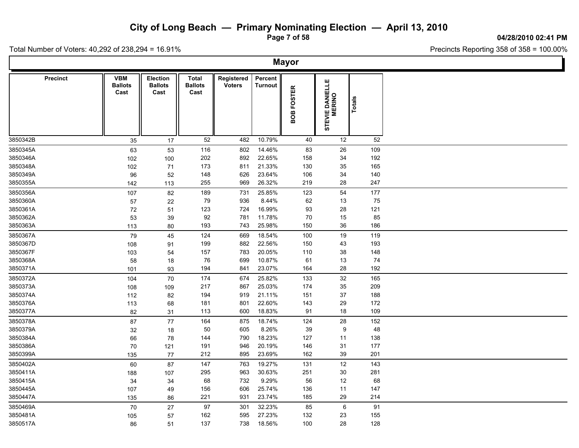**Page 7 of 58**

#### **04/28/2010 02:41 PM**

Total Number of Voters: 40,292 of 238,294 = 16.91%

 $\Box$ 

| <b>VBM</b><br>Percent<br><b>Precinct</b><br><b>Election</b><br><b>Total</b><br>Registered<br><b>Voters</b><br><b>Ballots</b><br><b>Ballots</b><br><b>Ballots</b><br><b>Turnout</b><br>Cast<br>Cast<br>Cast |
|------------------------------------------------------------------------------------------------------------------------------------------------------------------------------------------------------------|
| STEVIE DANIELLE<br>MERINO<br>BOB FOSTER<br><b>Totals</b>                                                                                                                                                   |
| 52<br>10.79%<br>40<br>52<br>3850342B<br>482<br>12<br>35<br>17                                                                                                                                              |
| 116<br>14.46%<br>83<br>109<br>3850345A<br>802<br>26<br>63<br>53                                                                                                                                            |
| 3850346A<br>202<br>892<br>22.65%<br>158<br>34<br>192<br>102<br>100                                                                                                                                         |
| 21.33%<br>35<br>3850348A<br>173<br>811<br>130<br>165<br>102<br>71                                                                                                                                          |
| 3850349A<br>148<br>626<br>23.64%<br>106<br>34<br>140<br>96<br>52                                                                                                                                           |
| 26.32%<br>28<br>3850355A<br>255<br>969<br>219<br>247<br>142<br>113                                                                                                                                         |
| 189<br>25.85%<br>123<br>54<br>177<br>3850356A<br>731<br>107<br>82                                                                                                                                          |
| 3850360A<br>79<br>936<br>8.44%<br>62<br>13<br>75<br>22<br>57                                                                                                                                               |
| 123<br>16.99%<br>93<br>28<br>121<br>3850361A<br>72<br>724<br>51                                                                                                                                            |
| 92<br>11.78%<br>70<br>15<br>85<br>3850362A<br>781<br>53<br>39                                                                                                                                              |
| 3850363A<br>193<br>25.98%<br>150<br>36<br>186<br>743<br>113<br>80                                                                                                                                          |
| 3850367A<br>124<br>669<br>18.54%<br>100<br>19<br>119<br>45<br>79                                                                                                                                           |
| 882<br>22.56%<br>193<br>3850367D<br>199<br>150<br>43<br>108<br>91                                                                                                                                          |
| 20.05%<br>$38\,$<br>148<br>3850367F<br>157<br>783<br>110<br>103<br>54                                                                                                                                      |
| 3850368A<br>76<br>699<br>10.87%<br>61<br>13<br>74<br>58<br>18                                                                                                                                              |
| 23.07%<br>28<br>192<br>3850371A<br>194<br>841<br>164<br>101<br>93                                                                                                                                          |
| 32<br>3850372A<br>174<br>25.82%<br>133<br>165<br>70<br>674<br>104                                                                                                                                          |
| 867<br>25.03%<br>209<br>3850373A<br>217<br>174<br>35<br>108<br>109                                                                                                                                         |
| 21.11%<br>37<br>188<br>3850374A<br>194<br>919<br>151<br>112<br>82                                                                                                                                          |
| 22.60%<br>29<br>172<br>3850376A<br>181<br>801<br>143<br>113<br>68                                                                                                                                          |
| 3850377A<br>600<br>18.83%<br>91<br>18<br>109<br>82<br>113<br>31                                                                                                                                            |
| 18.74%<br>28<br>3850378A<br>164<br>875<br>124<br>152<br>87<br>77                                                                                                                                           |
| 605<br>8.26%<br>39<br>9<br>48<br>3850379A<br>50<br>32<br>18                                                                                                                                                |
| 18.23%<br>138<br>3850384A<br>144<br>790<br>127<br>11<br>66<br>78                                                                                                                                           |
| 20.19%<br>31<br>177<br>3850386A<br>191<br>946<br>146<br>70<br>121                                                                                                                                          |
| 23.69%<br>39<br>201<br>3850399A<br>212<br>895<br>162<br>135<br>77                                                                                                                                          |
| 147<br>763<br>19.27%<br>12<br>143<br>3850402A<br>131<br>60<br>87                                                                                                                                           |
| 3850411A<br>295<br>963<br>30.63%<br>251<br>30<br>281<br>107<br>188                                                                                                                                         |
| 732<br>9.29%<br>12<br>68<br>3850415A<br>68<br>56<br>34<br>34                                                                                                                                               |
| 3850445A<br>156<br>606<br>25.74%<br>136<br>11<br>147<br>107<br>49                                                                                                                                          |
| 23.74%<br>29<br>3850447A<br>221<br>931<br>185<br>214<br>135<br>86                                                                                                                                          |
| 97<br>32.23%<br>$\,6\,$<br>91<br>3850469A<br>301<br>85<br>70<br>27                                                                                                                                         |
| 595<br>27.23%<br>132<br>23<br>155<br>3850481A<br>162<br>105<br>57                                                                                                                                          |
| 18.56%<br>28<br>128<br>3850517A<br>137<br>738<br>100<br>86<br>51                                                                                                                                           |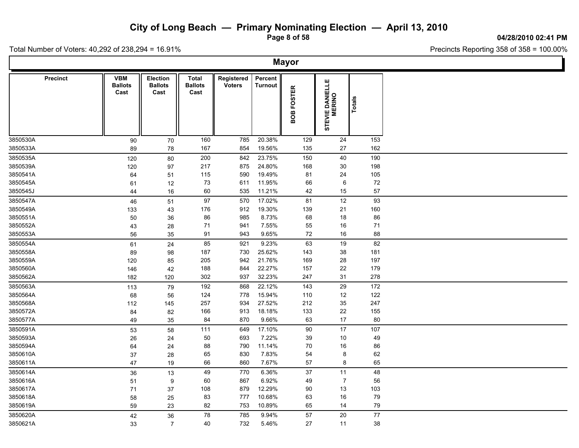**Page 8 of 58**

**04/28/2010 02:41 PM**

Total Number of Voters: 40,292 of 238,294 = 16.91%

| <b>VBM</b><br>Percent<br><b>Precinct</b><br><b>Election</b><br><b>Total</b><br>Registered<br>STEVIE DANIELLE<br>MERINO<br><b>Ballots</b><br><b>Voters</b><br><b>Ballots</b><br><b>Ballots</b><br><b>Turnout</b><br><b>FOSTER</b><br>Cast<br>Cast<br>Cast<br>Totals<br>BOB<br>160<br>785<br>20.38%<br>129<br>153<br>24<br>90<br>70<br>3850533A<br>167<br>19.56%<br>135<br>27<br>162<br>89<br>854<br>78<br>23.75%<br>40<br>190<br>80<br>200<br>842<br>150<br>120<br>217<br>875<br>24.80%<br>168<br>30<br>198<br>120<br>97<br>19.49%<br>24<br>105<br>3850541A<br>115<br>590<br>81<br>64<br>51<br>6<br>72<br>3850545A<br>73<br>11.95%<br>66<br>61<br>12<br>611<br>3850545J<br>60<br>535<br>11.21%<br>42<br>15<br>57<br>44<br>16<br>17.02%<br>12<br>93<br>97<br>570<br>81<br>46<br>51<br>19.30%<br>21<br>160<br>176<br>912<br>139<br>133<br>43<br>3850551A<br>985<br>8.73%<br>68<br>18<br>86<br>86<br>50<br>36<br>3850552A<br>941<br>7.55%<br>55<br>16<br>71<br>28<br>71<br>43<br>72<br>3850553A<br>91<br>9.65%<br>16<br>88<br>943<br>56<br>35<br>85<br>63<br>19<br>82<br>24<br>921<br>9.23%<br>61<br>187<br>730<br>25.62%<br>143<br>38<br>181<br>89<br>98<br>21.76%<br>205<br>942<br>169<br>28<br>197<br>120<br>85<br>3850560A<br>22.27%<br>22<br>179<br>188<br>844<br>157<br>42<br>146<br>3850562A<br>302<br>937<br>32.23%<br>247<br>31<br>278<br>182<br>120<br>868<br>22.12%<br>29<br>172<br>192<br>143<br>113<br>79<br>122<br>778<br>15.94%<br>12<br>124<br>110<br>68<br>56<br>27.52%<br>212<br>35<br>247<br>257<br>934<br>112<br>145<br>913<br>18.18%<br>133<br>22<br>155<br>84<br>82<br>166<br>870<br>9.66%<br>63<br>17<br>80<br>84<br>49<br>35<br>17.10%<br>90<br>17<br>107<br>111<br>649<br>53<br>58<br>50<br>693<br>7.22%<br>39<br>10<br>49<br>24<br>26<br>790<br>11.14%<br>70<br>16<br>86<br>88<br>64<br>24<br>65<br>830<br>7.83%<br>54<br>8<br>62<br>37<br>28<br>8<br>66<br>860<br>7.67%<br>57<br>65<br>47<br>19<br>49<br>6.36%<br>37<br>11<br>48<br>770<br>36<br>13<br>867<br>6.92%<br>49<br>$\overline{7}$<br>56<br>60<br>51<br>9<br>13<br>103<br>108<br>879<br>12.29%<br>90<br>71<br>37<br>10.68%<br>79<br>83<br>777<br>63<br>16<br>58<br>25<br>753<br>65<br>79<br>59<br>82<br>10.89%<br>14<br>23<br>77<br>78<br>785<br>9.94%<br>57<br>20<br>42<br>36<br>38<br>40<br>732<br>5.46%<br>27<br>11<br>33<br>$\overline{7}$ |          |  |  | <b>Mayor</b> |  |  |
|--------------------------------------------------------------------------------------------------------------------------------------------------------------------------------------------------------------------------------------------------------------------------------------------------------------------------------------------------------------------------------------------------------------------------------------------------------------------------------------------------------------------------------------------------------------------------------------------------------------------------------------------------------------------------------------------------------------------------------------------------------------------------------------------------------------------------------------------------------------------------------------------------------------------------------------------------------------------------------------------------------------------------------------------------------------------------------------------------------------------------------------------------------------------------------------------------------------------------------------------------------------------------------------------------------------------------------------------------------------------------------------------------------------------------------------------------------------------------------------------------------------------------------------------------------------------------------------------------------------------------------------------------------------------------------------------------------------------------------------------------------------------------------------------------------------------------------------------------------------------------------------------------------------------------------------------------------------------------------------------------------------------------------------------------------------------------------------------------------------------------------------------------------------------------------------------------------------------------------------------------------------------------------------------------------------------------------|----------|--|--|--------------|--|--|
|                                                                                                                                                                                                                                                                                                                                                                                                                                                                                                                                                                                                                                                                                                                                                                                                                                                                                                                                                                                                                                                                                                                                                                                                                                                                                                                                                                                                                                                                                                                                                                                                                                                                                                                                                                                                                                                                                                                                                                                                                                                                                                                                                                                                                                                                                                                                |          |  |  |              |  |  |
|                                                                                                                                                                                                                                                                                                                                                                                                                                                                                                                                                                                                                                                                                                                                                                                                                                                                                                                                                                                                                                                                                                                                                                                                                                                                                                                                                                                                                                                                                                                                                                                                                                                                                                                                                                                                                                                                                                                                                                                                                                                                                                                                                                                                                                                                                                                                | 3850530A |  |  |              |  |  |
|                                                                                                                                                                                                                                                                                                                                                                                                                                                                                                                                                                                                                                                                                                                                                                                                                                                                                                                                                                                                                                                                                                                                                                                                                                                                                                                                                                                                                                                                                                                                                                                                                                                                                                                                                                                                                                                                                                                                                                                                                                                                                                                                                                                                                                                                                                                                |          |  |  |              |  |  |
|                                                                                                                                                                                                                                                                                                                                                                                                                                                                                                                                                                                                                                                                                                                                                                                                                                                                                                                                                                                                                                                                                                                                                                                                                                                                                                                                                                                                                                                                                                                                                                                                                                                                                                                                                                                                                                                                                                                                                                                                                                                                                                                                                                                                                                                                                                                                | 3850535A |  |  |              |  |  |
|                                                                                                                                                                                                                                                                                                                                                                                                                                                                                                                                                                                                                                                                                                                                                                                                                                                                                                                                                                                                                                                                                                                                                                                                                                                                                                                                                                                                                                                                                                                                                                                                                                                                                                                                                                                                                                                                                                                                                                                                                                                                                                                                                                                                                                                                                                                                | 3850539A |  |  |              |  |  |
|                                                                                                                                                                                                                                                                                                                                                                                                                                                                                                                                                                                                                                                                                                                                                                                                                                                                                                                                                                                                                                                                                                                                                                                                                                                                                                                                                                                                                                                                                                                                                                                                                                                                                                                                                                                                                                                                                                                                                                                                                                                                                                                                                                                                                                                                                                                                |          |  |  |              |  |  |
|                                                                                                                                                                                                                                                                                                                                                                                                                                                                                                                                                                                                                                                                                                                                                                                                                                                                                                                                                                                                                                                                                                                                                                                                                                                                                                                                                                                                                                                                                                                                                                                                                                                                                                                                                                                                                                                                                                                                                                                                                                                                                                                                                                                                                                                                                                                                |          |  |  |              |  |  |
|                                                                                                                                                                                                                                                                                                                                                                                                                                                                                                                                                                                                                                                                                                                                                                                                                                                                                                                                                                                                                                                                                                                                                                                                                                                                                                                                                                                                                                                                                                                                                                                                                                                                                                                                                                                                                                                                                                                                                                                                                                                                                                                                                                                                                                                                                                                                |          |  |  |              |  |  |
|                                                                                                                                                                                                                                                                                                                                                                                                                                                                                                                                                                                                                                                                                                                                                                                                                                                                                                                                                                                                                                                                                                                                                                                                                                                                                                                                                                                                                                                                                                                                                                                                                                                                                                                                                                                                                                                                                                                                                                                                                                                                                                                                                                                                                                                                                                                                | 3850547A |  |  |              |  |  |
|                                                                                                                                                                                                                                                                                                                                                                                                                                                                                                                                                                                                                                                                                                                                                                                                                                                                                                                                                                                                                                                                                                                                                                                                                                                                                                                                                                                                                                                                                                                                                                                                                                                                                                                                                                                                                                                                                                                                                                                                                                                                                                                                                                                                                                                                                                                                | 3850549A |  |  |              |  |  |
|                                                                                                                                                                                                                                                                                                                                                                                                                                                                                                                                                                                                                                                                                                                                                                                                                                                                                                                                                                                                                                                                                                                                                                                                                                                                                                                                                                                                                                                                                                                                                                                                                                                                                                                                                                                                                                                                                                                                                                                                                                                                                                                                                                                                                                                                                                                                |          |  |  |              |  |  |
|                                                                                                                                                                                                                                                                                                                                                                                                                                                                                                                                                                                                                                                                                                                                                                                                                                                                                                                                                                                                                                                                                                                                                                                                                                                                                                                                                                                                                                                                                                                                                                                                                                                                                                                                                                                                                                                                                                                                                                                                                                                                                                                                                                                                                                                                                                                                |          |  |  |              |  |  |
|                                                                                                                                                                                                                                                                                                                                                                                                                                                                                                                                                                                                                                                                                                                                                                                                                                                                                                                                                                                                                                                                                                                                                                                                                                                                                                                                                                                                                                                                                                                                                                                                                                                                                                                                                                                                                                                                                                                                                                                                                                                                                                                                                                                                                                                                                                                                |          |  |  |              |  |  |
|                                                                                                                                                                                                                                                                                                                                                                                                                                                                                                                                                                                                                                                                                                                                                                                                                                                                                                                                                                                                                                                                                                                                                                                                                                                                                                                                                                                                                                                                                                                                                                                                                                                                                                                                                                                                                                                                                                                                                                                                                                                                                                                                                                                                                                                                                                                                | 3850554A |  |  |              |  |  |
|                                                                                                                                                                                                                                                                                                                                                                                                                                                                                                                                                                                                                                                                                                                                                                                                                                                                                                                                                                                                                                                                                                                                                                                                                                                                                                                                                                                                                                                                                                                                                                                                                                                                                                                                                                                                                                                                                                                                                                                                                                                                                                                                                                                                                                                                                                                                | 3850558A |  |  |              |  |  |
|                                                                                                                                                                                                                                                                                                                                                                                                                                                                                                                                                                                                                                                                                                                                                                                                                                                                                                                                                                                                                                                                                                                                                                                                                                                                                                                                                                                                                                                                                                                                                                                                                                                                                                                                                                                                                                                                                                                                                                                                                                                                                                                                                                                                                                                                                                                                | 3850559A |  |  |              |  |  |
|                                                                                                                                                                                                                                                                                                                                                                                                                                                                                                                                                                                                                                                                                                                                                                                                                                                                                                                                                                                                                                                                                                                                                                                                                                                                                                                                                                                                                                                                                                                                                                                                                                                                                                                                                                                                                                                                                                                                                                                                                                                                                                                                                                                                                                                                                                                                |          |  |  |              |  |  |
|                                                                                                                                                                                                                                                                                                                                                                                                                                                                                                                                                                                                                                                                                                                                                                                                                                                                                                                                                                                                                                                                                                                                                                                                                                                                                                                                                                                                                                                                                                                                                                                                                                                                                                                                                                                                                                                                                                                                                                                                                                                                                                                                                                                                                                                                                                                                |          |  |  |              |  |  |
|                                                                                                                                                                                                                                                                                                                                                                                                                                                                                                                                                                                                                                                                                                                                                                                                                                                                                                                                                                                                                                                                                                                                                                                                                                                                                                                                                                                                                                                                                                                                                                                                                                                                                                                                                                                                                                                                                                                                                                                                                                                                                                                                                                                                                                                                                                                                | 3850563A |  |  |              |  |  |
|                                                                                                                                                                                                                                                                                                                                                                                                                                                                                                                                                                                                                                                                                                                                                                                                                                                                                                                                                                                                                                                                                                                                                                                                                                                                                                                                                                                                                                                                                                                                                                                                                                                                                                                                                                                                                                                                                                                                                                                                                                                                                                                                                                                                                                                                                                                                | 3850564A |  |  |              |  |  |
|                                                                                                                                                                                                                                                                                                                                                                                                                                                                                                                                                                                                                                                                                                                                                                                                                                                                                                                                                                                                                                                                                                                                                                                                                                                                                                                                                                                                                                                                                                                                                                                                                                                                                                                                                                                                                                                                                                                                                                                                                                                                                                                                                                                                                                                                                                                                | 3850568A |  |  |              |  |  |
|                                                                                                                                                                                                                                                                                                                                                                                                                                                                                                                                                                                                                                                                                                                                                                                                                                                                                                                                                                                                                                                                                                                                                                                                                                                                                                                                                                                                                                                                                                                                                                                                                                                                                                                                                                                                                                                                                                                                                                                                                                                                                                                                                                                                                                                                                                                                | 3850572A |  |  |              |  |  |
|                                                                                                                                                                                                                                                                                                                                                                                                                                                                                                                                                                                                                                                                                                                                                                                                                                                                                                                                                                                                                                                                                                                                                                                                                                                                                                                                                                                                                                                                                                                                                                                                                                                                                                                                                                                                                                                                                                                                                                                                                                                                                                                                                                                                                                                                                                                                | 3850577A |  |  |              |  |  |
|                                                                                                                                                                                                                                                                                                                                                                                                                                                                                                                                                                                                                                                                                                                                                                                                                                                                                                                                                                                                                                                                                                                                                                                                                                                                                                                                                                                                                                                                                                                                                                                                                                                                                                                                                                                                                                                                                                                                                                                                                                                                                                                                                                                                                                                                                                                                | 3850591A |  |  |              |  |  |
|                                                                                                                                                                                                                                                                                                                                                                                                                                                                                                                                                                                                                                                                                                                                                                                                                                                                                                                                                                                                                                                                                                                                                                                                                                                                                                                                                                                                                                                                                                                                                                                                                                                                                                                                                                                                                                                                                                                                                                                                                                                                                                                                                                                                                                                                                                                                | 3850593A |  |  |              |  |  |
|                                                                                                                                                                                                                                                                                                                                                                                                                                                                                                                                                                                                                                                                                                                                                                                                                                                                                                                                                                                                                                                                                                                                                                                                                                                                                                                                                                                                                                                                                                                                                                                                                                                                                                                                                                                                                                                                                                                                                                                                                                                                                                                                                                                                                                                                                                                                | 3850594A |  |  |              |  |  |
|                                                                                                                                                                                                                                                                                                                                                                                                                                                                                                                                                                                                                                                                                                                                                                                                                                                                                                                                                                                                                                                                                                                                                                                                                                                                                                                                                                                                                                                                                                                                                                                                                                                                                                                                                                                                                                                                                                                                                                                                                                                                                                                                                                                                                                                                                                                                | 3850610A |  |  |              |  |  |
|                                                                                                                                                                                                                                                                                                                                                                                                                                                                                                                                                                                                                                                                                                                                                                                                                                                                                                                                                                                                                                                                                                                                                                                                                                                                                                                                                                                                                                                                                                                                                                                                                                                                                                                                                                                                                                                                                                                                                                                                                                                                                                                                                                                                                                                                                                                                | 3850611A |  |  |              |  |  |
|                                                                                                                                                                                                                                                                                                                                                                                                                                                                                                                                                                                                                                                                                                                                                                                                                                                                                                                                                                                                                                                                                                                                                                                                                                                                                                                                                                                                                                                                                                                                                                                                                                                                                                                                                                                                                                                                                                                                                                                                                                                                                                                                                                                                                                                                                                                                | 3850614A |  |  |              |  |  |
|                                                                                                                                                                                                                                                                                                                                                                                                                                                                                                                                                                                                                                                                                                                                                                                                                                                                                                                                                                                                                                                                                                                                                                                                                                                                                                                                                                                                                                                                                                                                                                                                                                                                                                                                                                                                                                                                                                                                                                                                                                                                                                                                                                                                                                                                                                                                | 3850616A |  |  |              |  |  |
|                                                                                                                                                                                                                                                                                                                                                                                                                                                                                                                                                                                                                                                                                                                                                                                                                                                                                                                                                                                                                                                                                                                                                                                                                                                                                                                                                                                                                                                                                                                                                                                                                                                                                                                                                                                                                                                                                                                                                                                                                                                                                                                                                                                                                                                                                                                                | 3850617A |  |  |              |  |  |
|                                                                                                                                                                                                                                                                                                                                                                                                                                                                                                                                                                                                                                                                                                                                                                                                                                                                                                                                                                                                                                                                                                                                                                                                                                                                                                                                                                                                                                                                                                                                                                                                                                                                                                                                                                                                                                                                                                                                                                                                                                                                                                                                                                                                                                                                                                                                | 3850618A |  |  |              |  |  |
|                                                                                                                                                                                                                                                                                                                                                                                                                                                                                                                                                                                                                                                                                                                                                                                                                                                                                                                                                                                                                                                                                                                                                                                                                                                                                                                                                                                                                                                                                                                                                                                                                                                                                                                                                                                                                                                                                                                                                                                                                                                                                                                                                                                                                                                                                                                                | 3850619A |  |  |              |  |  |
|                                                                                                                                                                                                                                                                                                                                                                                                                                                                                                                                                                                                                                                                                                                                                                                                                                                                                                                                                                                                                                                                                                                                                                                                                                                                                                                                                                                                                                                                                                                                                                                                                                                                                                                                                                                                                                                                                                                                                                                                                                                                                                                                                                                                                                                                                                                                | 3850620A |  |  |              |  |  |
|                                                                                                                                                                                                                                                                                                                                                                                                                                                                                                                                                                                                                                                                                                                                                                                                                                                                                                                                                                                                                                                                                                                                                                                                                                                                                                                                                                                                                                                                                                                                                                                                                                                                                                                                                                                                                                                                                                                                                                                                                                                                                                                                                                                                                                                                                                                                | 3850621A |  |  |              |  |  |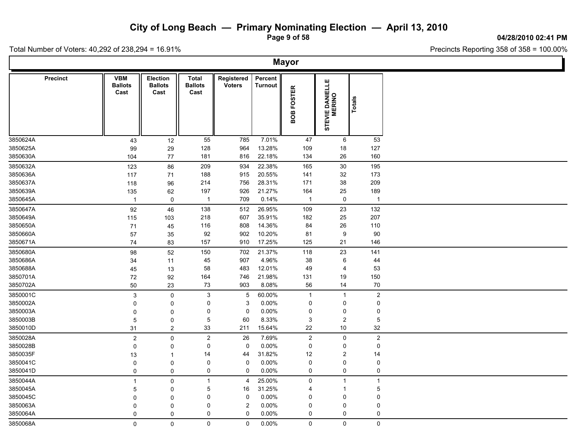**Page 9 of 58**

**04/28/2010 02:41 PM**

Total Number of Voters: 40,292 of 238,294 = 16.91%

 $\Box$ 

|          | <b>Mayor</b>    |                                      |                                           |                                 |                             |                           |                  |                           |                         |  |  |  |  |  |
|----------|-----------------|--------------------------------------|-------------------------------------------|---------------------------------|-----------------------------|---------------------------|------------------|---------------------------|-------------------------|--|--|--|--|--|
|          | <b>Precinct</b> | <b>VBM</b><br><b>Ballots</b><br>Cast | <b>Election</b><br><b>Ballots</b><br>Cast | Total<br><b>Ballots</b><br>Cast | Registered<br><b>Voters</b> | Percent<br><b>Turnout</b> | BOB FOSTER       | STEVIE DANIELLE<br>MERINO | Totals                  |  |  |  |  |  |
| 3850624A |                 | 43                                   | 12                                        | 55                              | 785                         | 7.01%                     | 47               | 6                         | 53                      |  |  |  |  |  |
| 3850625A |                 | 99                                   | 29                                        | 128                             | 964                         | 13.28%                    | 109              | $18$                      | 127                     |  |  |  |  |  |
| 3850630A |                 | 104                                  | 77                                        | 181                             | 816                         | 22.18%                    | 134              | 26                        | 160                     |  |  |  |  |  |
| 3850632A |                 | 123                                  | 86                                        | 209                             | 934                         | 22.38%                    | 165              | 30                        | 195                     |  |  |  |  |  |
| 3850636A |                 | 117                                  | 71                                        | 188                             | 915                         | 20.55%                    | 141              | 32                        | 173                     |  |  |  |  |  |
| 3850637A |                 | 118                                  | 96                                        | 214                             | 756                         | 28.31%                    | 171              | 38                        | 209                     |  |  |  |  |  |
| 3850639A |                 | 135                                  | 62                                        | 197                             | 926                         | 21.27%                    | 164              | 25                        | 189                     |  |  |  |  |  |
| 3850645A |                 | $\overline{1}$                       | $\mathbf 0$                               | $\overline{1}$                  | 709                         | 0.14%                     | $\overline{1}$   | $\mathbf 0$               | $\overline{1}$          |  |  |  |  |  |
| 3850647A |                 | 92                                   | 46                                        | 138                             | 512                         | 26.95%                    | 109              | 23                        | 132                     |  |  |  |  |  |
| 3850649A |                 | 115                                  | 103                                       | 218                             | 607                         | 35.91%                    | 182              | 25                        | 207                     |  |  |  |  |  |
| 3850650A |                 | 71                                   | 45                                        | 116                             | 808                         | 14.36%                    | 84               | $26\,$                    | 110                     |  |  |  |  |  |
| 3850660A |                 | 57                                   | 35                                        | 92                              | 902                         | 10.20%                    | 81               | 9                         | 90                      |  |  |  |  |  |
| 3850671A |                 | 74                                   | 83                                        | 157                             | 910                         | 17.25%                    | 125              | 21                        | 146                     |  |  |  |  |  |
| 3850680A |                 | 98                                   | 52                                        | 150                             | 702                         | 21.37%                    | 118              | 23                        | 141                     |  |  |  |  |  |
| 3850686A |                 | 34                                   | 11                                        | 45                              | 907                         | 4.96%                     | 38               | $\,6\,$                   | 44                      |  |  |  |  |  |
| 3850688A |                 | 45                                   | 13                                        | 58                              | 483                         | 12.01%                    | 49               | $\overline{4}$            | 53                      |  |  |  |  |  |
| 3850701A |                 | 72                                   | 92                                        | 164                             | 746                         | 21.98%                    | 131              | 19                        | 150                     |  |  |  |  |  |
| 3850702A |                 | 50                                   | 23                                        | 73                              | 903                         | 8.08%                     | 56               | 14                        | 70                      |  |  |  |  |  |
| 3850001C |                 | $\sqrt{3}$                           | $\mathbf 0$                               | $\ensuremath{\mathsf{3}}$       | $5\,$                       | 60.00%                    | $\mathbf{1}$     | $\overline{1}$            | $\mathbf 2$             |  |  |  |  |  |
| 3850002A |                 | $\mathbf 0$                          | 0                                         | 0                               | 3                           | 0.00%                     | $\mathbf 0$      | $\pmb{0}$                 | $\pmb{0}$               |  |  |  |  |  |
| 3850003A |                 | $\mathbf 0$                          | $\mathbf 0$                               | 0                               | $\mathbf 0$                 | 0.00%                     | 0                | $\pmb{0}$                 | 0                       |  |  |  |  |  |
| 3850003B |                 | $\sqrt{5}$                           | 0                                         | $\,$ 5 $\,$                     | 60                          | 8.33%                     | 3                | $\boldsymbol{2}$          | $\overline{5}$          |  |  |  |  |  |
| 3850010D |                 | 31                                   | $\boldsymbol{2}$                          | 33                              | 211                         | 15.64%                    | 22               | $10\,$                    | 32                      |  |  |  |  |  |
| 3850028A |                 | $\overline{2}$                       | $\mathbf 0$                               | $\boldsymbol{2}$                | 26                          | 7.69%                     | $\boldsymbol{2}$ | $\mathsf{O}\xspace$       | $\overline{\mathbf{c}}$ |  |  |  |  |  |
| 3850028B |                 | 0                                    | 0                                         | 0                               | $\mathbf 0$                 | 0.00%                     | $\mathbf 0$      | 0                         | 0                       |  |  |  |  |  |
| 3850035F |                 | 13                                   | $\mathbf{1}$                              | 14                              | 44                          | 31.82%                    | 12               | $\overline{c}$            | 14                      |  |  |  |  |  |
| 3850041C |                 | $\mathbf 0$                          | $\mathbf 0$                               | 0                               | $\mathbf 0$                 | 0.00%                     | 0                | 0                         | 0                       |  |  |  |  |  |
| 3850041D |                 | 0                                    | $\mathbf 0$                               | 0                               | 0                           | 0.00%                     | $\mathsf 0$      | $\mathsf 0$               | $\pmb{0}$               |  |  |  |  |  |
| 3850044A |                 | $\mathbf{1}$                         | $\mathbf 0$                               | $\mathbf{1}$                    | $\overline{4}$              | 25.00%                    | $\mathbf 0$      | $\overline{1}$            | $\overline{1}$          |  |  |  |  |  |
| 3850045A |                 | 5                                    | $\Omega$                                  | 5                               | 16                          | 31.25%                    | 4                | -1                        | 5                       |  |  |  |  |  |
| 3850045C |                 | $\Omega$                             | $\mathbf 0$                               | 0                               | $\mathbf 0$                 | 0.00%                     | $\mathbf 0$      | 0                         | 0                       |  |  |  |  |  |
| 3850063A |                 | $\mathbf 0$                          | $\mathbf 0$                               | 0                               | $\overline{c}$              | 0.00%                     | 0                | 0                         | 0                       |  |  |  |  |  |
| 3850064A |                 | 0                                    | $\pmb{0}$                                 | 0                               | 0                           | 0.00%                     | 0                | 0                         | 0                       |  |  |  |  |  |
| 3850068A |                 | $\mathbf 0$                          | $\mathbf 0$                               | 0                               | 0                           | $0.00\%$                  | $\mathbf 0$      | $\mathsf{O}$              | 0                       |  |  |  |  |  |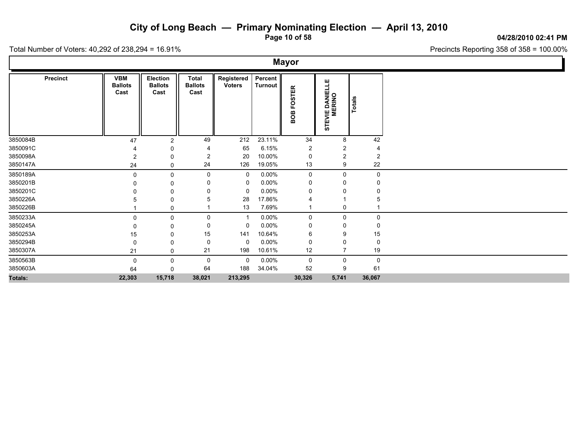**Page 10 of 58**

Precincts Reporting 358 of 358 = 100.00%

Total Number of Voters: 40,292 of 238,294 = 16.91%

**Precinct Election Election Election Election Election Election Election Election Election Election Election Election Election Election Election Election Election Election Election E Ballots Ballots Cast Cast Total Registered Voters Percent Turnout**<br> **BOB FOSTER**<br>
STEVIE DANIELLE<br>
STEVIE DANIELLE<br> **TOTALS CONTER**<br> **CONTER VBM Ballots Cast** 3850084B 47 2 49 212 23.11% 34 8 42 3850091C 4 0 4 65 6.15% 2 2 4 3850098A 2 0 2 20 10.00% 0 2 2 2 3850147A 24 0 24 126 19.05% 13 9 22 3850189A 0 0 0 0 0.00% 0 0 0 3850201B 0 0 0 0 0.00% 0 0 0 3850201C 0 0 0 0 0.00% 0 0 0 3850226A 5 0 5 28 17.86% 4 1 5 3850226B 1 0 1 13 7.69% 1 0 1 3850233A 0 0 0 1 0.00% 0 0 0 3850245A 0 0 0 0 0.00% 0 0 0 3850253A 15 0 15 141 10.64% 6 9 15 3850294B 0 0 0 0 0.00% 0 0 0 3850307A 21 0 21 198 10.61% 12 7 19 3850563B 0 0 0 0 0.00% 0 0 0 3850603A 64 0 64 188 34.04% 52 9 61 **Totals: 22,303 15,718 38,021 213,295 30,326 5,741 36,067**

**Mayor**

**04/28/2010 02:41 PM**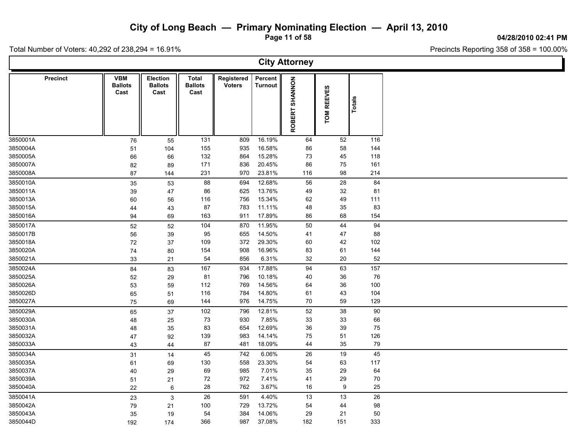**Page 11 of 58**

**04/28/2010 02:41 PM**

Total Number of Voters: 40,292 of 238,294 = 16.91%

| <b>City Attorney</b> |                                      |                                           |                                        |                             |                           |                   |                  |        |  |  |  |  |
|----------------------|--------------------------------------|-------------------------------------------|----------------------------------------|-----------------------------|---------------------------|-------------------|------------------|--------|--|--|--|--|
| <b>Precinct</b>      | <b>VBM</b><br><b>Ballots</b><br>Cast | <b>Election</b><br><b>Ballots</b><br>Cast | <b>Total</b><br><b>Ballots</b><br>Cast | Registered<br><b>Voters</b> | Percent<br><b>Turnout</b> | SHANNON<br>ROBERT | TOM REEVES       | Totals |  |  |  |  |
| 3850001A             | 76                                   | 55                                        | 131                                    | 809                         | 16.19%                    | 64                | 52               | 116    |  |  |  |  |
| 3850004A             | 51                                   | 104                                       | 155                                    | 935                         | 16.58%                    | 86                | 58               | 144    |  |  |  |  |
| 3850005A             | 66                                   | 66                                        | 132                                    | 864                         | 15.28%                    | 73                | 45               | 118    |  |  |  |  |
| 3850007A             | 82                                   | 89                                        | 171                                    | 836                         | 20.45%                    | 86                | 75               | 161    |  |  |  |  |
| 3850008A             | 87                                   | 144                                       | 231                                    | 970                         | 23.81%                    | 116               | 98               | 214    |  |  |  |  |
| 3850010A             | 35                                   | 53                                        | 88                                     | 694                         | 12.68%                    | 56                | 28               | 84     |  |  |  |  |
| 3850011A             | 39                                   | 47                                        | 86                                     | 625                         | 13.76%                    | 49                | 32               | 81     |  |  |  |  |
| 3850013A             | 60                                   | 56                                        | 116                                    | 756                         | 15.34%                    | 62                | 49               | 111    |  |  |  |  |
| 3850015A             | 44                                   | 43                                        | 87                                     | 783                         | 11.11%                    | 48                | 35               | 83     |  |  |  |  |
| 3850016A             | 94                                   | 69                                        | 163                                    | 911                         | 17.89%                    | 86                | 68               | 154    |  |  |  |  |
| 3850017A             | 52                                   | 52                                        | 104                                    | 870                         | 11.95%                    | 50                | 44               | 94     |  |  |  |  |
| 3850017B             | 56                                   | 39                                        | 95                                     | 655                         | 14.50%                    | 41                | 47               | 88     |  |  |  |  |
| 3850018A             | $72\,$                               | 37                                        | 109                                    | 372                         | 29.30%                    | 60                | 42               | 102    |  |  |  |  |
| 3850020A             | 74                                   | 80                                        | 154                                    | 908                         | 16.96%                    | 83                | 61               | 144    |  |  |  |  |
| 3850021A             | 33                                   | 21                                        | 54                                     | 856                         | 6.31%                     | 32                | 20               | 52     |  |  |  |  |
| 3850024A             | 84                                   | 83                                        | 167                                    | 934                         | 17.88%                    | 94                | 63               | 157    |  |  |  |  |
| 3850025A             | 52                                   | 29                                        | 81                                     | 796                         | 10.18%                    | 40                | 36               | 76     |  |  |  |  |
| 3850026A             | 53                                   | 59                                        | 112                                    | 769                         | 14.56%                    | 64                | 36               | 100    |  |  |  |  |
| 3850026D             | 65                                   | 51                                        | 116                                    | 784                         | 14.80%                    | 61                | 43               | 104    |  |  |  |  |
| 3850027A             | 75                                   | 69                                        | 144                                    | 976                         | 14.75%                    | 70                | 59               | 129    |  |  |  |  |
| 3850029A             | 65                                   | 37                                        | 102                                    | 796                         | 12.81%                    | 52                | 38               | 90     |  |  |  |  |
| 3850030A             | 48                                   | 25                                        | 73                                     | 930                         | 7.85%                     | 33                | 33               | 66     |  |  |  |  |
| 3850031A             | 48                                   | 35                                        | 83                                     | 654                         | 12.69%                    | 36                | 39               | 75     |  |  |  |  |
| 3850032A             | 47                                   | 92                                        | 139                                    | 983                         | 14.14%                    | 75                | 51               | 126    |  |  |  |  |
| 3850033A             | 43                                   | 44                                        | 87                                     | 481                         | 18.09%                    | 44                | 35               | 79     |  |  |  |  |
| 3850034A             | 31                                   | 14                                        | 45                                     | 742                         | 6.06%                     | 26                | 19               | 45     |  |  |  |  |
| 3850035A             | 61                                   | 69                                        | 130                                    | 558                         | 23.30%                    | 54                | 63               | 117    |  |  |  |  |
| 3850037A             | 40                                   | 29                                        | 69                                     | 985                         | 7.01%                     | 35                | 29               | 64     |  |  |  |  |
| 3850039A             | 51                                   | 21                                        | 72                                     | 972                         | 7.41%                     | 41                | 29               | 70     |  |  |  |  |
| 3850040A             | 22                                   | 6                                         | 28                                     | 762                         | 3.67%                     | $16\,$            | $\boldsymbol{9}$ | 25     |  |  |  |  |
| 3850041A             | 23                                   | $\mathbf{3}$                              | 26                                     | 591                         | 4.40%                     | 13                | 13               | 26     |  |  |  |  |
| 3850042A             | $\bf 79$                             | 21                                        | 100                                    | 729                         | 13.72%                    | 54                | 44               | 98     |  |  |  |  |
| 3850043A             | 35                                   | 19                                        | 54                                     | 384                         | 14.06%                    | 29                | 21               | 50     |  |  |  |  |
| 3850044D             | 192                                  | 174                                       | 366                                    | 987                         | 37.08%                    | 182               | 151              | 333    |  |  |  |  |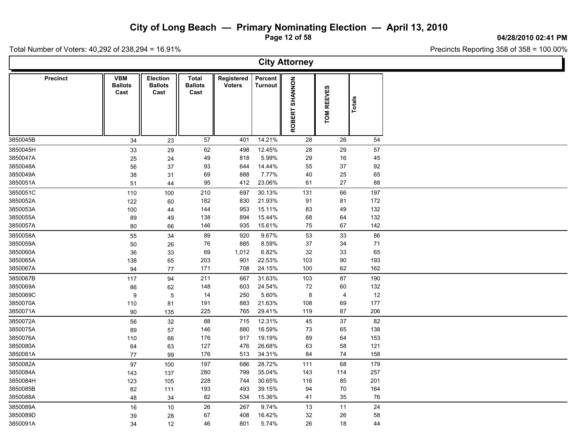**Page 12 of 58**

#### **04/28/2010 02:41 PM**

Precincts Reporting 358 of 358 = 100.00%

|                      | <b>City Attorney</b> |                                      |                                    |                                 |                             |                           |                |                             |             |  |  |  |  |  |
|----------------------|----------------------|--------------------------------------|------------------------------------|---------------------------------|-----------------------------|---------------------------|----------------|-----------------------------|-------------|--|--|--|--|--|
|                      | <b>Precinct</b>      | <b>VBM</b><br><b>Ballots</b><br>Cast | Election<br><b>Ballots</b><br>Cast | Total<br><b>Ballots</b><br>Cast | Registered<br><b>Voters</b> | Percent<br><b>Turnout</b> | ROBERT SHANNON | <b>REEVES</b><br><b>NOL</b> | Totals      |  |  |  |  |  |
| 3850045B             |                      | 34                                   | 23                                 | 57                              | 401                         | 14.21%                    | 28             | 26                          | 54          |  |  |  |  |  |
| 3850045H             |                      | 33                                   | 29                                 | 62                              | 498                         | 12.45%                    | 28             | 29                          | 57          |  |  |  |  |  |
| 3850047A             |                      | 25                                   | 24                                 | 49                              | 818                         | 5.99%                     | 29             | 16                          | 45          |  |  |  |  |  |
| 3850048A             |                      | 56                                   | 37                                 | 93                              | 644                         | 14.44%                    | 55             | 37                          | 92          |  |  |  |  |  |
| 3850049A             |                      | 38                                   | 31                                 | 69                              | 888                         | 7.77%                     | 40             | 25                          | 65          |  |  |  |  |  |
| 3850051A             |                      | 51                                   | 44                                 | 95                              | 412                         | 23.06%                    | 61             | 27                          | 88          |  |  |  |  |  |
| 3850051C             |                      | 110                                  | 100                                | 210                             | 697                         | 30.13%                    | 131            | 66                          | 197         |  |  |  |  |  |
| 3850052A             |                      | 122                                  | 60                                 | 182                             | 830                         | 21.93%                    | 91             | 81                          | 172         |  |  |  |  |  |
| 3850053A             |                      | 100                                  | 44                                 | 144                             | 953                         | 15.11%                    | 83             | 49                          | 132         |  |  |  |  |  |
| 3850055A             |                      | 89                                   | 49                                 | 138<br>146                      | 894<br>935                  | 15.44%<br>15.61%          | 68<br>75       | 64<br>67                    | 132<br>142  |  |  |  |  |  |
| 3850057A             |                      | 80                                   | 66                                 |                                 |                             |                           |                |                             |             |  |  |  |  |  |
| 3850058A             |                      | 55                                   | 34                                 | 89                              | 920                         | 9.67%                     | 53             | 33                          | 86          |  |  |  |  |  |
| 3850059A             |                      | 50                                   | 26                                 | 76                              | 885                         | 8.59%                     | 37             | 34                          | 71          |  |  |  |  |  |
| 3850060A             |                      | 36                                   | 33                                 | 69<br>203                       | 1,012<br>901                | 6.82%                     | 32<br>103      | 33                          | 65          |  |  |  |  |  |
| 3850065A             |                      | 138                                  | 65                                 | 171                             | 708                         | 22.53%<br>24.15%          | 100            | 90<br>62                    | 193<br>162  |  |  |  |  |  |
| 3850067A             |                      | 94                                   | 77                                 |                                 |                             |                           |                |                             |             |  |  |  |  |  |
| 3850067B             |                      | 117                                  | 94                                 | 211                             | 667                         | 31.63%                    | 103            | 87                          | 190         |  |  |  |  |  |
| 3850069A             |                      | 86                                   | 62                                 | 148<br>14                       | 603<br>250                  | 24.54%<br>5.60%           | 72             | 60<br>$\overline{4}$        | 132<br>$12$ |  |  |  |  |  |
| 3850069C<br>3850070A |                      | 9                                    | $\overline{5}$                     | 191                             | 883                         | 21.63%                    | 8<br>108       | 69                          | 177         |  |  |  |  |  |
| 3850071A             |                      | 110<br>90                            | 81<br>135                          | 225                             | 765                         | 29.41%                    | 119            | 87                          | 206         |  |  |  |  |  |
| 3850072A             |                      |                                      |                                    | 88                              | 715                         | 12.31%                    | 45             | 37                          | 82          |  |  |  |  |  |
| 3850075A             |                      | 56                                   | 32                                 | 146                             | 880                         | 16.59%                    | 73             | 65                          | 138         |  |  |  |  |  |
| 3850076A             |                      | 89<br>110                            | 57<br>66                           | 176                             | 917                         | 19.19%                    | 89             | 64                          | 153         |  |  |  |  |  |
| 3850080A             |                      | 64                                   | 63                                 | 127                             | 476                         | 26.68%                    | 63             | 58                          | 121         |  |  |  |  |  |
| 3850081A             |                      | 77                                   | 99                                 | 176                             | 513                         | 34.31%                    | 84             | 74                          | 158         |  |  |  |  |  |
| 3850082A             |                      | 97                                   | 100                                | 197                             | 686                         | 28.72%                    | 111            | 68                          | 179         |  |  |  |  |  |
| 3850084A             |                      | 143                                  | 137                                | 280                             | 799                         | 35.04%                    | 143            | 114                         | 257         |  |  |  |  |  |
| 3850084H             |                      | 123                                  | 105                                | 228                             | 744                         | 30.65%                    | 116            | 85                          | 201         |  |  |  |  |  |
| 3850085B             |                      | 82                                   | 111                                | 193                             | 493                         | 39.15%                    | 94             | 70                          | 164         |  |  |  |  |  |
| 3850088A             |                      | 48                                   | 34                                 | 82                              | 534                         | 15.36%                    | 41             | 35                          | ${\bf 76}$  |  |  |  |  |  |
| 3850089A             |                      | 16                                   | 10                                 | 26                              | 267                         | 9.74%                     | 13             | 11                          | 24          |  |  |  |  |  |
| 3850089D             |                      | 39                                   | 28                                 | 67                              | 408                         | 16.42%                    | 32             | 26                          | 58          |  |  |  |  |  |
| 3850091A             |                      | 34                                   | 12                                 | 46                              | 801                         | 5.74%                     | 26             | 18                          | 44          |  |  |  |  |  |
|                      |                      |                                      |                                    |                                 |                             |                           |                |                             |             |  |  |  |  |  |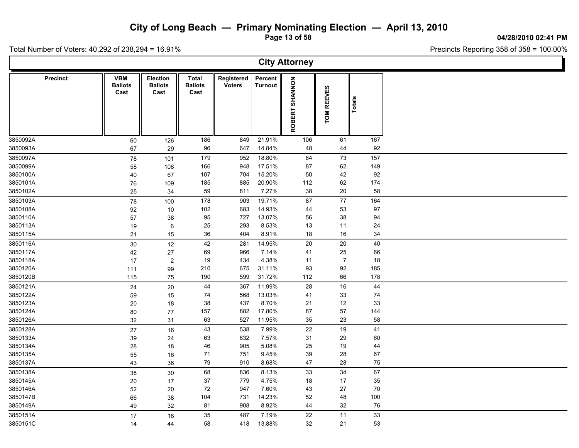**Page 13 of 58**

**04/28/2010 02:41 PM**

Ъ

Total Number of Voters: 40,292 of 238,294 = 16.91%

Г

| <b>City Attorney</b> |                                      |                                           |                                 |                             |                           |                |                             |           |  |  |  |  |  |
|----------------------|--------------------------------------|-------------------------------------------|---------------------------------|-----------------------------|---------------------------|----------------|-----------------------------|-----------|--|--|--|--|--|
| <b>Precinct</b>      | <b>VBM</b><br><b>Ballots</b><br>Cast | <b>Election</b><br><b>Ballots</b><br>Cast | Total<br><b>Ballots</b><br>Cast | Registered<br><b>Voters</b> | Percent<br><b>Turnout</b> | ROBERT SHANNON | <b>REEVES</b><br><b>NOL</b> | Totals    |  |  |  |  |  |
| 3850092A             | 60                                   | 126                                       | 186                             | 849                         | 21.91%                    | 106            | 61                          | 167       |  |  |  |  |  |
| 3850093A             | 67                                   | 29                                        | 96                              | 647                         | 14.84%                    | 48             | 44                          | 92        |  |  |  |  |  |
| 3850097A             | 78                                   | 101                                       | 179                             | 952                         | 18.80%                    | 84             | 73                          | 157       |  |  |  |  |  |
| 3850099A             | 58                                   | 108                                       | 166                             | 948                         | 17.51%                    | 87             | 62                          | 149       |  |  |  |  |  |
| 3850100A             | 40                                   | 67                                        | 107                             | 704                         | 15.20%                    | 50             | 42                          | 92        |  |  |  |  |  |
| 3850101A<br>3850102A | 76                                   | 109                                       | 185<br>59                       | 885<br>811                  | 20.90%<br>7.27%           | 112<br>38      | 62<br>20                    | 174<br>58 |  |  |  |  |  |
|                      | 25                                   | 34                                        |                                 |                             |                           |                |                             |           |  |  |  |  |  |
| 3850103A             | 78                                   | 100                                       | 178                             | 903                         | 19.71%                    | 87             | $77\,$                      | 164       |  |  |  |  |  |
| 3850108A             | 92                                   | 10                                        | 102<br>95                       | 683<br>727                  | 14.93%<br>13.07%          | 44             | 53<br>38                    | 97<br>94  |  |  |  |  |  |
| 3850110A<br>3850113A | 57                                   | 38                                        | 25                              | 293                         | 8.53%                     | 56<br>13       | 11                          | 24        |  |  |  |  |  |
| 3850115A             | 19<br>21                             | 6<br>15                                   | 36                              | 404                         | 8.91%                     | $18$           | $16\,$                      | 34        |  |  |  |  |  |
|                      |                                      |                                           |                                 |                             |                           |                |                             |           |  |  |  |  |  |
| 3850116A<br>3850117A | 30                                   | 12                                        | 42<br>69                        | 281<br>966                  | 14.95%<br>7.14%           | 20<br>41       | 20<br>25                    | 40<br>66  |  |  |  |  |  |
| 3850118A             | 42<br>17                             | 27<br>$\overline{c}$                      | 19                              | 434                         | 4.38%                     | 11             | $\overline{7}$              | 18        |  |  |  |  |  |
| 3850120A             | 111                                  | 99                                        | 210                             | 675                         | 31.11%                    | 93             | 92                          | 185       |  |  |  |  |  |
| 3850120B             | 115                                  | 75                                        | 190                             | 599                         | 31.72%                    | 112            | 66                          | 178       |  |  |  |  |  |
| 3850121A             | 24                                   | 20                                        | 44                              | 367                         | 11.99%                    | 28             | 16                          | 44        |  |  |  |  |  |
| 3850122A             | 59                                   | 15                                        | 74                              | 568                         | 13.03%                    | 41             | 33                          | 74        |  |  |  |  |  |
| 3850123A             | 20                                   | 18                                        | 38                              | 437                         | 8.70%                     | 21             | 12                          | 33        |  |  |  |  |  |
| 3850124A             | 80                                   | 77                                        | 157                             | 882                         | 17.80%                    | 87             | 57                          | 144       |  |  |  |  |  |
| 3850126A             | 32                                   | 31                                        | 63                              | 527                         | 11.95%                    | 35             | 23                          | 58        |  |  |  |  |  |
| 3850128A             | 27                                   | 16                                        | 43                              | 538                         | 7.99%                     | 22             | 19                          | 41        |  |  |  |  |  |
| 3850133A             | 39                                   | 24                                        | 63                              | 832                         | 7.57%                     | 31             | 29                          | 60        |  |  |  |  |  |
| 3850134A             | 28                                   | 18                                        | 46                              | 905                         | 5.08%                     | 25             | 19                          | 44        |  |  |  |  |  |
| 3850135A             | 55                                   | 16                                        | 71                              | 751                         | 9.45%                     | 39             | 28                          | 67        |  |  |  |  |  |
| 3850137A             | 43                                   | 36                                        | 79                              | 910                         | 8.68%                     | 47             | 28                          | 75        |  |  |  |  |  |
| 3850138A             | 38                                   | 30                                        | 68                              | 836                         | 8.13%                     | 33             | 34                          | 67        |  |  |  |  |  |
| 3850145A             | 20                                   | 17                                        | 37                              | 779                         | 4.75%                     | 18             | 17                          | 35        |  |  |  |  |  |
| 3850146A             | 52                                   | 20                                        | 72                              | 947                         | 7.60%                     | 43             | 27                          | $70\,$    |  |  |  |  |  |
| 3850147B             | 66                                   | 38                                        | 104                             | 731                         | 14.23%                    | 52             | 48                          | 100       |  |  |  |  |  |
| 3850149A             | 49                                   | 32                                        | 81                              | 908                         | 8.92%                     | 44             | 32                          | 76        |  |  |  |  |  |
| 3850151A             | 17                                   | 18                                        | 35                              | 487                         | 7.19%                     | 22             | 11                          | 33        |  |  |  |  |  |
| 3850151C             | 14                                   | 44                                        | 58                              | 418                         | 13.88%                    | 32             | 21                          | 53        |  |  |  |  |  |
|                      |                                      |                                           |                                 |                             |                           |                |                             |           |  |  |  |  |  |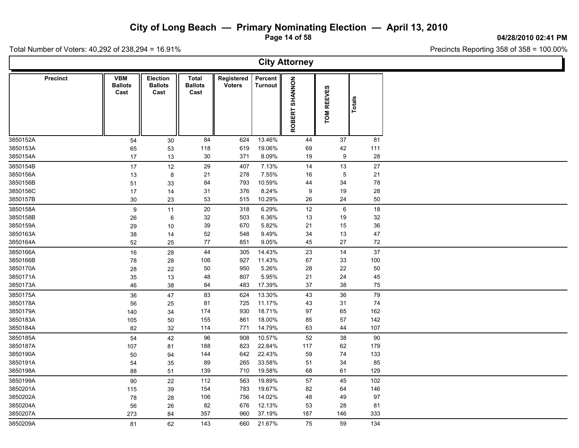**Page 14 of 58**

**04/28/2010 02:41 PM**

Total Number of Voters: 40,292 of 238,294 = 16.91%

| <b>City Attorney</b> |                                      |                                           |                                        |                             |                           |                          |             |        |  |  |  |  |  |
|----------------------|--------------------------------------|-------------------------------------------|----------------------------------------|-----------------------------|---------------------------|--------------------------|-------------|--------|--|--|--|--|--|
| <b>Precinct</b>      | <b>VBM</b><br><b>Ballots</b><br>Cast | <b>Election</b><br><b>Ballots</b><br>Cast | <b>Total</b><br><b>Ballots</b><br>Cast | Registered<br><b>Voters</b> | Percent<br><b>Turnout</b> | <b>NONNAHS</b><br>ROBERT | TOM REEVES  | Totals |  |  |  |  |  |
| 3850152A             | 54                                   | 30                                        | 84                                     | 624                         | 13.46%                    | 44                       | 37          | 81     |  |  |  |  |  |
| 3850153A             | 65                                   | 53                                        | 118                                    | 619                         | 19.06%                    | 69                       | 42          | 111    |  |  |  |  |  |
| 3850154A             | 17                                   | 13                                        | 30                                     | 371                         | 8.09%                     | 19                       | 9           | 28     |  |  |  |  |  |
| 3850154B             | 17                                   | $12$                                      | 29                                     | 407                         | 7.13%                     | 14                       | 13          | 27     |  |  |  |  |  |
| 3850156A             | 13                                   | $\bf 8$                                   | 21                                     | 278                         | 7.55%                     | 16                       | $\mathbf 5$ | 21     |  |  |  |  |  |
| 3850156B             | 51                                   | 33                                        | 84                                     | 793                         | 10.59%                    | 44                       | 34          | 78     |  |  |  |  |  |
| 3850156C             | 17                                   | 14                                        | 31                                     | 376                         | 8.24%                     | 9                        | 19          | 28     |  |  |  |  |  |
| 3850157B             | $30\,$                               | 23                                        | 53                                     | 515                         | 10.29%                    | 26                       | 24          | 50     |  |  |  |  |  |
| 3850158A             | 9                                    | 11                                        | $20\,$                                 | 318                         | 6.29%                     | 12                       | $\,6\,$     | 18     |  |  |  |  |  |
| 3850158B             | 26                                   | 6                                         | 32                                     | 503                         | 6.36%                     | 13                       | 19          | 32     |  |  |  |  |  |
| 3850159A             | 29                                   | 10                                        | 39                                     | 670                         | 5.82%                     | 21                       | 15          | 36     |  |  |  |  |  |
| 3850163A             | 38                                   | 14                                        | 52                                     | 548                         | 9.49%                     | 34                       | 13          | 47     |  |  |  |  |  |
| 3850164A             | 52                                   | 25                                        | 77                                     | 851                         | 9.05%                     | 45                       | 27          | 72     |  |  |  |  |  |
| 3850166A             | 16                                   | 28                                        | 44                                     | 305                         | 14.43%                    | 23                       | 14          | 37     |  |  |  |  |  |
| 3850166B             | 78                                   | 28                                        | 106                                    | 927                         | 11.43%                    | 67                       | 33          | 100    |  |  |  |  |  |
| 3850170A             | 28                                   | 22                                        | 50                                     | 950                         | 5.26%                     | 28                       | 22          | 50     |  |  |  |  |  |
| 3850171A             | 35                                   | 13                                        | 48                                     | 807                         | 5.95%                     | 21                       | 24          | 45     |  |  |  |  |  |
| 3850173A             | 46                                   | 38                                        | 84                                     | 483                         | 17.39%                    | 37                       | 38          | 75     |  |  |  |  |  |
| 3850175A             | 36                                   | 47                                        | 83                                     | 624                         | 13.30%                    | 43                       | 36          | 79     |  |  |  |  |  |
| 3850178A             | 56                                   | 25                                        | 81                                     | 725                         | 11.17%                    | 43                       | 31          | 74     |  |  |  |  |  |
| 3850179A             | 140                                  | 34                                        | 174                                    | 930                         | 18.71%                    | 97                       | 65          | 162    |  |  |  |  |  |
| 3850183A             | 105                                  | 50                                        | 155                                    | 861                         | 18.00%                    | 85                       | 57          | 142    |  |  |  |  |  |
| 3850184A             | 82                                   | 32                                        | 114                                    | 771                         | 14.79%                    | 63                       | 44          | 107    |  |  |  |  |  |
| 3850185A             | 54                                   | 42                                        | 96                                     | 908                         | 10.57%                    | 52                       | 38          | 90     |  |  |  |  |  |
| 3850187A             | 107                                  | 81                                        | 188                                    | 823                         | 22.84%                    | 117                      | 62          | 179    |  |  |  |  |  |
| 3850190A             | 50                                   | 94                                        | 144                                    | 642                         | 22.43%                    | 59                       | 74          | 133    |  |  |  |  |  |
| 3850191A             | 54                                   | 35                                        | 89                                     | 265                         | 33.58%                    | 51                       | 34          | 85     |  |  |  |  |  |
| 3850198A             | 88                                   | 51                                        | 139                                    | 710                         | 19.58%                    | 68                       | 61          | 129    |  |  |  |  |  |
| 3850199A             | 90                                   | 22                                        | 112                                    | 563                         | 19.89%                    | 57                       | 45          | 102    |  |  |  |  |  |
| 3850201A             | 115                                  | 39                                        | 154                                    | 783                         | 19.67%                    | 82                       | 64          | 146    |  |  |  |  |  |
| 3850202A             | 78                                   | 28                                        | 106                                    | 756                         | 14.02%                    | 48                       | 49          | 97     |  |  |  |  |  |
| 3850204A             | 56                                   | 26                                        | 82                                     | 676                         | 12.13%                    | 53                       | 28          | 81     |  |  |  |  |  |
| 3850207A             | 273                                  | 84                                        | 357                                    | 960                         | 37.19%                    | 187                      | 146         | 333    |  |  |  |  |  |
| 3850209A             | 81                                   | 62                                        | 143                                    | 660                         | 21.67%                    | 75                       | 59          | 134    |  |  |  |  |  |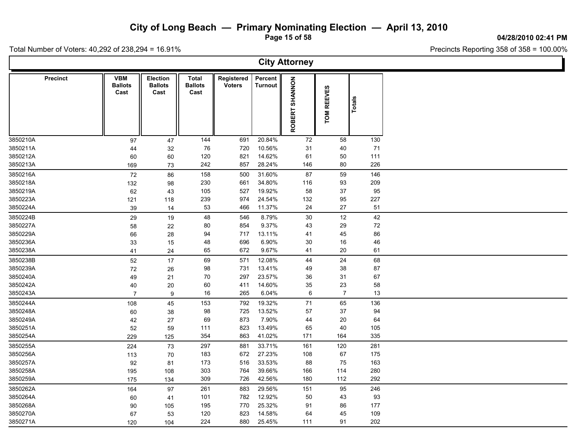**Page 15 of 58**

**04/28/2010 02:41 PM**

Total Number of Voters: 40,292 of 238,294 = 16.91%

 $\Gamma$ 

|          | <b>City Attorney</b> |                                      |                                           |                                 |                             |                           |                |                |          |  |  |  |  |  |
|----------|----------------------|--------------------------------------|-------------------------------------------|---------------------------------|-----------------------------|---------------------------|----------------|----------------|----------|--|--|--|--|--|
|          | <b>Precinct</b>      | <b>VBM</b><br><b>Ballots</b><br>Cast | <b>Election</b><br><b>Ballots</b><br>Cast | Total<br><b>Ballots</b><br>Cast | Registered<br><b>Voters</b> | Percent<br><b>Turnout</b> | ROBERT SHANNON | TOM REEVES     | Totals   |  |  |  |  |  |
| 3850210A |                      | 97                                   | 47                                        | 144                             | 691                         | 20.84%                    | 72             | 58             | 130      |  |  |  |  |  |
| 3850211A |                      | 44                                   | 32                                        | 76                              | 720                         | 10.56%                    | 31             | 40             | 71       |  |  |  |  |  |
| 3850212A |                      | 60                                   | 60                                        | 120                             | 821                         | 14.62%                    | 61             | 50             | 111      |  |  |  |  |  |
| 3850213A |                      | 169                                  | 73                                        | 242                             | 857                         | 28.24%                    | 146            | $80\,$         | 226      |  |  |  |  |  |
| 3850216A |                      | 72                                   | 86                                        | 158                             | 500                         | 31.60%                    | 87             | 59             | 146      |  |  |  |  |  |
| 3850218A |                      | 132                                  | 98                                        | 230                             | 661                         | 34.80%                    | 116            | 93             | 209      |  |  |  |  |  |
| 3850219A |                      | 62                                   | 43                                        | 105                             | 527                         | 19.92%                    | 58             | 37             | 95       |  |  |  |  |  |
| 3850223A |                      | 121                                  | 118                                       | 239                             | 974                         | 24.54%                    | 132            | 95             | 227      |  |  |  |  |  |
| 3850224A |                      | 39                                   | 14                                        | 53                              | 466                         | 11.37%                    | 24             | 27             | 51       |  |  |  |  |  |
| 3850224B |                      | 29                                   | 19                                        | 48                              | 546                         | 8.79%                     | 30             | 12             | 42       |  |  |  |  |  |
| 3850227A |                      | 58                                   | 22                                        | 80                              | 854                         | 9.37%                     | 43             | 29             | $\bf 72$ |  |  |  |  |  |
| 3850229A |                      | 66                                   | 28                                        | 94                              | 717                         | 13.11%                    | 41             | 45             | 86       |  |  |  |  |  |
| 3850236A |                      | 33                                   | 15                                        | 48                              | 696                         | 6.90%                     | 30             | 16             | 46       |  |  |  |  |  |
| 3850238A |                      | 41                                   | 24                                        | 65                              | 672                         | 9.67%                     | 41             | 20             | 61       |  |  |  |  |  |
| 3850238B |                      | 52                                   | 17                                        | 69                              | 571                         | 12.08%                    | 44             | 24             | 68       |  |  |  |  |  |
| 3850239A |                      | 72                                   | 26                                        | 98                              | 731                         | 13.41%                    | 49             | 38             | $87\,$   |  |  |  |  |  |
| 3850240A |                      | 49                                   | 21                                        | 70                              | 297                         | 23.57%                    | 36             | 31             | 67       |  |  |  |  |  |
| 3850242A |                      | 40                                   | 20                                        | 60                              | 411                         | 14.60%                    | 35             | 23             | 58       |  |  |  |  |  |
| 3850243A |                      | $\overline{7}$                       | 9                                         | 16                              | 265                         | 6.04%                     | 6              | $\overline{7}$ | 13       |  |  |  |  |  |
| 3850244A |                      | 108                                  | 45                                        | 153                             | 792                         | 19.32%                    | 71             | 65             | 136      |  |  |  |  |  |
| 3850248A |                      | 60                                   | 38                                        | 98                              | 725                         | 13.52%                    | 57             | 37             | 94       |  |  |  |  |  |
| 3850249A |                      | 42                                   | 27                                        | 69                              | 873                         | 7.90%                     | 44             | $20\,$         | 64       |  |  |  |  |  |
| 3850251A |                      | 52                                   | 59                                        | 111                             | 823                         | 13.49%                    | 65             | 40             | 105      |  |  |  |  |  |
| 3850254A |                      | 229                                  | 125                                       | 354                             | 863                         | 41.02%                    | 171            | 164            | 335      |  |  |  |  |  |
| 3850255A |                      | 224                                  | 73                                        | 297                             | 881                         | 33.71%                    | 161            | 120            | 281      |  |  |  |  |  |
| 3850256A |                      | 113                                  | 70                                        | 183                             | 672                         | 27.23%                    | 108            | 67             | 175      |  |  |  |  |  |
| 3850257A |                      | 92                                   | 81                                        | 173                             | 516                         | 33.53%                    | 88             | 75             | 163      |  |  |  |  |  |
| 3850258A |                      | 195                                  | 108                                       | 303                             | 764                         | 39.66%                    | 166            | 114            | 280      |  |  |  |  |  |
| 3850259A |                      | 175                                  | 134                                       | 309                             | 726                         | 42.56%                    | 180            | 112            | 292      |  |  |  |  |  |
| 3850262A |                      | 164                                  | 97                                        | 261                             | 883                         | 29.56%                    | 151            | 95             | 246      |  |  |  |  |  |
| 3850264A |                      | 60                                   | 41                                        | 101                             | 782                         | 12.92%                    | 50             | 43             | 93       |  |  |  |  |  |
| 3850268A |                      | 90                                   | 105                                       | 195                             | 770                         | 25.32%                    | 91             | 86             | 177      |  |  |  |  |  |
| 3850270A |                      | 67                                   | 53                                        | 120                             | 823                         | 14.58%                    | 64             | 45             | 109      |  |  |  |  |  |
| 3850271A |                      | 120                                  | 104                                       | 224                             | 880                         | 25.45%                    | 111            | 91             | 202      |  |  |  |  |  |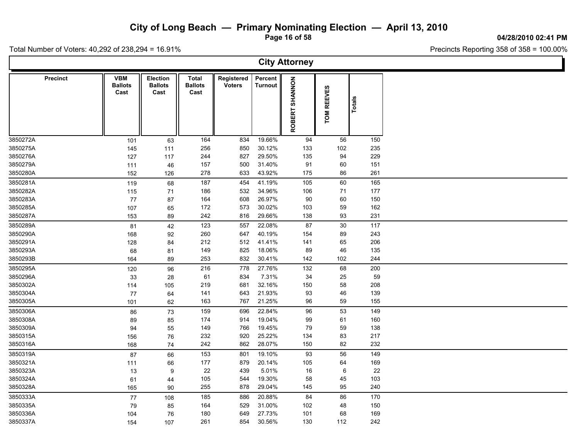**Page 16 of 58**

**04/28/2010 02:41 PM**

Total Number of Voters: 40,292 of 238,294 = 16.91%

 $\Gamma$ 

| <b>City Attorney</b> |                                      |                                    |                                 |                             |                           |                |            |               |  |  |  |  |  |
|----------------------|--------------------------------------|------------------------------------|---------------------------------|-----------------------------|---------------------------|----------------|------------|---------------|--|--|--|--|--|
| <b>Precinct</b>      | <b>VBM</b><br><b>Ballots</b><br>Cast | Election<br><b>Ballots</b><br>Cast | Total<br><b>Ballots</b><br>Cast | Registered<br><b>Voters</b> | Percent<br><b>Turnout</b> | ROBERT SHANNON | TOM REEVES | <b>Totals</b> |  |  |  |  |  |
| 3850272A             | 101                                  | 63                                 | 164                             | 834                         | 19.66%                    | 94             | 56         | 150           |  |  |  |  |  |
| 3850275A             | 145                                  | 111                                | 256                             | 850                         | 30.12%                    | 133            | 102        | 235           |  |  |  |  |  |
| 3850276A             | 127                                  | 117                                | 244                             | 827                         | 29.50%                    | 135            | 94         | 229           |  |  |  |  |  |
| 3850279A             | 111                                  | 46                                 | 157                             | 500                         | 31.40%                    | 91             | 60         | 151           |  |  |  |  |  |
| 3850280A             | 152                                  | 126                                | 278                             | 633                         | 43.92%                    | 175            | 86         | 261           |  |  |  |  |  |
| 3850281A             | 119                                  | 68                                 | 187                             | 454                         | 41.19%                    | 105            | 60         | 165           |  |  |  |  |  |
| 3850282A             | 115                                  | 71                                 | 186                             | 532                         | 34.96%                    | 106            | 71         | 177           |  |  |  |  |  |
| 3850283A             | $77$                                 | 87                                 | 164                             | 608                         | 26.97%                    | 90             | 60         | 150           |  |  |  |  |  |
| 3850285A             | 107                                  | 65                                 | 172                             | 573                         | 30.02%                    | 103            | 59         | 162           |  |  |  |  |  |
| 3850287A             | 153                                  | 89                                 | 242                             | 816                         | 29.66%                    | 138            | 93         | 231           |  |  |  |  |  |
| 3850289A             | 81                                   | 42                                 | 123                             | 557                         | 22.08%                    | 87             | 30         | 117           |  |  |  |  |  |
| 3850290A             | 168                                  | 92                                 | 260                             | 647                         | 40.19%                    | 154            | 89         | 243           |  |  |  |  |  |
| 3850291A             | 128                                  | 84                                 | 212                             | 512                         | 41.41%                    | 141            | 65         | 206           |  |  |  |  |  |
| 3850293A             | 68                                   | 81                                 | 149                             | 825                         | 18.06%                    | 89             | 46         | 135           |  |  |  |  |  |
| 3850293B             | 164                                  | 89                                 | 253                             | 832                         | 30.41%                    | 142            | 102        | 244           |  |  |  |  |  |
| 3850295A             | 120                                  | 96                                 | 216                             | 778                         | 27.76%                    | 132            | 68         | 200           |  |  |  |  |  |
| 3850296A             | 33                                   | 28                                 | 61                              | 834                         | 7.31%                     | 34             | 25         | 59            |  |  |  |  |  |
| 3850302A             | 114                                  | 105                                | 219                             | 681                         | 32.16%                    | 150            | 58         | 208           |  |  |  |  |  |
| 3850304A             | 77                                   | 64                                 | 141                             | 643                         | 21.93%                    | 93             | 46         | 139           |  |  |  |  |  |
| 3850305A             | 101                                  | 62                                 | 163                             | 767                         | 21.25%                    | 96             | 59         | 155           |  |  |  |  |  |
| 3850306A             | 86                                   | 73                                 | 159                             | 696                         | 22.84%                    | 96             | 53         | 149           |  |  |  |  |  |
| 3850308A             | 89                                   | 85                                 | 174                             | 914                         | 19.04%                    | 99             | 61         | 160           |  |  |  |  |  |
| 3850309A             | 94                                   | 55                                 | 149                             | 766                         | 19.45%                    | 79             | 59         | 138           |  |  |  |  |  |
| 3850315A             | 156                                  | 76                                 | 232                             | 920                         | 25.22%                    | 134            | 83         | 217           |  |  |  |  |  |
| 3850316A             | 168                                  | 74                                 | 242                             | 862                         | 28.07%                    | 150            | 82         | 232           |  |  |  |  |  |
| 3850319A             | 87                                   | 66                                 | 153                             | 801                         | 19.10%                    | 93             | 56         | 149           |  |  |  |  |  |
| 3850321A             | 111                                  | 66                                 | 177                             | 879                         | 20.14%                    | 105            | 64         | 169           |  |  |  |  |  |
| 3850323A             | 13                                   | $\boldsymbol{9}$                   | 22                              | 439                         | 5.01%                     | $16\,$         | $\,6\,$    | 22            |  |  |  |  |  |
| 3850324A             | 61                                   | 44                                 | 105                             | 544                         | 19.30%                    | 58             | 45         | 103           |  |  |  |  |  |
| 3850328A             | 165                                  | 90                                 | 255                             | 878                         | 29.04%                    | 145            | 95         | 240           |  |  |  |  |  |
| 3850333A             | 77                                   | 108                                | 185                             | 886                         | 20.88%                    | 84             | 86         | 170           |  |  |  |  |  |
| 3850335A             | 79                                   | 85                                 | 164                             | 529                         | 31.00%                    | 102            | 48         | 150           |  |  |  |  |  |
| 3850336A             | 104                                  | 76                                 | 180                             | 649                         | 27.73%                    | 101            | 68         | 169           |  |  |  |  |  |
| 3850337A             | 154                                  | 107                                | 261                             | 854                         | 30.56%                    | 130            | 112        | 242           |  |  |  |  |  |
|                      |                                      |                                    |                                 |                             |                           |                |            |               |  |  |  |  |  |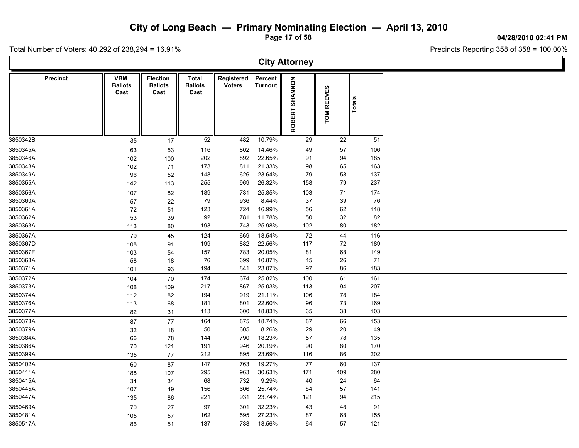**Page 17 of 58**

#### **04/28/2010 02:41 PM**

Total Number of Voters: 40,292 of 238,294 = 16.91%

| <b>City Attorney</b> |                                      |                                           |                                        |                             |                           |                                 |            |        |  |  |  |  |  |
|----------------------|--------------------------------------|-------------------------------------------|----------------------------------------|-----------------------------|---------------------------|---------------------------------|------------|--------|--|--|--|--|--|
| <b>Precinct</b>      | <b>VBM</b><br><b>Ballots</b><br>Cast | <b>Election</b><br><b>Ballots</b><br>Cast | <b>Total</b><br><b>Ballots</b><br>Cast | Registered<br><b>Voters</b> | Percent<br><b>Turnout</b> | <b>SHANNON</b><br><b>ROBERT</b> | TOM REEVES | Totals |  |  |  |  |  |
| 3850342B             | 35                                   | 17                                        | 52                                     | 482                         | 10.79%                    | 29                              | 22         | 51     |  |  |  |  |  |
| 3850345A             | 63                                   | 53                                        | 116                                    | 802                         | 14.46%                    | 49                              | 57         | 106    |  |  |  |  |  |
| 3850346A             | 102                                  | 100                                       | 202                                    | 892                         | 22.65%                    | 91                              | 94         | 185    |  |  |  |  |  |
| 3850348A             | 102                                  | 71                                        | 173                                    | 811                         | 21.33%                    | 98                              | 65         | 163    |  |  |  |  |  |
| 3850349A             | 96                                   | 52                                        | 148                                    | 626                         | 23.64%                    | 79                              | 58         | 137    |  |  |  |  |  |
| 3850355A             | 142                                  | 113                                       | 255                                    | 969                         | 26.32%                    | 158                             | 79         | 237    |  |  |  |  |  |
| 3850356A             | 107                                  | 82                                        | 189                                    | 731                         | 25.85%                    | 103                             | 71         | 174    |  |  |  |  |  |
| 3850360A             | 57                                   | 22                                        | 79                                     | 936                         | 8.44%                     | 37                              | 39         | 76     |  |  |  |  |  |
| 3850361A             | 72                                   | 51                                        | 123                                    | 724                         | 16.99%                    | 56                              | 62         | 118    |  |  |  |  |  |
| 3850362A             | 53                                   | 39                                        | 92                                     | 781                         | 11.78%                    | 50                              | 32         | 82     |  |  |  |  |  |
| 3850363A             | 113                                  | 80                                        | 193                                    | 743                         | 25.98%                    | 102                             | 80         | 182    |  |  |  |  |  |
| 3850367A             | 79                                   | 45                                        | 124                                    | 669                         | 18.54%                    | 72                              | 44         | 116    |  |  |  |  |  |
| 3850367D             | 108                                  | 91                                        | 199                                    | 882                         | 22.56%                    | 117                             | 72         | 189    |  |  |  |  |  |
| 3850367F             | 103                                  | 54                                        | 157                                    | 783                         | 20.05%                    | 81                              | 68         | 149    |  |  |  |  |  |
| 3850368A             | 58                                   | 18                                        | 76                                     | 699                         | 10.87%                    | 45                              | 26         | 71     |  |  |  |  |  |
| 3850371A             | 101                                  | 93                                        | 194                                    | 841                         | 23.07%                    | 97                              | 86         | 183    |  |  |  |  |  |
| 3850372A             | 104                                  | 70                                        | 174                                    | 674                         | 25.82%                    | 100                             | 61         | 161    |  |  |  |  |  |
| 3850373A             | 108                                  | 109                                       | 217                                    | 867                         | 25.03%                    | 113                             | 94         | 207    |  |  |  |  |  |
| 3850374A             | 112                                  | 82                                        | 194                                    | 919                         | 21.11%                    | 106                             | 78         | 184    |  |  |  |  |  |
| 3850376A             | 113                                  | 68                                        | 181                                    | 801                         | 22.60%                    | 96                              | 73         | 169    |  |  |  |  |  |
| 3850377A             | 82                                   | 31                                        | 113                                    | 600                         | 18.83%                    | 65                              | 38         | 103    |  |  |  |  |  |
| 3850378A             | 87                                   | 77                                        | 164                                    | 875                         | 18.74%                    | 87                              | 66         | 153    |  |  |  |  |  |
| 3850379A             | 32                                   | 18                                        | 50                                     | 605                         | 8.26%                     | 29                              | 20         | 49     |  |  |  |  |  |
| 3850384A             | 66                                   | 78                                        | 144                                    | 790                         | 18.23%                    | 57                              | 78         | 135    |  |  |  |  |  |
| 3850386A             | 70                                   | 121                                       | 191                                    | 946                         | 20.19%                    | 90                              | 80         | 170    |  |  |  |  |  |
| 3850399A             | 135                                  | 77                                        | 212                                    | 895                         | 23.69%                    | 116                             | 86         | 202    |  |  |  |  |  |
| 3850402A             | 60                                   | 87                                        | 147                                    | 763                         | 19.27%                    | 77                              | 60         | 137    |  |  |  |  |  |
| 3850411A             |                                      | 107                                       | 295                                    | 963                         | 30.63%                    | 171                             | 109        | 280    |  |  |  |  |  |
| 3850415A             | 188<br>34                            |                                           | 68                                     | 732                         | 9.29%                     | 40                              | 24         | 64     |  |  |  |  |  |
| 3850445A             | 107                                  | 34<br>49                                  | 156                                    | 606                         | 25.74%                    | 84                              | 57         | 141    |  |  |  |  |  |
| 3850447A             | 135                                  | 86                                        | 221                                    | 931                         | 23.74%                    | 121                             | 94         | 215    |  |  |  |  |  |
|                      |                                      |                                           |                                        |                             |                           |                                 |            |        |  |  |  |  |  |
| 3850469A             | 70                                   | 27                                        | 97                                     | 301                         | 32.23%                    | 43                              | 48         | 91     |  |  |  |  |  |
| 3850481A             | 105                                  | 57                                        | 162                                    | 595                         | 27.23%                    | 87                              | 68         | 155    |  |  |  |  |  |
| 3850517A             | 86                                   | 51                                        | 137                                    | 738                         | 18.56%                    | 64                              | 57         | 121    |  |  |  |  |  |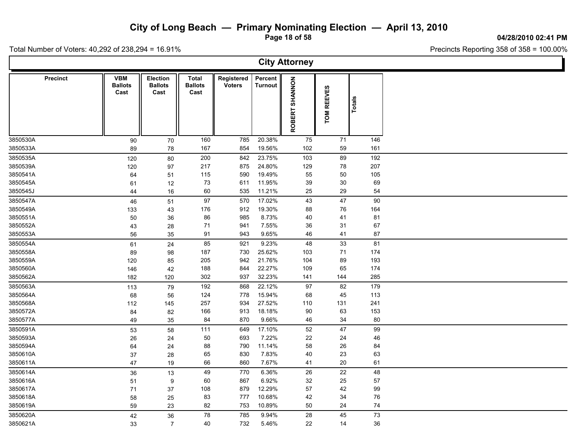**Page 18 of 58**

**04/28/2010 02:41 PM**

Ъ

Total Number of Voters: 40,292 of 238,294 = 16.91%

Г

| <b>City Attorney</b> |                                      |                                           |                                 |                             |                           |                |                             |               |  |  |  |  |  |
|----------------------|--------------------------------------|-------------------------------------------|---------------------------------|-----------------------------|---------------------------|----------------|-----------------------------|---------------|--|--|--|--|--|
| <b>Precinct</b>      | <b>VBM</b><br><b>Ballots</b><br>Cast | <b>Election</b><br><b>Ballots</b><br>Cast | Total<br><b>Ballots</b><br>Cast | Registered<br><b>Voters</b> | Percent<br><b>Turnout</b> | ROBERT SHANNON | <b>REEVES</b><br><b>NOL</b> | <b>Totals</b> |  |  |  |  |  |
| 3850530A             | 90                                   | 70                                        | 160                             | 785                         | 20.38%                    | 75             | 71                          | 146           |  |  |  |  |  |
| 3850533A             | 89                                   | 78                                        | 167                             | 854                         | 19.56%                    | 102            | 59                          | 161           |  |  |  |  |  |
| 3850535A             | 120                                  | 80                                        | 200                             | 842                         | 23.75%                    | 103            | 89                          | 192           |  |  |  |  |  |
| 3850539A             | 120                                  | 97                                        | 217                             | 875                         | 24.80%                    | 129            | 78                          | 207           |  |  |  |  |  |
| 3850541A             | 64                                   | 51                                        | 115                             | 590                         | 19.49%                    | 55             | 50                          | 105           |  |  |  |  |  |
| 3850545A<br>3850545J | 61                                   | 12                                        | 73<br>60                        | 611<br>535                  | 11.95%<br>11.21%          | 39<br>25       | 30<br>29                    | 69<br>54      |  |  |  |  |  |
|                      | 44                                   | 16                                        |                                 |                             |                           |                |                             |               |  |  |  |  |  |
| 3850547A             | 46                                   | 51                                        | 97<br>176                       | 570<br>912                  | 17.02%<br>19.30%          | 43             | 47                          | 90            |  |  |  |  |  |
| 3850549A<br>3850551A | 133                                  | 43                                        | 86                              | 985                         | 8.73%                     | 88<br>40       | 76<br>41                    | 164<br>81     |  |  |  |  |  |
| 3850552A             | 50<br>43                             | 36<br>28                                  | 71                              | 941                         | 7.55%                     | 36             | 31                          | 67            |  |  |  |  |  |
| 3850553A             | 56                                   | 35                                        | 91                              | 943                         | 9.65%                     | 46             | 41                          | 87            |  |  |  |  |  |
| 3850554A             |                                      | 24                                        | 85                              | 921                         | 9.23%                     | 48             | 33                          | 81            |  |  |  |  |  |
| 3850558A             | 61<br>89                             | 98                                        | 187                             | 730                         | 25.62%                    | 103            | 71                          | 174           |  |  |  |  |  |
| 3850559A             | 120                                  | 85                                        | 205                             | 942                         | 21.76%                    | 104            | 89                          | 193           |  |  |  |  |  |
| 3850560A             | 146                                  | 42                                        | 188                             | 844                         | 22.27%                    | 109            | 65                          | 174           |  |  |  |  |  |
| 3850562A             | 182                                  | 120                                       | 302                             | 937                         | 32.23%                    | 141            | 144                         | 285           |  |  |  |  |  |
| 3850563A             | 113                                  | 79                                        | 192                             | 868                         | 22.12%                    | 97             | 82                          | 179           |  |  |  |  |  |
| 3850564A             | 68                                   | 56                                        | 124                             | 778                         | 15.94%                    | 68             | 45                          | 113           |  |  |  |  |  |
| 3850568A             | 112                                  | 145                                       | 257                             | 934                         | 27.52%                    | 110            | 131                         | 241           |  |  |  |  |  |
| 3850572A             | 84                                   | 82                                        | 166                             | 913                         | 18.18%                    | 90             | 63                          | 153           |  |  |  |  |  |
| 3850577A             | 49                                   | 35                                        | 84                              | 870                         | 9.66%                     | 46             | 34                          | 80            |  |  |  |  |  |
| 3850591A             | 53                                   | 58                                        | 111                             | 649                         | 17.10%                    | 52             | 47                          | 99            |  |  |  |  |  |
| 3850593A             | 26                                   | 24                                        | 50                              | 693                         | 7.22%                     | 22             | 24                          | 46            |  |  |  |  |  |
| 3850594A             | 64                                   | 24                                        | 88                              | 790                         | 11.14%                    | 58             | 26                          | 84            |  |  |  |  |  |
| 3850610A             | 37                                   | 28                                        | 65                              | 830                         | 7.83%                     | 40             | 23                          | 63            |  |  |  |  |  |
| 3850611A             | 47                                   | 19                                        | 66                              | 860                         | 7.67%                     | 41             | 20                          | 61            |  |  |  |  |  |
| 3850614A             | 36                                   | 13                                        | 49                              | 770                         | 6.36%                     | 26             | 22                          | 48            |  |  |  |  |  |
| 3850616A             | 51                                   | 9                                         | 60                              | 867                         | 6.92%                     | 32             | 25                          | 57            |  |  |  |  |  |
| 3850617A             | 71                                   | 37                                        | 108                             | 879                         | 12.29%                    | 57             | 42                          | 99            |  |  |  |  |  |
| 3850618A             | 58                                   | 25                                        | 83                              | 777                         | 10.68%                    | 42             | 34                          | 76            |  |  |  |  |  |
| 3850619A             | 59                                   | 23                                        | 82                              | 753                         | 10.89%                    | 50             | 24                          | ${\bf 74}$    |  |  |  |  |  |
| 3850620A             | 42                                   | 36                                        | 78                              | 785                         | 9.94%                     | 28             | 45                          | $73\,$        |  |  |  |  |  |
| 3850621A             | 33                                   | $\overline{7}$                            | 40                              | 732                         | 5.46%                     | 22             | 14                          | 36            |  |  |  |  |  |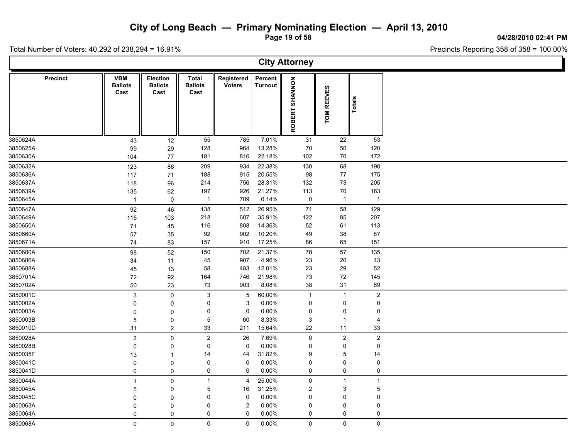**Page 19 of 58**

**04/28/2010 02:41 PM**

Total Number of Voters: 40,292 of 238,294 = 16.91%

 $\Gamma$ 

| <b>City Attorney</b> |                 |                                      |                                           |                                        |                             |                           |                          |                             |                |  |  |  |  |
|----------------------|-----------------|--------------------------------------|-------------------------------------------|----------------------------------------|-----------------------------|---------------------------|--------------------------|-----------------------------|----------------|--|--|--|--|
|                      | <b>Precinct</b> | <b>VBM</b><br><b>Ballots</b><br>Cast | <b>Election</b><br><b>Ballots</b><br>Cast | <b>Total</b><br><b>Ballots</b><br>Cast | Registered<br><b>Voters</b> | Percent<br><b>Turnout</b> | SHANNON<br><b>ROBERT</b> | <b>REEVES</b><br><b>NOL</b> | Totals         |  |  |  |  |
| 3850624A             |                 | 43                                   | 12                                        | 55                                     | 785                         | 7.01%                     | 31                       | 22                          | 53             |  |  |  |  |
| 3850625A             |                 | 99                                   | 29                                        | 128                                    | 964                         | 13.28%                    | 70                       | 50                          | 120            |  |  |  |  |
| 3850630A             |                 | 104                                  | 77                                        | 181                                    | 816                         | 22.18%                    | 102                      | 70                          | 172            |  |  |  |  |
| 3850632A             |                 | 123                                  | 86                                        | 209                                    | 934                         | 22.38%                    | 130                      | 68                          | 198            |  |  |  |  |
| 3850636A             |                 | 117                                  | 71                                        | 188                                    | 915                         | 20.55%                    | 98                       | 77                          | 175            |  |  |  |  |
| 3850637A             |                 | 118                                  | 96                                        | 214                                    | 756                         | 28.31%                    | 132                      | $73\,$                      | 205            |  |  |  |  |
| 3850639A             |                 | 135                                  | 62                                        | 197                                    | 926                         | 21.27%                    | 113                      | 70                          | 183            |  |  |  |  |
| 3850645A             |                 | $\mathbf{1}$                         | $\mathbf 0$                               | $\mathbf{1}$                           | 709                         | 0.14%                     | 0                        | $\mathbf{1}$                | $\overline{1}$ |  |  |  |  |
| 3850647A             |                 | 92                                   | 46                                        | 138                                    | 512                         | 26.95%                    | 71                       | 58                          | 129            |  |  |  |  |
| 3850649A             |                 | 115                                  | 103                                       | 218                                    | 607                         | 35.91%                    | 122                      | 85                          | 207            |  |  |  |  |
| 3850650A             |                 | 71                                   | 45                                        | 116                                    | 808                         | 14.36%                    | 52                       | 61                          | 113            |  |  |  |  |
| 3850660A             |                 | 57                                   | 35                                        | 92                                     | 902                         | 10.20%                    | 49                       | $38\,$                      | 87             |  |  |  |  |
| 3850671A             |                 | 74                                   | 83                                        | 157                                    | 910                         | 17.25%                    | 86                       | 65                          | 151            |  |  |  |  |
| 3850680A             |                 | 98                                   | 52                                        | 150                                    | 702                         | 21.37%                    | 78                       | 57                          | 135            |  |  |  |  |
| 3850686A             |                 | 34                                   | 11                                        | 45                                     | 907                         | 4.96%                     | 23                       | $20\,$                      | 43             |  |  |  |  |
| 3850688A             |                 | 45                                   | 13                                        | 58                                     | 483                         | 12.01%                    | 23                       | 29                          | 52             |  |  |  |  |
| 3850701A             |                 | 72                                   | 92                                        | 164                                    | 746                         | 21.98%                    | 73                       | $72\,$                      | 145            |  |  |  |  |
| 3850702A             |                 | 50                                   | 23                                        | 73                                     | 903                         | 8.08%                     | 38                       | 31                          | 69             |  |  |  |  |
| 3850001C             |                 | $\mathbf{3}$                         | $\mathbf 0$                               | $\mathfrak{S}$                         | $5\overline{)}$             | 60.00%                    | $\overline{1}$           | $\mathbf{1}$                | $\mathbf 2$    |  |  |  |  |
| 3850002A             |                 | 0                                    | 0                                         | 0                                      | 3                           | 0.00%                     | $\mathbf 0$              | $\mathsf 0$                 | 0              |  |  |  |  |
| 3850003A             |                 | $\mathbf 0$                          | $\pmb{0}$                                 | 0                                      | $\mathbf 0$                 | 0.00%                     | 0                        | 0                           | 0              |  |  |  |  |
| 3850003B             |                 | 5                                    | 0                                         | 5                                      | 60                          | 8.33%                     | 3                        | $\mathbf{1}$                | $\overline{4}$ |  |  |  |  |
| 3850010D             |                 | 31                                   | $\overline{2}$                            | 33                                     | 211                         | 15.64%                    | 22                       | 11                          | 33             |  |  |  |  |
| 3850028A             |                 | $\boldsymbol{2}$                     | 0                                         | $\overline{2}$                         | 26                          | 7.69%                     | $\mathsf{O}$             | $\overline{2}$              | $\overline{2}$ |  |  |  |  |
| 3850028B             |                 | 0                                    | 0                                         | 0                                      | $\mathbf 0$                 | 0.00%                     | 0                        | 0                           | 0              |  |  |  |  |
| 3850035F             |                 | 13                                   | 1                                         | 14                                     | 44                          | 31.82%                    | 9                        | 5                           | 14             |  |  |  |  |
| 3850041C             |                 | $\mathbf 0$                          | 0                                         | 0                                      | $\mathbf 0$                 | $0.00\%$                  | 0                        | 0                           | 0              |  |  |  |  |
| 3850041D             |                 | $\mathbf 0$                          | 0                                         | 0                                      | $\mathbf 0$                 | 0.00%                     | 0                        | 0                           | 0              |  |  |  |  |
| 3850044A             |                 | 1                                    | 0                                         | $\mathbf{1}$                           | $\overline{4}$              | 25.00%                    | $\mathbf 0$              | $\mathbf{1}$                | $\mathbf{1}$   |  |  |  |  |
| 3850045A             |                 | 5                                    | $\mathbf 0$                               | 5                                      | 16                          | 31.25%                    | $\overline{2}$           | 3                           | 5              |  |  |  |  |
| 3850045C             |                 | $\mathbf 0$                          | 0                                         | 0                                      | $\mathbf 0$                 | $0.00\%$                  | 0                        | 0                           | 0              |  |  |  |  |
| 3850063A             |                 | 0                                    | 0                                         | 0                                      | $\sqrt{2}$                  | 0.00%                     | 0                        | 0                           | $\Omega$       |  |  |  |  |
| 3850064A             |                 | $\mathbf 0$                          | $\mathbf 0$                               | 0                                      | $\mathbf 0$                 | 0.00%                     | 0                        | 0                           | 0              |  |  |  |  |
| 3850068A             |                 | 0                                    | $\mathbf 0$                               | 0                                      | $\mathbf 0$                 | $0.00\%$                  | 0                        | $\mathsf{O}\xspace$         | $\mathsf 0$    |  |  |  |  |
|                      |                 |                                      |                                           |                                        |                             |                           |                          |                             |                |  |  |  |  |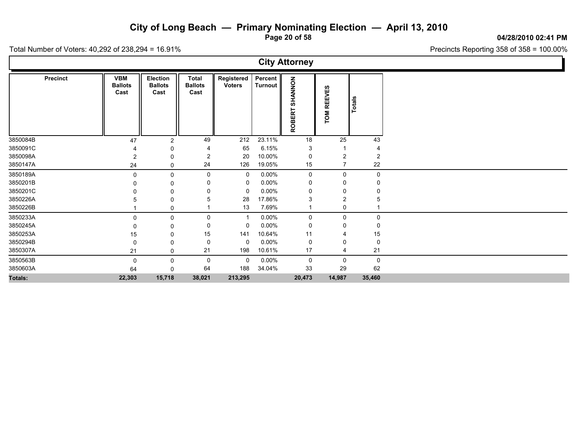**Page 20 of 58**

**04/28/2010 02:41 PM**

Total Number of Voters: 40,292 of 238,294 = 16.91%

|          |                 |                                      |                                    |                                 |                             |                           | <b>City Attorney</b>     |                |             |  |
|----------|-----------------|--------------------------------------|------------------------------------|---------------------------------|-----------------------------|---------------------------|--------------------------|----------------|-------------|--|
|          | <b>Precinct</b> | <b>VBM</b><br><b>Ballots</b><br>Cast | Election<br><b>Ballots</b><br>Cast | Total<br><b>Ballots</b><br>Cast | Registered<br><b>Voters</b> | Percent<br><b>Turnout</b> | SHANNON<br><b>ROBERT</b> | TOM REEVES     | Totals      |  |
| 3850084B |                 | 47                                   | 2                                  | 49                              | 212                         | 23.11%                    | 18                       | 25             | 43          |  |
| 3850091C |                 |                                      | 0                                  |                                 | 65                          | 6.15%                     | 3                        |                |             |  |
| 3850098A |                 | 2                                    | 0                                  | 2                               | 20                          | 10.00%                    | 0                        | $\overline{2}$ | 2           |  |
| 3850147A |                 | 24                                   | 0                                  | 24                              | 126                         | 19.05%                    | 15                       | 7              | $22\,$      |  |
| 3850189A |                 | $\mathbf{0}$                         | 0                                  | 0                               | 0                           | $0.00\%$                  | 0                        | $\mathsf{O}$   | $\mathbf 0$ |  |
| 3850201B |                 |                                      | 0                                  |                                 | 0                           | $0.00\%$                  | 0                        | 0              |             |  |
| 3850201C |                 |                                      | 0                                  |                                 | 0                           | $0.00\%$                  | 0                        | 0              |             |  |
| 3850226A |                 |                                      | 0                                  |                                 | 28                          | 17.86%                    | 3                        | $\overline{2}$ |             |  |
| 3850226B |                 |                                      | 0                                  |                                 | 13                          | 7.69%                     | -1                       | 0              |             |  |
| 3850233A |                 | $\Omega$                             | 0                                  | 0                               | -1                          | $0.00\%$                  | 0                        | 0              | $\mathbf 0$ |  |
| 3850245A |                 |                                      | 0                                  | 0                               | 0                           | $0.00\%$                  | 0                        | 0              |             |  |
| 3850253A |                 | 15                                   | 0                                  | 15                              | 141                         | 10.64%                    | 11                       |                | 15          |  |
| 3850294B |                 | $\Omega$                             | $\Omega$                           | 0                               | 0                           | 0.00%                     | 0                        | 0              | $\mathbf 0$ |  |
| 3850307A |                 | 21                                   | 0                                  | 21                              | 198                         | 10.61%                    | 17                       | 4              | 21          |  |
| 3850563B |                 | 0                                    | 0                                  | 0                               | 0                           | $0.00\%$                  | 0                        | $\mathbf 0$    | $\mathbf 0$ |  |
| 3850603A |                 | 64                                   | 0                                  | 64                              | 188                         | 34.04%                    | 33                       | 29             | 62          |  |
| Totals:  |                 | 22,303                               | 15,718                             | 38,021                          | 213,295                     |                           | 20,473                   | 14,987         | 35,460      |  |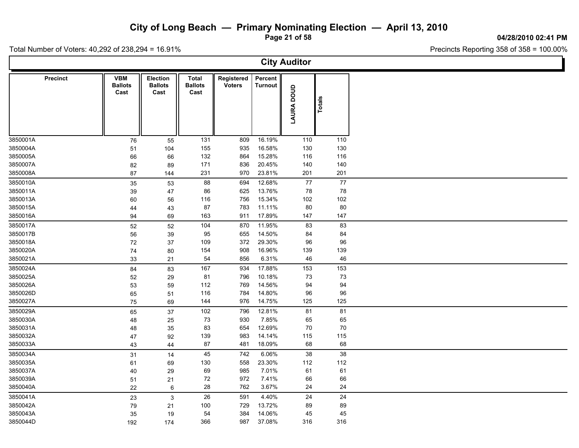**Page 21 of 58**

**04/28/2010 02:41 PM**

Ъ

Total Number of Voters: 40,292 of 238,294 = 16.91%

Г

| <b>City Auditor</b> |                                      |                                    |                                        |                             |                    |            |        |  |  |  |  |  |
|---------------------|--------------------------------------|------------------------------------|----------------------------------------|-----------------------------|--------------------|------------|--------|--|--|--|--|--|
| Precinct            | <b>VBM</b><br><b>Ballots</b><br>Cast | Election<br><b>Ballots</b><br>Cast | <b>Total</b><br><b>Ballots</b><br>Cast | Registered<br><b>Voters</b> | Percent<br>Turnout | LAURA DOUD | Totals |  |  |  |  |  |
| 3850001A            | 76                                   | 55                                 | 131                                    | 809                         | 16.19%             | 110        | 110    |  |  |  |  |  |
| 3850004A            | 51                                   | 104                                | 155                                    | 935                         | 16.58%             | 130        | 130    |  |  |  |  |  |
| 3850005A            | 66                                   | 66                                 | 132                                    | 864                         | 15.28%             | 116        | 116    |  |  |  |  |  |
| 3850007A            | 82                                   | 89                                 | 171                                    | 836                         | 20.45%             | 140        | 140    |  |  |  |  |  |
| 3850008A            | 87                                   | 144                                | 231                                    | 970                         | 23.81%             | 201        | 201    |  |  |  |  |  |
| 3850010A            | 35                                   | 53                                 | 88                                     | 694                         | 12.68%             | $77\,$     | $77$   |  |  |  |  |  |
| 3850011A            | 39                                   | 47                                 | 86                                     | 625                         | 13.76%             | 78         | 78     |  |  |  |  |  |
| 3850013A            | 60                                   | 56                                 | 116                                    | 756                         | 15.34%             | 102        | 102    |  |  |  |  |  |
| 3850015A            | 44                                   | 43                                 | 87                                     | 783                         | 11.11%             | 80         | 80     |  |  |  |  |  |
| 3850016A            | 94                                   | 69                                 | 163                                    | 911                         | 17.89%             | 147        | 147    |  |  |  |  |  |
| 3850017A            | 52                                   | 52                                 | 104                                    | 870                         | 11.95%             | 83         | 83     |  |  |  |  |  |
| 3850017B            | 56                                   | 39                                 | 95                                     | 655                         | 14.50%             | 84         | 84     |  |  |  |  |  |
| 3850018A            | $72\,$                               | 37                                 | 109                                    | 372                         | 29.30%             | 96         | 96     |  |  |  |  |  |
| 3850020A            | 74                                   | 80                                 | 154                                    | 908                         | 16.96%             | 139        | 139    |  |  |  |  |  |
| 3850021A            | 33                                   | 21                                 | 54                                     | 856                         | 6.31%              | 46         | 46     |  |  |  |  |  |
| 3850024A            | 84                                   | 83                                 | 167                                    | 934                         | 17.88%             | 153        | 153    |  |  |  |  |  |
| 3850025A            | 52                                   | 29                                 | 81                                     | 796                         | 10.18%             | 73         | 73     |  |  |  |  |  |
| 3850026A            | 53                                   | 59                                 | 112                                    | 769                         | 14.56%             | 94         | 94     |  |  |  |  |  |
| 3850026D            | 65                                   | 51                                 | 116                                    | 784                         | 14.80%             | 96         | 96     |  |  |  |  |  |
| 3850027A            | 75                                   | 69                                 | 144                                    | 976                         | 14.75%             | 125        | 125    |  |  |  |  |  |
| 3850029A            | 65                                   | 37                                 | 102                                    | 796                         | 12.81%             | 81         | 81     |  |  |  |  |  |
| 3850030A            | 48                                   | 25                                 | 73                                     | 930                         | 7.85%              | 65         | 65     |  |  |  |  |  |
| 3850031A            | 48                                   | 35                                 | 83                                     | 654                         | 12.69%             | 70         | 70     |  |  |  |  |  |
| 3850032A            | 47                                   | 92                                 | 139                                    | 983                         | 14.14%             | 115        | 115    |  |  |  |  |  |
| 3850033A            | 43                                   | 44                                 | 87                                     | 481                         | 18.09%             | 68         | 68     |  |  |  |  |  |
| 3850034A            | 31                                   | 14                                 | 45                                     | 742                         | 6.06%              | 38         | 38     |  |  |  |  |  |
| 3850035A            | 61                                   | 69                                 | 130                                    | 558                         | 23.30%             | 112        | 112    |  |  |  |  |  |
| 3850037A            | 40                                   | 29                                 | 69                                     | 985                         | 7.01%              | 61         | 61     |  |  |  |  |  |
| 3850039A            | 51                                   | 21                                 | 72                                     | 972                         | 7.41%              | 66         | 66     |  |  |  |  |  |
| 3850040A            | 22                                   | $\,6$                              | 28                                     | 762                         | 3.67%              | 24         | 24     |  |  |  |  |  |
| 3850041A            | 23                                   | 3                                  | 26                                     | 591                         | 4.40%              | 24         | 24     |  |  |  |  |  |
| 3850042A            | 79                                   | 21                                 | 100                                    | 729                         | 13.72%             | 89         | 89     |  |  |  |  |  |
| 3850043A            | 35                                   | 19                                 | 54                                     | 384                         | 14.06%             | 45         | 45     |  |  |  |  |  |
| 3850044D            | 192                                  | 174                                | 366                                    | 987                         | 37.08%             | 316        | 316    |  |  |  |  |  |
|                     |                                      |                                    |                                        |                             |                    |            |        |  |  |  |  |  |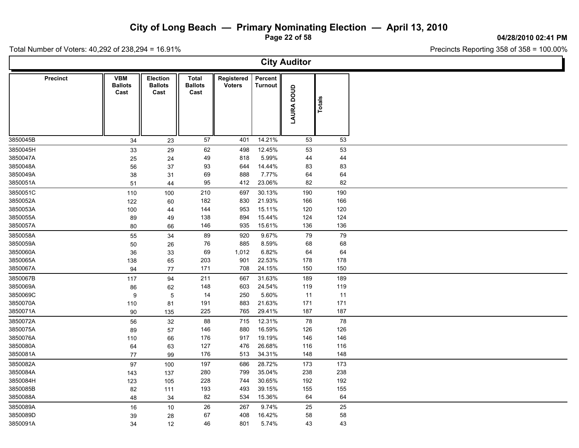**Page 22 of 58**

**04/28/2010 02:41 PM**

Ъ

Precincts Reporting 358 of 358 = 100.00%

|                      | <b>City Auditor</b> |                                      |                                    |                                        |                             |                           |            |           |  |  |  |  |  |  |
|----------------------|---------------------|--------------------------------------|------------------------------------|----------------------------------------|-----------------------------|---------------------------|------------|-----------|--|--|--|--|--|--|
|                      | <b>Precinct</b>     | <b>VBM</b><br><b>Ballots</b><br>Cast | Election<br><b>Ballots</b><br>Cast | <b>Total</b><br><b>Ballots</b><br>Cast | Registered<br><b>Voters</b> | Percent<br><b>Turnout</b> | LAURA DOUD | Totals    |  |  |  |  |  |  |
| 3850045B             |                     | 34                                   | 23                                 | 57                                     | 401                         | 14.21%                    | 53         | 53        |  |  |  |  |  |  |
| 3850045H             |                     | 33                                   | 29                                 | 62                                     | 498                         | 12.45%                    | 53         | 53        |  |  |  |  |  |  |
| 3850047A             |                     | 25                                   | 24                                 | 49                                     | 818                         | 5.99%                     | 44         | 44        |  |  |  |  |  |  |
| 3850048A             |                     | 56                                   | 37                                 | 93                                     | 644                         | 14.44%                    | 83         | 83        |  |  |  |  |  |  |
| 3850049A             |                     | 38                                   | 31                                 | 69                                     | 888                         | 7.77%                     | 64         | 64        |  |  |  |  |  |  |
| 3850051A             |                     | 51                                   | 44                                 | 95                                     | 412                         | 23.06%                    | 82         | 82        |  |  |  |  |  |  |
| 3850051C             |                     | 110                                  | 100                                | 210                                    | 697                         | 30.13%                    | 190        | 190       |  |  |  |  |  |  |
| 3850052A             |                     | 122                                  | 60                                 | 182                                    | 830                         | 21.93%                    | 166        | 166       |  |  |  |  |  |  |
| 3850053A             |                     | 100                                  | 44                                 | 144                                    | 953                         | 15.11%                    | 120        | 120       |  |  |  |  |  |  |
| 3850055A             |                     | 89                                   | 49                                 | 138                                    | 894                         | 15.44%                    | 124        | 124       |  |  |  |  |  |  |
| 3850057A             |                     | 80                                   | 66                                 | 146                                    | 935                         | 15.61%                    | 136        | 136       |  |  |  |  |  |  |
| 3850058A             |                     | 55                                   | 34                                 | 89                                     | 920                         | 9.67%                     | 79         | 79        |  |  |  |  |  |  |
| 3850059A             |                     | 50                                   | 26                                 | 76                                     | 885<br>1,012                | 8.59%<br>6.82%            | 68         | 68        |  |  |  |  |  |  |
| 3850060A<br>3850065A |                     | 36                                   | 33                                 | 69<br>203                              | 901                         | 22.53%                    | 64<br>178  | 64<br>178 |  |  |  |  |  |  |
| 3850067A             |                     | 138<br>94                            | 65<br>77                           | 171                                    | 708                         | 24.15%                    | 150        | 150       |  |  |  |  |  |  |
| 3850067B             |                     |                                      |                                    | 211                                    |                             | 31.63%                    |            | 189       |  |  |  |  |  |  |
| 3850069A             |                     | 117<br>86                            | 94<br>62                           | 148                                    | 667<br>603                  | 24.54%                    | 189<br>119 | 119       |  |  |  |  |  |  |
| 3850069C             |                     | 9                                    | $\overline{5}$                     | 14                                     | 250                         | 5.60%                     | 11         | 11        |  |  |  |  |  |  |
| 3850070A             |                     | 110                                  | 81                                 | 191                                    | 883                         | 21.63%                    | 171        | 171       |  |  |  |  |  |  |
| 3850071A             |                     | 90                                   | 135                                | 225                                    | 765                         | 29.41%                    | 187        | 187       |  |  |  |  |  |  |
| 3850072A             |                     | 56                                   | 32                                 | 88                                     | 715                         | 12.31%                    | 78         | 78        |  |  |  |  |  |  |
| 3850075A             |                     | 89                                   | 57                                 | 146                                    | 880                         | 16.59%                    | 126        | 126       |  |  |  |  |  |  |
| 3850076A             |                     | 110                                  | 66                                 | 176                                    | 917                         | 19.19%                    | 146        | 146       |  |  |  |  |  |  |
| 3850080A             |                     | 64                                   | 63                                 | 127                                    | 476                         | 26.68%                    | 116        | 116       |  |  |  |  |  |  |
| 3850081A             |                     | 77                                   | 99                                 | 176                                    | 513                         | 34.31%                    | 148        | 148       |  |  |  |  |  |  |
| 3850082A             |                     | 97                                   | 100                                | 197                                    | 686                         | 28.72%                    | 173        | 173       |  |  |  |  |  |  |
| 3850084A             |                     | 143                                  | 137                                | 280                                    | 799                         | 35.04%                    | 238        | 238       |  |  |  |  |  |  |
| 3850084H             |                     | 123                                  | 105                                | 228                                    | 744                         | 30.65%                    | 192        | 192       |  |  |  |  |  |  |
| 3850085B             |                     | 82                                   | 111                                | 193                                    | 493                         | 39.15%                    | 155        | 155       |  |  |  |  |  |  |
| 3850088A             |                     | 48                                   | 34                                 | 82                                     | 534                         | 15.36%                    | 64         | 64        |  |  |  |  |  |  |
| 3850089A             |                     | $16\,$                               | 10                                 | 26                                     | 267                         | 9.74%                     | 25         | 25        |  |  |  |  |  |  |
| 3850089D             |                     | 39                                   | 28                                 | 67                                     | 408                         | 16.42%                    | 58         | 58        |  |  |  |  |  |  |
| 3850091A             |                     | 34                                   | 12                                 | 46                                     | 801                         | 5.74%                     | 43         | 43        |  |  |  |  |  |  |
|                      |                     |                                      |                                    |                                        |                             |                           |            |           |  |  |  |  |  |  |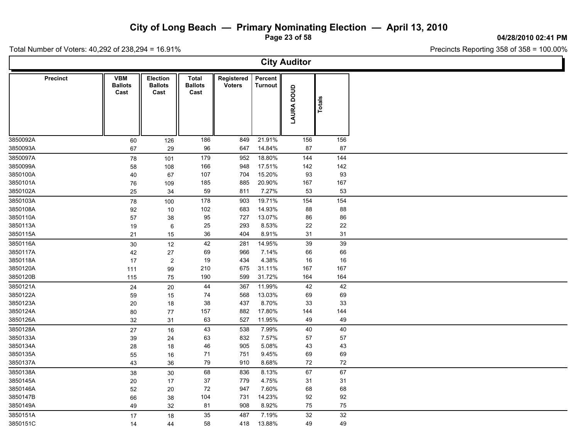**Page 23 of 58**

**04/28/2010 02:41 PM**

Total Number of Voters: 40,292 of 238,294 = 16.91%

| <b>City Auditor</b> |                                      |                                           |                                        |                             |                           |            |        |  |  |  |  |
|---------------------|--------------------------------------|-------------------------------------------|----------------------------------------|-----------------------------|---------------------------|------------|--------|--|--|--|--|
| <b>Precinct</b>     | <b>VBM</b><br><b>Ballots</b><br>Cast | <b>Election</b><br><b>Ballots</b><br>Cast | <b>Total</b><br><b>Ballots</b><br>Cast | Registered<br><b>Voters</b> | Percent<br><b>Turnout</b> | LAURA DOUD | Totals |  |  |  |  |
| 3850092A            | 60                                   | 126                                       | 186                                    | 849                         | 21.91%                    | 156        | 156    |  |  |  |  |
| 3850093A            | 67                                   | 29                                        | 96                                     | 647                         | 14.84%                    | 87         | 87     |  |  |  |  |
| 3850097A            | 78                                   | 101                                       | 179                                    | 952                         | 18.80%                    | 144        | 144    |  |  |  |  |
| 3850099A            | 58                                   | 108                                       | 166                                    | 948                         | 17.51%                    | 142        | 142    |  |  |  |  |
| 3850100A            | 40                                   | 67                                        | 107                                    | 704                         | 15.20%                    | 93         | 93     |  |  |  |  |
| 3850101A            | 76                                   | 109                                       | 185                                    | 885                         | 20.90%                    | 167        | 167    |  |  |  |  |
| 3850102A            | 25                                   | 34                                        | 59                                     | 811                         | 7.27%                     | 53         | 53     |  |  |  |  |
| 3850103A            | 78                                   | 100                                       | 178                                    | 903                         | 19.71%                    | 154        | 154    |  |  |  |  |
| 3850108A            | 92                                   | 10                                        | 102                                    | 683                         | 14.93%                    | 88         | 88     |  |  |  |  |
| 3850110A            | 57                                   | 38                                        | 95                                     | 727                         | 13.07%                    | 86         | 86     |  |  |  |  |
| 3850113A            | $19$                                 | 6                                         | 25                                     | 293                         | 8.53%                     | 22         | 22     |  |  |  |  |
| 3850115A            | 21                                   | 15                                        | 36                                     | 404                         | 8.91%                     | 31         | 31     |  |  |  |  |
| 3850116A            | 30                                   | 12                                        | 42                                     | 281                         | 14.95%                    | 39         | 39     |  |  |  |  |
| 3850117A            | 42                                   | 27                                        | 69                                     | 966                         | 7.14%                     | 66         | 66     |  |  |  |  |
| 3850118A            | 17                                   | $\overline{c}$                            | 19                                     | 434                         | 4.38%                     | 16         | 16     |  |  |  |  |
| 3850120A            | 111                                  | 99                                        | 210                                    | 675                         | 31.11%                    | 167        | 167    |  |  |  |  |
| 3850120B            | 115                                  | 75                                        | 190                                    | 599                         | 31.72%                    | 164        | 164    |  |  |  |  |
| 3850121A            | 24                                   | 20                                        | 44                                     | 367                         | 11.99%                    | 42         | 42     |  |  |  |  |
| 3850122A            | 59                                   | 15                                        | 74                                     | 568                         | 13.03%                    | 69         | 69     |  |  |  |  |
| 3850123A            | 20                                   | 18                                        | 38                                     | 437                         | 8.70%                     | 33         | 33     |  |  |  |  |
| 3850124A            | 80                                   | 77                                        | 157                                    | 882                         | 17.80%                    | 144        | 144    |  |  |  |  |
| 3850126A            | 32                                   | 31                                        | 63                                     | 527                         | 11.95%                    | 49         | 49     |  |  |  |  |
| 3850128A            | 27                                   | 16                                        | 43                                     | 538                         | 7.99%                     | 40         | 40     |  |  |  |  |
| 3850133A            | $39\,$                               | 24                                        | 63                                     | 832                         | 7.57%                     | 57         | 57     |  |  |  |  |
| 3850134A            | 28                                   | 18                                        | 46                                     | 905                         | 5.08%                     | 43         | 43     |  |  |  |  |
| 3850135A            | 55                                   | 16                                        | 71                                     | 751                         | 9.45%                     | 69         | 69     |  |  |  |  |
| 3850137A            | 43                                   | 36                                        | 79                                     | 910                         | 8.68%                     | 72         | 72     |  |  |  |  |
| 3850138A            | 38                                   | 30                                        | 68                                     | 836                         | 8.13%                     | 67         | 67     |  |  |  |  |
| 3850145A            | $20\,$                               | 17                                        | 37                                     | 779                         | 4.75%                     | 31         | 31     |  |  |  |  |
| 3850146A            | 52                                   | 20                                        | 72                                     | 947                         | 7.60%                     | 68         | 68     |  |  |  |  |
| 3850147B            | 66                                   | 38                                        | 104                                    | 731                         | 14.23%                    | 92         | 92     |  |  |  |  |
| 3850149A            | 49                                   | 32                                        | 81                                     | 908                         | 8.92%                     | 75         | 75     |  |  |  |  |
| 3850151A            | 17                                   | 18                                        | 35                                     | 487                         | 7.19%                     | 32         | 32     |  |  |  |  |
| 3850151C            | 14                                   | 44                                        | 58                                     | 418                         | 13.88%                    | 49         | 49     |  |  |  |  |
|                     |                                      |                                           |                                        |                             |                           |            |        |  |  |  |  |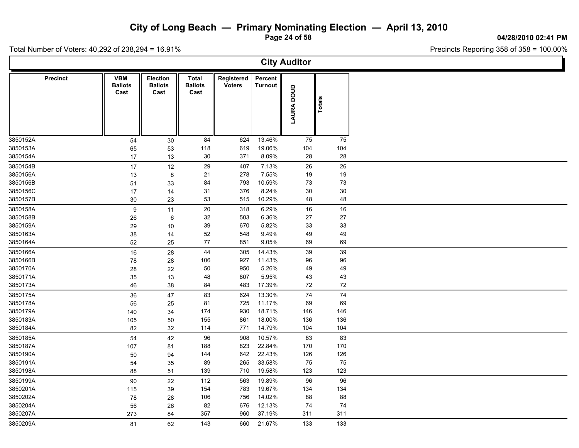**Page 24 of 58**

**04/28/2010 02:41 PM**

Total Number of Voters: 40,292 of 238,294 = 16.91%

|                 | <b>City Auditor</b>                  |                                           |                                        |                             |                    |            |        |  |  |  |  |  |  |
|-----------------|--------------------------------------|-------------------------------------------|----------------------------------------|-----------------------------|--------------------|------------|--------|--|--|--|--|--|--|
| <b>Precinct</b> | <b>VBM</b><br><b>Ballots</b><br>Cast | <b>Election</b><br><b>Ballots</b><br>Cast | <b>Total</b><br><b>Ballots</b><br>Cast | Registered<br><b>Voters</b> | Percent<br>Turnout | LAURA DOUD | Totals |  |  |  |  |  |  |
| 3850152A        | 54                                   | 30                                        | 84                                     | 624                         | 13.46%             | 75         | 75     |  |  |  |  |  |  |
| 3850153A        | 65                                   | 53                                        | 118                                    | 619                         | 19.06%             | 104        | 104    |  |  |  |  |  |  |
| 3850154A        | 17                                   | 13                                        | $30\,$                                 | 371                         | 8.09%              | 28         | 28     |  |  |  |  |  |  |
| 3850154B        | 17                                   | $12$                                      | 29                                     | 407                         | 7.13%              | 26         | 26     |  |  |  |  |  |  |
| 3850156A        | 13                                   | 8                                         | 21                                     | 278                         | 7.55%              | 19         | 19     |  |  |  |  |  |  |
| 3850156B        | 51                                   | 33                                        | 84                                     | 793                         | 10.59%             | 73         | 73     |  |  |  |  |  |  |
| 3850156C        | 17                                   | 14                                        | 31                                     | 376                         | 8.24%              | $30\,$     | 30     |  |  |  |  |  |  |
| 3850157B        | 30                                   | 23                                        | 53                                     | 515                         | 10.29%             | 48         | 48     |  |  |  |  |  |  |
| 3850158A        | 9                                    | 11                                        | 20                                     | 318                         | 6.29%              | 16         | 16     |  |  |  |  |  |  |
| 3850158B        | 26                                   | 6                                         | 32                                     | 503                         | 6.36%              | 27         | 27     |  |  |  |  |  |  |
| 3850159A        | 29                                   | 10                                        | 39                                     | 670                         | 5.82%              | 33         | 33     |  |  |  |  |  |  |
| 3850163A        | 38                                   | 14                                        | 52                                     | 548                         | 9.49%              | 49         | 49     |  |  |  |  |  |  |
| 3850164A        | 52                                   | 25                                        | 77                                     | 851                         | 9.05%              | 69         | 69     |  |  |  |  |  |  |
| 3850166A        | 16                                   | 28                                        | 44                                     | 305                         | 14.43%             | 39         | 39     |  |  |  |  |  |  |
| 3850166B        | ${\bf 78}$                           | 28                                        | 106                                    | 927                         | 11.43%             | 96         | 96     |  |  |  |  |  |  |
| 3850170A        | 28                                   | 22                                        | 50                                     | 950                         | 5.26%              | 49         | 49     |  |  |  |  |  |  |
| 3850171A        | $35\,$                               | 13                                        | 48                                     | 807                         | 5.95%              | 43         | 43     |  |  |  |  |  |  |
| 3850173A        | 46                                   | 38                                        | 84                                     | 483                         | 17.39%             | 72         | 72     |  |  |  |  |  |  |
| 3850175A        | 36                                   | 47                                        | 83                                     | 624                         | 13.30%             | ${\bf 74}$ | 74     |  |  |  |  |  |  |
| 3850178A        | 56                                   | 25                                        | 81                                     | 725                         | 11.17%             | 69         | 69     |  |  |  |  |  |  |
| 3850179A        | 140                                  | 34                                        | 174                                    | 930                         | 18.71%             | 146        | 146    |  |  |  |  |  |  |
| 3850183A        | 105                                  | 50                                        | 155                                    | 861                         | 18.00%             | 136        | 136    |  |  |  |  |  |  |
| 3850184A        | 82                                   | 32                                        | 114                                    | 771                         | 14.79%             | 104        | 104    |  |  |  |  |  |  |
| 3850185A        | 54                                   | 42                                        | 96                                     | 908                         | 10.57%             | 83         | 83     |  |  |  |  |  |  |
| 3850187A        | 107                                  | 81                                        | 188                                    | 823                         | 22.84%             | 170        | 170    |  |  |  |  |  |  |
| 3850190A        | 50                                   | 94                                        | 144                                    | 642                         | 22.43%             | 126        | 126    |  |  |  |  |  |  |
| 3850191A        | 54                                   | 35                                        | 89                                     | 265                         | 33.58%             | 75         | 75     |  |  |  |  |  |  |
| 3850198A        | 88                                   | 51                                        | 139                                    | 710                         | 19.58%             | 123        | 123    |  |  |  |  |  |  |
| 3850199A        | 90                                   | 22                                        | 112                                    | 563                         | 19.89%             | 96         | 96     |  |  |  |  |  |  |
| 3850201A        | 115                                  | 39                                        | 154                                    | 783                         | 19.67%             | 134        | 134    |  |  |  |  |  |  |
| 3850202A        | ${\bf 78}$                           | 28                                        | 106                                    | 756                         | 14.02%             | 88         | 88     |  |  |  |  |  |  |
| 3850204A        | 56                                   | 26                                        | 82                                     | 676                         | 12.13%             | 74         | 74     |  |  |  |  |  |  |
| 3850207A        | 273                                  | 84                                        | 357                                    | 960                         | 37.19%             | 311        | 311    |  |  |  |  |  |  |
| 3850209A        | 81                                   | 62                                        | 143                                    | 660                         | 21.67%             | 133        | 133    |  |  |  |  |  |  |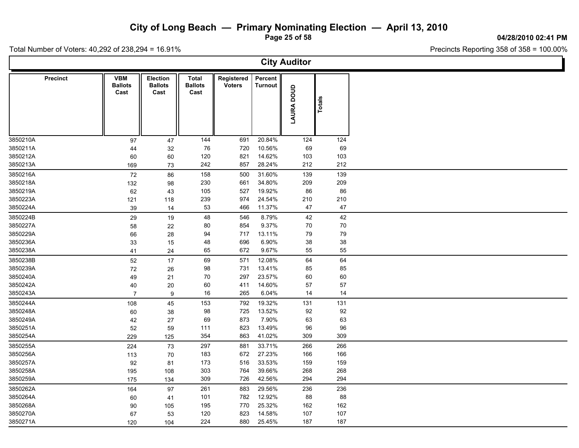**Page 25 of 58**

**04/28/2010 02:41 PM**

Ъ

Total Number of Voters: 40,292 of 238,294 = 16.91%

Г

| <b>City Auditor</b> |                                      |                                    |                                        |                             |                           |            |        |  |  |  |  |  |  |
|---------------------|--------------------------------------|------------------------------------|----------------------------------------|-----------------------------|---------------------------|------------|--------|--|--|--|--|--|--|
| <b>Precinct</b>     | <b>VBM</b><br><b>Ballots</b><br>Cast | Election<br><b>Ballots</b><br>Cast | <b>Total</b><br><b>Ballots</b><br>Cast | Registered<br><b>Voters</b> | Percent<br><b>Turnout</b> | LAURA DOUD | Totals |  |  |  |  |  |  |
| 3850210A            | 97                                   | 47                                 | 144                                    | 691                         | 20.84%                    | 124        | 124    |  |  |  |  |  |  |
| 3850211A            | 44                                   | 32                                 | 76                                     | 720                         | 10.56%                    | 69         | 69     |  |  |  |  |  |  |
| 3850212A            | 60                                   | 60                                 | 120                                    | 821                         | 14.62%                    | 103        | 103    |  |  |  |  |  |  |
| 3850213A            | 169                                  | 73                                 | 242                                    | 857                         | 28.24%                    | 212        | 212    |  |  |  |  |  |  |
| 3850216A            | 72                                   | 86                                 | 158                                    | 500                         | 31.60%                    | 139        | 139    |  |  |  |  |  |  |
| 3850218A            | 132                                  | 98                                 | 230                                    | 661                         | 34.80%                    | 209        | 209    |  |  |  |  |  |  |
| 3850219A            | 62                                   | 43                                 | 105                                    | 527                         | 19.92%                    | 86         | 86     |  |  |  |  |  |  |
| 3850223A            | 121                                  | 118                                | 239                                    | 974                         | 24.54%                    | 210        | 210    |  |  |  |  |  |  |
| 3850224A            | 39                                   | 14                                 | 53                                     | 466                         | 11.37%                    | 47         | 47     |  |  |  |  |  |  |
| 3850224B            | 29                                   | 19                                 | 48                                     | 546                         | 8.79%                     | 42         | 42     |  |  |  |  |  |  |
| 3850227A            | 58                                   | 22                                 | 80                                     | 854                         | 9.37%                     | 70         | $70\,$ |  |  |  |  |  |  |
| 3850229A            | 66                                   | 28                                 | 94                                     | 717                         | 13.11%                    | 79         | 79     |  |  |  |  |  |  |
| 3850236A            | 33                                   | 15                                 | 48                                     | 696                         | 6.90%                     | $38\,$     | 38     |  |  |  |  |  |  |
| 3850238A            | 41                                   | 24                                 | 65                                     | 672                         | 9.67%                     | 55         | 55     |  |  |  |  |  |  |
| 3850238B            | 52                                   | 17                                 | 69                                     | 571                         | 12.08%                    | 64         | 64     |  |  |  |  |  |  |
| 3850239A            | $72\,$                               | 26                                 | 98                                     | 731                         | 13.41%                    | 85         | 85     |  |  |  |  |  |  |
| 3850240A            | 49                                   | 21                                 | 70                                     | 297                         | 23.57%                    | 60         | 60     |  |  |  |  |  |  |
| 3850242A            | 40                                   | 20                                 | 60                                     | 411                         | 14.60%                    | 57         | 57     |  |  |  |  |  |  |
| 3850243A            | $\overline{7}$                       | 9                                  | 16                                     | 265                         | 6.04%                     | 14         | 14     |  |  |  |  |  |  |
| 3850244A            | 108                                  | 45                                 | 153                                    | 792                         | 19.32%                    | 131        | 131    |  |  |  |  |  |  |
| 3850248A            | 60                                   | 38                                 | 98                                     | 725                         | 13.52%                    | 92         | 92     |  |  |  |  |  |  |
| 3850249A            | 42                                   | 27                                 | 69                                     | 873                         | 7.90%                     | 63         | 63     |  |  |  |  |  |  |
| 3850251A            | 52                                   | 59                                 | 111                                    | 823                         | 13.49%                    | 96         | 96     |  |  |  |  |  |  |
| 3850254A            | 229                                  | 125                                | 354                                    | 863                         | 41.02%                    | 309        | 309    |  |  |  |  |  |  |
| 3850255A            | 224                                  | 73                                 | 297                                    | 881                         | 33.71%                    | 266        | 266    |  |  |  |  |  |  |
| 3850256A            | 113                                  | 70                                 | 183                                    | 672                         | 27.23%                    | 166        | 166    |  |  |  |  |  |  |
| 3850257A            | 92                                   | 81                                 | 173                                    | 516                         | 33.53%                    | 159        | 159    |  |  |  |  |  |  |
| 3850258A            | 195                                  | 108                                | 303                                    | 764                         | 39.66%                    | 268        | 268    |  |  |  |  |  |  |
| 3850259A            | 175                                  | 134                                | 309                                    | 726                         | 42.56%                    | 294        | 294    |  |  |  |  |  |  |
| 3850262A            | 164                                  | 97                                 | 261                                    | 883                         | 29.56%                    | 236        | 236    |  |  |  |  |  |  |
| 3850264A            | 60                                   | 41                                 | 101                                    | 782                         | 12.92%                    | 88         | 88     |  |  |  |  |  |  |
| 3850268A            | 90                                   | 105                                | 195                                    | 770                         | 25.32%                    | 162        | 162    |  |  |  |  |  |  |
| 3850270A            | 67                                   | 53                                 | 120                                    | 823                         | 14.58%                    | 107        | 107    |  |  |  |  |  |  |
| 3850271A            | 120                                  | 104                                | 224                                    | 880                         | 25.45%                    | 187        | 187    |  |  |  |  |  |  |
|                     |                                      |                                    |                                        |                             |                           |            |        |  |  |  |  |  |  |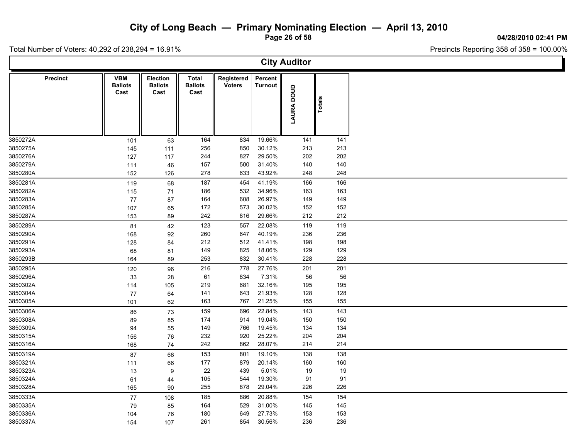**Page 26 of 58**

**04/28/2010 02:41 PM**

T

Total Number of Voters: 40,292 of 238,294 = 16.91%

| <b>City Auditor</b> |                                      |                                    |                                 |                             |                    |            |        |  |  |  |  |  |
|---------------------|--------------------------------------|------------------------------------|---------------------------------|-----------------------------|--------------------|------------|--------|--|--|--|--|--|
| <b>Precinct</b>     | <b>VBM</b><br><b>Ballots</b><br>Cast | Election<br><b>Ballots</b><br>Cast | Total<br><b>Ballots</b><br>Cast | Registered<br><b>Voters</b> | Percent<br>Turnout | LAURA DOUD | Totals |  |  |  |  |  |
| 3850272A            | 101                                  | 63                                 | 164                             | 834                         | 19.66%             | 141        | 141    |  |  |  |  |  |
| 3850275A            | 145                                  | 111                                | 256                             | 850                         | 30.12%             | 213        | 213    |  |  |  |  |  |
| 3850276A            | 127                                  | 117                                | 244                             | 827                         | 29.50%             | 202        | 202    |  |  |  |  |  |
| 3850279A            | 111                                  | 46                                 | 157                             | 500                         | 31.40%             | 140        | 140    |  |  |  |  |  |
| 3850280A            | 152                                  | 126                                | 278                             | 633                         | 43.92%             | 248        | 248    |  |  |  |  |  |
| 3850281A            | 119                                  | 68                                 | 187                             | 454                         | 41.19%             | 166        | 166    |  |  |  |  |  |
| 3850282A            | 115                                  | 71                                 | 186                             | 532                         | 34.96%             | 163        | 163    |  |  |  |  |  |
| 3850283A            | 77                                   | 87                                 | 164                             | 608                         | 26.97%             | 149        | 149    |  |  |  |  |  |
| 3850285A            | 107                                  | 65                                 | 172                             | 573                         | 30.02%             | 152        | 152    |  |  |  |  |  |
| 3850287A            | 153                                  | 89                                 | 242                             | 816                         | 29.66%             | 212        | 212    |  |  |  |  |  |
| 3850289A            | 81                                   | 42                                 | 123                             | 557                         | 22.08%             | 119        | 119    |  |  |  |  |  |
| 3850290A            | 168                                  | 92                                 | 260                             | 647                         | 40.19%             | 236        | 236    |  |  |  |  |  |
| 3850291A            | 128                                  | 84                                 | 212                             | 512                         | 41.41%             | 198        | 198    |  |  |  |  |  |
| 3850293A            | 68                                   | 81                                 | 149                             | 825                         | 18.06%             | 129        | 129    |  |  |  |  |  |
| 3850293B            | 164                                  | 89                                 | 253                             | 832                         | 30.41%             | 228        | 228    |  |  |  |  |  |
| 3850295A            | 120                                  | 96                                 | 216                             | 778                         | 27.76%             | 201        | 201    |  |  |  |  |  |
| 3850296A            | 33                                   | 28                                 | 61                              | 834                         | 7.31%              | 56         | 56     |  |  |  |  |  |
| 3850302A            | 114                                  | 105                                | 219                             | 681                         | 32.16%             | 195        | 195    |  |  |  |  |  |
| 3850304A            | 77                                   | 64                                 | 141                             | 643                         | 21.93%             | 128        | 128    |  |  |  |  |  |
| 3850305A            | 101                                  | 62                                 | 163                             | 767                         | 21.25%             | 155        | 155    |  |  |  |  |  |
| 3850306A            | 86                                   | 73                                 | 159                             | 696                         | 22.84%             | 143        | 143    |  |  |  |  |  |
| 3850308A            | 89                                   | 85                                 | 174                             | 914                         | 19.04%             | 150        | 150    |  |  |  |  |  |
| 3850309A            | 94                                   | 55                                 | 149                             | 766                         | 19.45%             | 134        | 134    |  |  |  |  |  |
| 3850315A            | 156                                  | 76                                 | 232                             | 920                         | 25.22%             | 204        | 204    |  |  |  |  |  |
| 3850316A            | 168                                  | 74                                 | 242                             | 862                         | 28.07%             | 214        | 214    |  |  |  |  |  |
| 3850319A            | 87                                   | 66                                 | 153                             | 801                         | 19.10%             | 138        | 138    |  |  |  |  |  |
| 3850321A            | 111                                  | 66                                 | $177$                           | 879                         | 20.14%             | 160        | 160    |  |  |  |  |  |
| 3850323A            | 13                                   | 9                                  | 22                              | 439                         | 5.01%              | 19         | 19     |  |  |  |  |  |
| 3850324A            | 61                                   | 44                                 | 105                             | 544                         | 19.30%             | 91         | 91     |  |  |  |  |  |
| 3850328A            | 165                                  | 90                                 | 255                             | 878                         | 29.04%             | 226        | 226    |  |  |  |  |  |
| 3850333A            | 77                                   | 108                                | 185                             | 886                         | 20.88%             | 154        | 154    |  |  |  |  |  |
| 3850335A            | 79                                   | 85                                 | 164                             | 529                         | 31.00%             | 145        | 145    |  |  |  |  |  |
| 3850336A            | 104                                  | 76                                 | 180                             | 649                         | 27.73%             | 153        | 153    |  |  |  |  |  |
| 3850337A            | 154                                  | 107                                | 261                             | 854                         | 30.56%             | 236        | 236    |  |  |  |  |  |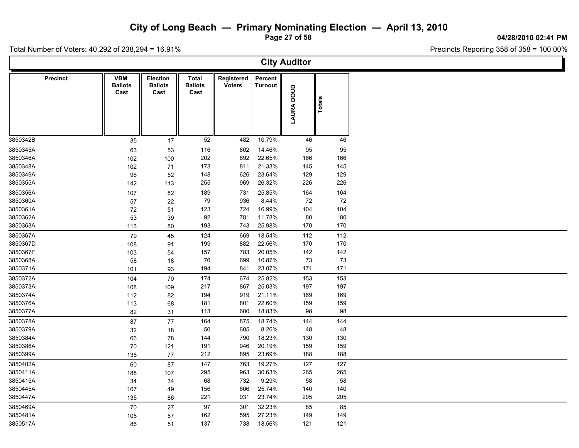**Page 27 of 58**

**04/28/2010 02:41 PM**

Ъ.

Total Number of Voters: 40,292 of 238,294 = 16.91%

Г

| <b>City Auditor</b> |                                      |                                           |                                 |                             |                           |            |          |  |  |  |  |  |
|---------------------|--------------------------------------|-------------------------------------------|---------------------------------|-----------------------------|---------------------------|------------|----------|--|--|--|--|--|
| <b>Precinct</b>     | <b>VBM</b><br><b>Ballots</b><br>Cast | <b>Election</b><br><b>Ballots</b><br>Cast | Total<br><b>Ballots</b><br>Cast | Registered<br><b>Voters</b> | Percent<br><b>Turnout</b> | LAURA DOUD | Totals   |  |  |  |  |  |
| 3850342B            | 35                                   | 17                                        | 52                              | 482                         | 10.79%                    | 46         | 46       |  |  |  |  |  |
| 3850345A            | 63                                   | 53                                        | 116                             | 802                         | 14.46%                    | 95         | 95       |  |  |  |  |  |
| 3850346A            | 102                                  | 100                                       | 202                             | 892                         | 22.65%                    | 166        | 166      |  |  |  |  |  |
| 3850348A            | 102                                  | 71                                        | 173                             | 811                         | 21.33%                    | 145        | 145      |  |  |  |  |  |
| 3850349A            | 96                                   | 52                                        | 148                             | 626                         | 23.64%                    | 129        | 129      |  |  |  |  |  |
| 3850355A            | 142                                  | 113                                       | 255                             | 969                         | 26.32%                    | 226        | 226      |  |  |  |  |  |
| 3850356A            | 107                                  | 82                                        | 189                             | 731                         | 25.85%                    | 164        | 164      |  |  |  |  |  |
| 3850360A            | 57                                   | 22                                        | 79                              | 936                         | 8.44%                     | 72         | $\bf 72$ |  |  |  |  |  |
| 3850361A            | 72                                   | 51                                        | 123                             | 724                         | 16.99%                    | 104        | 104      |  |  |  |  |  |
| 3850362A            | 53                                   | 39                                        | 92                              | 781                         | 11.78%                    | 80         | 80       |  |  |  |  |  |
| 3850363A            | 113                                  | 80                                        | 193                             | 743                         | 25.98%                    | 170        | 170      |  |  |  |  |  |
| 3850367A            | 79                                   | 45                                        | 124                             | 669                         | 18.54%                    | 112        | 112      |  |  |  |  |  |
| 3850367D            | 108                                  | 91                                        | 199                             | 882                         | 22.56%                    | 170        | 170      |  |  |  |  |  |
| 3850367F            | 103                                  | 54                                        | 157                             | 783                         | 20.05%                    | 142        | 142      |  |  |  |  |  |
| 3850368A            | 58                                   | 18                                        | 76                              | 699                         | 10.87%                    | 73         | 73       |  |  |  |  |  |
| 3850371A            | 101                                  | 93                                        | 194                             | 841                         | 23.07%                    | 171        | 171      |  |  |  |  |  |
| 3850372A            | 104                                  | 70                                        | 174                             | 674                         | 25.82%                    | 153        | 153      |  |  |  |  |  |
| 3850373A            | 108                                  | 109                                       | 217                             | 867                         | 25.03%                    | 197        | 197      |  |  |  |  |  |
| 3850374A            | 112                                  | 82                                        | 194                             | 919                         | 21.11%                    | 169        | 169      |  |  |  |  |  |
| 3850376A            | 113                                  | 68                                        | 181                             | 801                         | 22.60%                    | 159        | 159      |  |  |  |  |  |
| 3850377A            | 82                                   | 31                                        | 113                             | 600                         | 18.83%                    | 98         | 98       |  |  |  |  |  |
| 3850378A            | 87                                   | 77                                        | 164                             | 875                         | 18.74%                    | 144        | 144      |  |  |  |  |  |
| 3850379A            | 32                                   | 18                                        | 50                              | 605                         | 8.26%                     | 48         | 48       |  |  |  |  |  |
| 3850384A            | 66                                   | 78                                        | 144                             | 790                         | 18.23%                    | 130        | 130      |  |  |  |  |  |
| 3850386A            | 70                                   | 121                                       | 191                             | 946                         | 20.19%                    | 159        | 159      |  |  |  |  |  |
| 3850399A            | 135                                  | 77                                        | 212                             | 895                         | 23.69%                    | 188        | 188      |  |  |  |  |  |
| 3850402A            | 60                                   | 87                                        | 147                             | 763                         | 19.27%                    | 127        | 127      |  |  |  |  |  |
| 3850411A            | 188                                  | 107                                       | 295                             | 963                         | 30.63%                    | 265        | 265      |  |  |  |  |  |
| 3850415A            | 34                                   | 34                                        | 68                              | 732                         | 9.29%                     | 58         | 58       |  |  |  |  |  |
| 3850445A            | 107                                  | 49                                        | 156                             | 606                         | 25.74%                    | 140        | 140      |  |  |  |  |  |
| 3850447A            | 135                                  | 86                                        | 221                             | 931                         | 23.74%                    | 205        | 205      |  |  |  |  |  |
| 3850469A            | 70                                   | 27                                        | 97                              | 301                         | 32.23%                    | 85         | 85       |  |  |  |  |  |
| 3850481A            | 105                                  | 57                                        | 162                             | 595                         | 27.23%                    | 149        | 149      |  |  |  |  |  |
| 3850517A            | 86                                   | 51                                        | 137                             | 738                         | 18.56%                    | 121        | 121      |  |  |  |  |  |
|                     |                                      |                                           |                                 |                             |                           |            |          |  |  |  |  |  |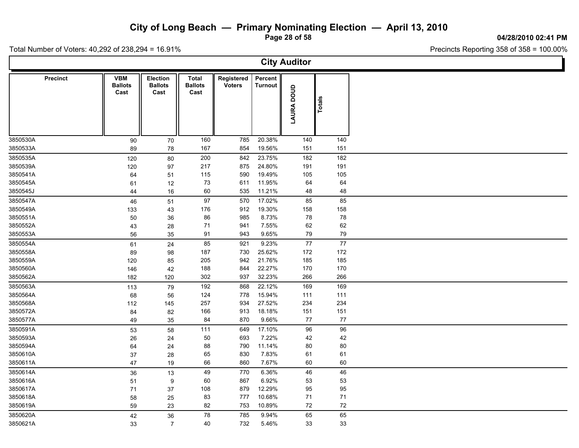**Page 28 of 58**

**04/28/2010 02:41 PM**

Ъ

Total Number of Voters: 40,292 of 238,294 = 16.91%

Г

| <b>City Auditor</b> |                                      |                                    |                                 |                             |                    |            |            |  |  |  |  |  |  |
|---------------------|--------------------------------------|------------------------------------|---------------------------------|-----------------------------|--------------------|------------|------------|--|--|--|--|--|--|
| Precinct            | <b>VBM</b><br><b>Ballots</b><br>Cast | Election<br><b>Ballots</b><br>Cast | Total<br><b>Ballots</b><br>Cast | Registered<br><b>Voters</b> | Percent<br>Turnout | LAURA DOUD | Totals     |  |  |  |  |  |  |
| 3850530A            | 90                                   | 70                                 | 160                             | 785                         | 20.38%             | 140        | 140        |  |  |  |  |  |  |
| 3850533A            | 89                                   | 78                                 | 167                             | 854                         | 19.56%             | 151        | 151        |  |  |  |  |  |  |
| 3850535A            | 120                                  | $80\,$                             | 200                             | 842                         | 23.75%             | 182        | 182        |  |  |  |  |  |  |
| 3850539A            | 120                                  | 97                                 | 217                             | 875                         | 24.80%             | 191        | 191        |  |  |  |  |  |  |
| 3850541A            | 64                                   | 51                                 | 115                             | 590                         | 19.49%             | 105        | 105        |  |  |  |  |  |  |
| 3850545A            | 61                                   | 12                                 | 73                              | 611                         | 11.95%             | 64         | 64         |  |  |  |  |  |  |
| 3850545J            | 44                                   | 16                                 | 60                              | 535                         | 11.21%             | 48         | 48         |  |  |  |  |  |  |
| 3850547A            | 46                                   | 51                                 | 97                              | 570                         | 17.02%             | 85         | 85         |  |  |  |  |  |  |
| 3850549A            | 133                                  | 43                                 | 176                             | 912                         | 19.30%             | 158        | 158        |  |  |  |  |  |  |
| 3850551A            | 50                                   | 36                                 | 86                              | 985                         | 8.73%              | 78         | ${\bf 78}$ |  |  |  |  |  |  |
| 3850552A            | 43                                   | 28                                 | 71                              | 941                         | 7.55%              | 62         | 62         |  |  |  |  |  |  |
| 3850553A            | 56                                   | 35                                 | 91                              | 943                         | 9.65%              | 79         | 79         |  |  |  |  |  |  |
| 3850554A            | 61                                   | 24                                 | 85                              | 921                         | 9.23%              | $77$       | $77\,$     |  |  |  |  |  |  |
| 3850558A            | 89                                   | 98                                 | 187                             | 730                         | 25.62%             | 172        | 172        |  |  |  |  |  |  |
| 3850559A            | 120                                  | 85                                 | 205                             | 942                         | 21.76%             | 185        | 185        |  |  |  |  |  |  |
| 3850560A            | 146                                  | 42                                 | 188                             | 844                         | 22.27%             | 170        | 170        |  |  |  |  |  |  |
| 3850562A            | 182                                  | 120                                | 302                             | 937                         | 32.23%             | 266        | 266        |  |  |  |  |  |  |
| 3850563A            | 113                                  | 79                                 | 192                             | 868                         | 22.12%             | 169        | 169        |  |  |  |  |  |  |
| 3850564A            | 68                                   | 56                                 | 124                             | 778                         | 15.94%             | 111        | 111        |  |  |  |  |  |  |
| 3850568A            | 112                                  | 145                                | 257                             | 934                         | 27.52%             | 234        | 234        |  |  |  |  |  |  |
| 3850572A            | 84                                   | 82                                 | 166                             | 913                         | 18.18%             | 151        | 151        |  |  |  |  |  |  |
| 3850577A            | 49                                   | 35                                 | 84                              | 870                         | 9.66%              | $77\,$     | $77\,$     |  |  |  |  |  |  |
| 3850591A            | 53                                   | 58                                 | 111                             | 649                         | 17.10%             | 96         | 96         |  |  |  |  |  |  |
| 3850593A            | 26                                   | 24                                 | 50                              | 693                         | 7.22%              | 42         | 42         |  |  |  |  |  |  |
| 3850594A            | 64                                   | 24                                 | 88                              | 790                         | 11.14%             | 80         | 80         |  |  |  |  |  |  |
| 3850610A            | 37                                   | 28                                 | 65                              | 830                         | 7.83%              | 61         | 61         |  |  |  |  |  |  |
| 3850611A            | 47                                   | 19                                 | 66                              | 860                         | 7.67%              | 60         | 60         |  |  |  |  |  |  |
| 3850614A            | 36                                   | 13                                 | 49                              | 770                         | 6.36%              | 46         | 46         |  |  |  |  |  |  |
| 3850616A            | 51                                   | 9                                  | 60                              | 867                         | 6.92%              | 53         | 53         |  |  |  |  |  |  |
| 3850617A            | 71                                   | 37                                 | 108                             | 879                         | 12.29%             | 95         | 95         |  |  |  |  |  |  |
| 3850618A            | 58                                   | 25                                 | 83                              | 777                         | 10.68%             | 71         | 71         |  |  |  |  |  |  |
| 3850619A            | 59                                   | 23                                 | 82                              | 753                         | 10.89%             | 72         | 72         |  |  |  |  |  |  |
| 3850620A            | 42                                   | 36                                 | 78                              | 785                         | 9.94%              | 65         | 65         |  |  |  |  |  |  |
| 3850621A            | 33                                   | $\overline{7}$                     | 40                              | 732                         | 5.46%              | 33         | 33         |  |  |  |  |  |  |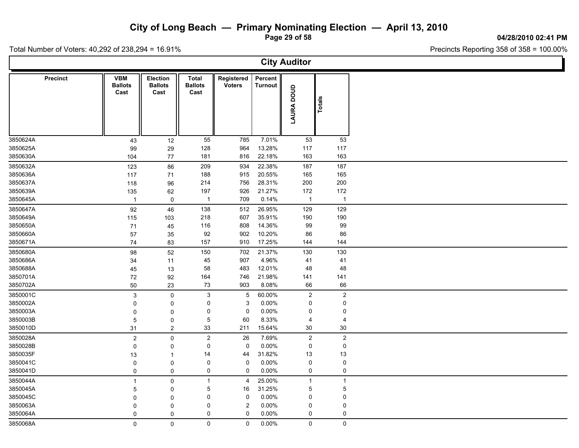**Page 29 of 58**

**04/28/2010 02:41 PM**

Total Number of Voters: 40,292 of 238,294 = 16.91%

|                 |                                      |                                           |                                        |                             |                           | <b>City Auditor</b> |                |
|-----------------|--------------------------------------|-------------------------------------------|----------------------------------------|-----------------------------|---------------------------|---------------------|----------------|
| <b>Precinct</b> | <b>VBM</b><br><b>Ballots</b><br>Cast | <b>Election</b><br><b>Ballots</b><br>Cast | <b>Total</b><br><b>Ballots</b><br>Cast | Registered<br><b>Voters</b> | Percent<br><b>Turnout</b> | LAURA DOUD          | Totals         |
| 3850624A        | 43                                   | 12                                        | 55                                     | 785                         | 7.01%                     | 53                  | 53             |
| 3850625A        | 99                                   | 29                                        | 128                                    | 964                         | 13.28%                    | 117                 | 117            |
| 3850630A        | 104                                  | 77                                        | 181                                    | 816                         | 22.18%                    | 163                 | 163            |
| 3850632A        | 123                                  | 86                                        | 209                                    | 934                         | 22.38%                    | 187                 | 187            |
| 3850636A        | 117                                  | 71                                        | 188                                    | 915                         | 20.55%                    | 165                 | 165            |
| 3850637A        | 118                                  | 96                                        | 214                                    | 756                         | 28.31%                    | 200                 | 200            |
| 3850639A        | 135                                  | 62                                        | 197                                    | 926                         | 21.27%                    | 172                 | 172            |
| 3850645A        | $\mathbf{1}$                         | $\mathsf 0$                               | $\mathbf{1}$                           | 709                         | 0.14%                     | $\mathbf{1}$        | $\overline{1}$ |
| 3850647A        | 92                                   | 46                                        | 138                                    | 512                         | 26.95%                    | 129                 | 129            |
| 3850649A        | 115                                  | 103                                       | 218                                    | 607                         | 35.91%                    | 190                 | 190            |
| 3850650A        | 71                                   | 45                                        | 116                                    | 808                         | 14.36%                    | 99                  | 99             |
| 3850660A        | 57                                   | 35                                        | 92                                     | 902                         | 10.20%                    | 86                  | 86             |
| 3850671A        | 74                                   | 83                                        | 157                                    | 910                         | 17.25%                    | 144                 | 144            |
| 3850680A        | 98                                   | 52                                        | 150                                    | 702                         | 21.37%                    | 130                 | 130            |
| 3850686A        | 34                                   | 11                                        | 45                                     | 907                         | 4.96%                     | 41                  | 41             |
| 3850688A        | 45                                   | 13                                        | 58                                     | 483                         | 12.01%                    | 48                  | 48             |
| 3850701A        | 72                                   | 92                                        | 164                                    | 746                         | 21.98%                    | 141                 | 141            |
| 3850702A        | 50                                   | 23                                        | 73                                     | 903                         | 8.08%                     | 66                  | 66             |
| 3850001C        | $\ensuremath{\mathsf{3}}$            | $\mathsf 0$                               | $\sqrt{3}$                             | $\overline{5}$              | 60.00%                    | $\sqrt{2}$          | $\overline{a}$ |
| 3850002A        | $\mathbf 0$                          | $\mathbf 0$                               | $\mathbf 0$                            | 3                           | 0.00%                     | $\mathbf 0$         | 0              |
| 3850003A        | $\mathbf 0$                          | $\mathbf 0$                               | 0                                      | 0                           | $0.00\%$                  | $\mathbf 0$         | 0              |
| 3850003B        | $\mathbf 5$                          | 0                                         | $\overline{5}$                         | 60                          | 8.33%                     | $\overline{4}$      | 4              |
| 3850010D        | 31                                   | $\boldsymbol{2}$                          | 33                                     | 211                         | 15.64%                    | 30                  | 30             |
| 3850028A        | $\overline{2}$                       | $\mathbf 0$                               | $\sqrt{2}$                             | 26                          | 7.69%                     | $\overline{2}$      | $\mathbf 2$    |
| 3850028B        | 0                                    | 0                                         | 0                                      | 0                           | 0.00%                     | 0                   | $\pmb{0}$      |
| 3850035F        | 13                                   | $\overline{1}$                            | 14                                     | 44                          | 31.82%                    | 13                  | 13             |
| 3850041C        | 0                                    | 0                                         | $\mathbf 0$                            | $\pmb{0}$                   | 0.00%                     | $\pmb{0}$           | $\pmb{0}$      |
| 3850041D        | $\mathbf 0$                          | $\mathbf 0$                               | $\mathbf 0$                            | $\mathbf 0$                 | 0.00%                     | $\mathsf 0$         | 0              |
| 3850044A        | $\mathbf{1}$                         | $\mathbf 0$                               | $\mathbf{1}$                           | 4                           | 25.00%                    | $\mathbf{1}$        | $\mathbf{1}$   |
| 3850045A        | 5                                    | 0                                         | $\overline{5}$                         | 16                          | 31.25%                    | $\overline{5}$      | $\overline{5}$ |
| 3850045C        | 0                                    | $\mathbf{0}$                              | $\mathbf 0$                            | 0                           | 0.00%                     | 0                   | 0              |
| 3850063A        | $\mathbf 0$                          | $\Omega$                                  | $\mathbf 0$                            | $\overline{c}$              | 0.00%                     | $\pmb{0}$           | 0              |
| 3850064A        | $\mathbf 0$                          | 0                                         | 0                                      | $\mathbf 0$                 | $0.00\%$                  | 0                   | 0              |
| 3850068A        | $\mathbf 0$                          | $\pmb{0}$                                 | $\pmb{0}$                              | $\mathbf 0$                 | 0.00%                     | $\mathsf{O}\xspace$ | $\mathsf 0$    |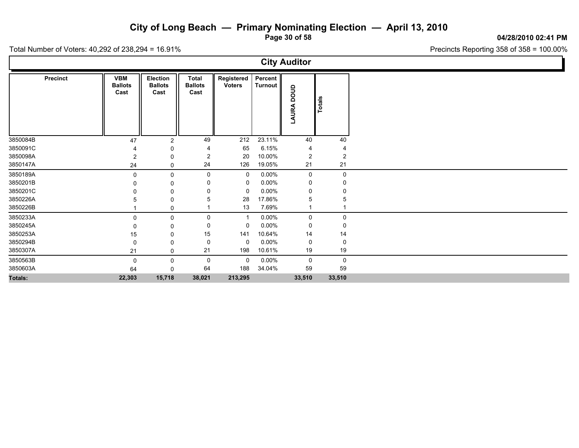**Page 30 of 58**

Precincts Reporting 358 of 358 = 100.00%

Total Number of Voters: 40,292 of 238,294 = 16.91%

|          |                 |                                      |                                    |                                        |                             |                             | <b>City Auditor</b> |                |  |
|----------|-----------------|--------------------------------------|------------------------------------|----------------------------------------|-----------------------------|-----------------------------|---------------------|----------------|--|
|          | <b>Precinct</b> | <b>VBM</b><br><b>Ballots</b><br>Cast | Election<br><b>Ballots</b><br>Cast | <b>Total</b><br><b>Ballots</b><br>Cast | Registered<br><b>Voters</b> | Percent  <br><b>Turnout</b> | anoa<br>LAURA       | Totals         |  |
| 3850084B |                 | 47                                   | $\overline{2}$                     | 49                                     | 212                         | 23.11%                      | 40                  | 40             |  |
| 3850091C |                 |                                      | 0                                  |                                        | 65                          | 6.15%                       | 4                   |                |  |
| 3850098A |                 | 2                                    | 0                                  | 2                                      | 20                          | 10.00%                      | $\overline{2}$      | $\overline{2}$ |  |
| 3850147A |                 | 24                                   | 0                                  | 24                                     | 126                         | 19.05%                      | 21                  | 21             |  |
| 3850189A |                 | $\mathbf{0}$                         | 0                                  | 0                                      | 0                           | $0.00\%$                    | 0                   | 0              |  |
| 3850201B |                 |                                      | 0                                  |                                        | 0                           | $0.00\%$                    | 0                   | 0              |  |
| 3850201C |                 |                                      | 0                                  |                                        | 0                           | $0.00\%$                    | 0                   |                |  |
| 3850226A |                 |                                      | 0                                  |                                        | 28                          | 17.86%                      | 5                   |                |  |
| 3850226B |                 |                                      | 0                                  |                                        | 13                          | 7.69%                       |                     |                |  |
| 3850233A |                 | $\Omega$                             | 0                                  | 0                                      | -1                          | $0.00\%$                    | 0                   | 0              |  |
| 3850245A |                 |                                      | 0                                  | 0                                      | 0                           | $0.00\%$                    | 0                   | 0              |  |
| 3850253A |                 | 15                                   | $\Omega$                           | 15                                     | 141                         | 10.64%                      | 14                  | 14             |  |
| 3850294B |                 | 0                                    | 0                                  | 0                                      | $\mathbf 0$                 | $0.00\%$                    | 0                   | 0              |  |
| 3850307A |                 | 21                                   | 0                                  | 21                                     | 198                         | 10.61%                      | 19                  | 19             |  |
| 3850563B |                 | 0                                    | 0                                  | 0                                      | $\mathbf 0$                 | $0.00\%$                    | 0                   | $\mathsf 0$    |  |
| 3850603A |                 | 64                                   | 0                                  | 64                                     | 188                         | 34.04%                      | 59                  | 59             |  |
| Totals:  |                 | 22,303                               | 15,718                             | 38,021                                 | 213,295                     |                             | 33,510              | 33,510         |  |

**04/28/2010 02:41 PM**

Ъ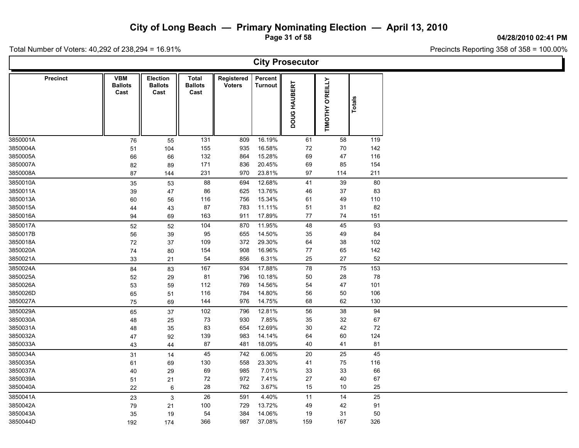**Page 31 of 58**

**04/28/2010 02:41 PM**

Ъ.

Total Number of Voters: 40,292 of 238,294 = 16.91%

Г

| <b>City Prosecutor</b> |                                      |                                    |                                 |                             |                           |              |                  |        |  |  |  |  |  |
|------------------------|--------------------------------------|------------------------------------|---------------------------------|-----------------------------|---------------------------|--------------|------------------|--------|--|--|--|--|--|
| <b>Precinct</b>        | <b>VBM</b><br><b>Ballots</b><br>Cast | Election<br><b>Ballots</b><br>Cast | Total<br><b>Ballots</b><br>Cast | Registered<br><b>Voters</b> | Percent<br><b>Turnout</b> | DOUG HAUBERT | TIMOTHY O'REILLY | Totals |  |  |  |  |  |
| 3850001A               | 76                                   | 55                                 | 131                             | 809                         | 16.19%                    | 61           | 58               | 119    |  |  |  |  |  |
| 3850004A               | 51                                   | 104                                | 155                             | 935                         | 16.58%                    | 72           | 70               | 142    |  |  |  |  |  |
| 3850005A               | 66                                   | 66                                 | 132                             | 864                         | 15.28%                    | 69           | 47               | 116    |  |  |  |  |  |
| 3850007A               | 82                                   | 89                                 | 171                             | 836                         | 20.45%                    | 69           | 85               | 154    |  |  |  |  |  |
| 3850008A               | 87                                   | 144                                | 231                             | 970                         | 23.81%                    | 97           | 114              | 211    |  |  |  |  |  |
| 3850010A               | 35                                   | 53                                 | 88                              | 694                         | 12.68%                    | 41           | 39               | 80     |  |  |  |  |  |
| 3850011A               | 39                                   | 47                                 | 86                              | 625                         | 13.76%                    | 46           | 37               | 83     |  |  |  |  |  |
| 3850013A               | 60                                   | 56                                 | 116                             | 756                         | 15.34%                    | 61           | 49               | 110    |  |  |  |  |  |
| 3850015A               | 44                                   | 43                                 | 87                              | 783                         | 11.11%                    | 51           | 31               | 82     |  |  |  |  |  |
| 3850016A               | 94                                   | 69                                 | 163                             | 911                         | 17.89%                    | 77           | $74\,$           | 151    |  |  |  |  |  |
| 3850017A               | 52                                   | 52                                 | 104                             | 870                         | 11.95%                    | 48           | 45               | 93     |  |  |  |  |  |
| 3850017B               | 56                                   | 39                                 | 95                              | 655                         | 14.50%                    | 35           | 49               | 84     |  |  |  |  |  |
| 3850018A               | $72\,$                               | 37                                 | 109                             | 372                         | 29.30%                    | 64           | 38               | 102    |  |  |  |  |  |
| 3850020A               | 74                                   | 80                                 | 154                             | 908                         | 16.96%                    | 77           | 65               | 142    |  |  |  |  |  |
| 3850021A               | 33                                   | 21                                 | 54                              | 856                         | 6.31%                     | 25           | 27               | 52     |  |  |  |  |  |
| 3850024A               | 84                                   | 83                                 | 167                             | 934                         | 17.88%                    | 78           | 75               | 153    |  |  |  |  |  |
| 3850025A               | 52                                   | 29                                 | 81                              | 796                         | 10.18%                    | 50           | 28               | 78     |  |  |  |  |  |
| 3850026A               | 53                                   | 59                                 | 112                             | 769                         | 14.56%                    | 54           | 47               | 101    |  |  |  |  |  |
| 3850026D               | 65                                   | 51                                 | 116                             | 784                         | 14.80%                    | 56           | 50               | 106    |  |  |  |  |  |
| 3850027A               | 75                                   | 69                                 | 144                             | 976                         | 14.75%                    | 68           | 62               | 130    |  |  |  |  |  |
| 3850029A               | 65                                   | 37                                 | 102                             | 796                         | 12.81%                    | 56           | 38               | 94     |  |  |  |  |  |
| 3850030A               | 48                                   | 25                                 | 73                              | 930                         | 7.85%                     | 35           | 32               | 67     |  |  |  |  |  |
| 3850031A               | 48                                   | 35                                 | 83                              | 654                         | 12.69%                    | $30\,$       | 42               | 72     |  |  |  |  |  |
| 3850032A               | 47                                   | 92                                 | 139                             | 983                         | 14.14%                    | 64           | 60               | 124    |  |  |  |  |  |
| 3850033A               | 43                                   | 44                                 | 87                              | 481                         | 18.09%                    | 40           | 41               | 81     |  |  |  |  |  |
| 3850034A               | 31                                   | 14                                 | 45                              | 742                         | 6.06%                     | 20           | 25               | 45     |  |  |  |  |  |
| 3850035A               | 61                                   | 69                                 | 130                             | 558                         | 23.30%                    | 41           | 75               | 116    |  |  |  |  |  |
| 3850037A               | 40                                   | 29                                 | 69                              | 985                         | 7.01%                     | 33           | 33               | 66     |  |  |  |  |  |
| 3850039A               | 51                                   | 21                                 | 72                              | 972                         | 7.41%                     | $27\,$       | 40               | 67     |  |  |  |  |  |
| 3850040A               | 22                                   | $\,6\,$                            | 28                              | 762                         | 3.67%                     | 15           | 10               | 25     |  |  |  |  |  |
| 3850041A               | 23                                   | $\mathbf{3}$                       | 26                              | 591                         | 4.40%                     | 11           | 14               | 25     |  |  |  |  |  |
| 3850042A               | 79                                   | 21                                 | 100                             | 729                         | 13.72%                    | 49           | 42               | 91     |  |  |  |  |  |
| 3850043A               | 35                                   | 19                                 | 54                              | 384                         | 14.06%                    | 19           | 31               | 50     |  |  |  |  |  |
| 3850044D               | 192                                  | 174                                | 366                             | 987                         | 37.08%                    | 159          | 167              | 326    |  |  |  |  |  |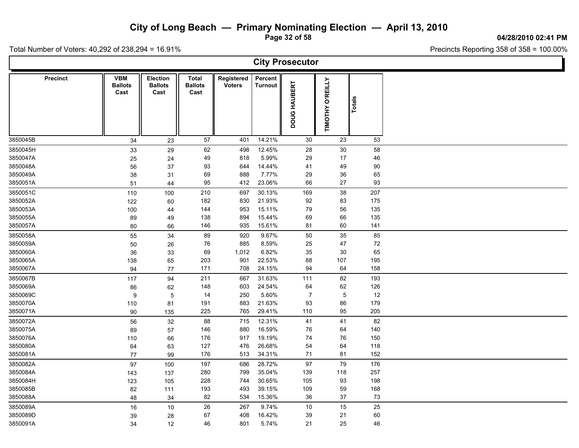**Page 32 of 58**

**04/28/2010 02:41 PM**

T

Total Number of Voters: 40,292 of 238,294 = 16.91%

 $\mathsf{L}$ 

| <b>City Prosecutor</b> |                                      |                                           |                                 |                             |                           |                |                            |        |  |  |  |  |  |
|------------------------|--------------------------------------|-------------------------------------------|---------------------------------|-----------------------------|---------------------------|----------------|----------------------------|--------|--|--|--|--|--|
| <b>Precinct</b>        | <b>VBM</b><br><b>Ballots</b><br>Cast | <b>Election</b><br><b>Ballots</b><br>Cast | Total<br><b>Ballots</b><br>Cast | Registered<br><b>Voters</b> | Percent<br><b>Turnout</b> | DOUG HAUBERT   | <b>O'REILLY</b><br>TIMOTHY | Totals |  |  |  |  |  |
| 3850045B               | 34                                   | 23                                        | 57                              | 401                         | 14.21%                    | 30             | 23                         | 53     |  |  |  |  |  |
| 3850045H               | 33                                   | 29                                        | 62                              | 498                         | 12.45%                    | 28             | $30\,$                     | 58     |  |  |  |  |  |
| 3850047A               | 25                                   | 24                                        | 49                              | 818                         | 5.99%                     | 29             | 17                         | 46     |  |  |  |  |  |
| 3850048A               | 56                                   | 37                                        | 93                              | 644                         | 14.44%                    | 41             | 49                         | 90     |  |  |  |  |  |
| 3850049A               | 38                                   | 31                                        | 69                              | 888                         | 7.77%                     | 29             | 36                         | 65     |  |  |  |  |  |
| 3850051A               | 51                                   | 44                                        | 95                              | 412                         | 23.06%                    | 66             | 27                         | 93     |  |  |  |  |  |
| 3850051C               | 110                                  | 100                                       | 210                             | 697                         | 30.13%                    | 169            | 38                         | 207    |  |  |  |  |  |
| 3850052A               | 122                                  | 60                                        | 182                             | 830                         | 21.93%                    | 92             | 83                         | 175    |  |  |  |  |  |
| 3850053A               | 100                                  | 44                                        | 144                             | 953                         | 15.11%                    | 79             | 56                         | 135    |  |  |  |  |  |
| 3850055A               | 89                                   | 49                                        | 138                             | 894                         | 15.44%                    | 69             | 66                         | 135    |  |  |  |  |  |
| 3850057A               | 80                                   | 66                                        | 146                             | 935                         | 15.61%                    | 81             | 60                         | 141    |  |  |  |  |  |
| 3850058A               | 55                                   | 34                                        | 89                              | 920                         | 9.67%                     | 50             | 35                         | 85     |  |  |  |  |  |
| 3850059A               | 50                                   | 26                                        | 76                              | 885                         | 8.59%                     | 25             | 47                         | 72     |  |  |  |  |  |
| 3850060A               | 36                                   | 33                                        | 69                              | 1,012                       | 6.82%                     | 35             | 30                         | 65     |  |  |  |  |  |
| 3850065A               | 138                                  | 65                                        | 203                             | 901                         | 22.53%                    | 88             | 107                        | 195    |  |  |  |  |  |
| 3850067A               | 94                                   | 77                                        | 171                             | 708                         | 24.15%                    | 94             | 64                         | 158    |  |  |  |  |  |
| 3850067B               | 117                                  | 94                                        | 211                             | 667                         | 31.63%                    | 111            | 82                         | 193    |  |  |  |  |  |
| 3850069A               | 86                                   | 62                                        | 148                             | 603                         | 24.54%                    | 64             | 62                         | 126    |  |  |  |  |  |
| 3850069C               | 9                                    | $\sqrt{5}$                                | 14                              | 250                         | 5.60%                     | $\overline{7}$ | $\overline{5}$             | 12     |  |  |  |  |  |
| 3850070A               | 110                                  | 81                                        | 191                             | 883                         | 21.63%                    | 93             | 86                         | 179    |  |  |  |  |  |
| 3850071A               | 90                                   | 135                                       | 225                             | 765                         | 29.41%                    | 110            | 95                         | 205    |  |  |  |  |  |
| 3850072A               | 56                                   | 32                                        | 88                              | 715                         | 12.31%                    | 41             | 41                         | 82     |  |  |  |  |  |
| 3850075A               | 89                                   | 57                                        | 146                             | 880                         | 16.59%                    | 76             | 64                         | 140    |  |  |  |  |  |
| 3850076A               | 110                                  | 66                                        | 176                             | 917                         | 19.19%                    | 74             | $76\,$                     | 150    |  |  |  |  |  |
| 3850080A               | 64                                   | 63                                        | 127                             | 476                         | 26.68%                    | 54             | 64                         | 118    |  |  |  |  |  |
| 3850081A               | 77                                   | 99                                        | 176                             | 513                         | 34.31%                    | 71             | 81                         | 152    |  |  |  |  |  |
| 3850082A               | 97                                   | 100                                       | 197                             | 686                         | 28.72%                    | 97             | 79                         | 176    |  |  |  |  |  |
| 3850084A               | 143                                  | 137                                       | 280                             | 799                         | 35.04%                    | 139            | 118                        | 257    |  |  |  |  |  |
| 3850084H               | 123                                  | 105                                       | 228                             | 744                         | 30.65%                    | 105            | 93                         | 198    |  |  |  |  |  |
| 3850085B               | 82                                   | 111                                       | 193                             | 493                         | 39.15%                    | 109            | 59                         | 168    |  |  |  |  |  |
| 3850088A               | 48                                   | 34                                        | 82                              | 534                         | 15.36%                    | 36             | 37                         | 73     |  |  |  |  |  |
| 3850089A               | $16\,$                               | 10                                        | 26                              | 267                         | 9.74%                     | 10             | 15                         | 25     |  |  |  |  |  |
| 3850089D               | 39                                   | 28                                        | 67                              | 408                         | 16.42%                    | $39\,$         | 21                         | 60     |  |  |  |  |  |
| 3850091A               | 34                                   | 12                                        | 46                              | 801                         | 5.74%                     | 21             | 25                         | 46     |  |  |  |  |  |
|                        |                                      |                                           |                                 |                             |                           |                |                            |        |  |  |  |  |  |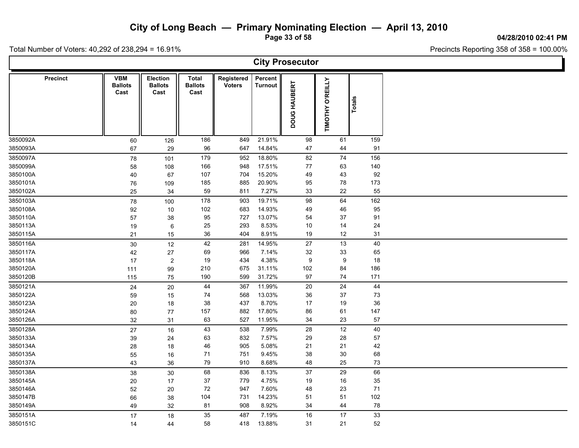**Page 33 of 58**

**04/28/2010 02:41 PM**

Total Number of Voters: 40,292 of 238,294 = 16.91%

L

| <b>City Prosecutor</b> |                                      |                                           |                                 |                             |                           |              |                            |           |  |  |  |  |  |
|------------------------|--------------------------------------|-------------------------------------------|---------------------------------|-----------------------------|---------------------------|--------------|----------------------------|-----------|--|--|--|--|--|
| <b>Precinct</b>        | <b>VBM</b><br><b>Ballots</b><br>Cast | <b>Election</b><br><b>Ballots</b><br>Cast | Total<br><b>Ballots</b><br>Cast | Registered<br><b>Voters</b> | Percent<br><b>Turnout</b> | DOUG HAUBERT | <b>O'REILLY</b><br>TIMOTHY | Totals    |  |  |  |  |  |
| 3850092A               | 60                                   | 126                                       | 186                             | 849                         | 21.91%                    | 98           | 61                         | 159       |  |  |  |  |  |
| 3850093A               | 67                                   | 29                                        | 96                              | 647                         | 14.84%                    | 47           | 44                         | 91        |  |  |  |  |  |
| 3850097A               | 78                                   | 101                                       | 179                             | 952                         | 18.80%                    | 82           | 74                         | 156       |  |  |  |  |  |
| 3850099A               | 58                                   | 108                                       | 166                             | 948                         | 17.51%                    | 77           | 63                         | 140       |  |  |  |  |  |
| 3850100A               | 40                                   | 67                                        | 107                             | 704                         | 15.20%                    | 49           | 43                         | 92        |  |  |  |  |  |
| 3850101A               | 76                                   | 109                                       | 185                             | 885                         | 20.90%                    | 95           | 78                         | 173       |  |  |  |  |  |
| 3850102A               | 25                                   | 34                                        | 59                              | 811                         | 7.27%                     | 33           | 22                         | 55        |  |  |  |  |  |
| 3850103A               | 78                                   | 100                                       | 178                             | 903                         | 19.71%                    | 98           | 64                         | 162       |  |  |  |  |  |
| 3850108A               | 92                                   | 10                                        | 102                             | 683                         | 14.93%                    | 49           | 46                         | 95        |  |  |  |  |  |
| 3850110A<br>3850113A   | 57                                   | 38                                        | 95<br>25                        | 727<br>293                  | 13.07%<br>8.53%           | 54<br>10     | 37<br>14                   | 91<br>24  |  |  |  |  |  |
| 3850115A               | 19                                   | 6<br>15                                   | 36                              | 404                         | 8.91%                     | $19$         | 12                         | 31        |  |  |  |  |  |
|                        | 21                                   |                                           |                                 |                             |                           |              |                            |           |  |  |  |  |  |
| 3850116A               | 30                                   | 12                                        | 42                              | 281                         | 14.95%                    | 27           | 13                         | 40        |  |  |  |  |  |
| 3850117A               | 42                                   | 27                                        | 69                              | 966                         | 7.14%                     | 32           | 33                         | 65        |  |  |  |  |  |
| 3850118A<br>3850120A   | 17                                   | $\overline{c}$                            | 19<br>210                       | 434<br>675                  | 4.38%<br>31.11%           | 9<br>102     | 9<br>84                    | 18<br>186 |  |  |  |  |  |
| 3850120B               | 111<br>115                           | 99                                        | 190                             | 599                         | 31.72%                    | 97           | 74                         | 171       |  |  |  |  |  |
|                        |                                      | 75                                        |                                 |                             |                           |              |                            |           |  |  |  |  |  |
| 3850121A<br>3850122A   | 24                                   | 20                                        | 44                              | 367                         | 11.99%<br>13.03%          | 20           | 24                         | 44<br>73  |  |  |  |  |  |
| 3850123A               | 59                                   | 15                                        | 74<br>38                        | 568                         | 8.70%                     | 36           | 37                         | 36        |  |  |  |  |  |
| 3850124A               | 20                                   | 18<br>77                                  | 157                             | 437<br>882                  | 17.80%                    | 17<br>86     | 19<br>61                   | 147       |  |  |  |  |  |
| 3850126A               | 80<br>32                             | 31                                        | 63                              | 527                         | 11.95%                    | 34           | 23                         | 57        |  |  |  |  |  |
| 3850128A               |                                      | 16                                        | 43                              | 538                         | 7.99%                     | 28           | $12$                       | 40        |  |  |  |  |  |
| 3850133A               | 27                                   |                                           | 63                              | 832                         | 7.57%                     | 29           | 28                         | 57        |  |  |  |  |  |
| 3850134A               | 39                                   | 24<br>18                                  | 46                              | 905                         | 5.08%                     | 21           | 21                         | 42        |  |  |  |  |  |
| 3850135A               | 28<br>55                             | 16                                        | 71                              | 751                         | 9.45%                     | 38           | 30                         | 68        |  |  |  |  |  |
| 3850137A               | 43                                   | 36                                        | 79                              | 910                         | 8.68%                     | 48           | 25                         | 73        |  |  |  |  |  |
| 3850138A               |                                      |                                           | 68                              | 836                         | 8.13%                     | 37           | 29                         | 66        |  |  |  |  |  |
| 3850145A               | 38                                   | 30                                        | 37                              | 779                         | 4.75%                     | 19           | 16                         | 35        |  |  |  |  |  |
| 3850146A               | 20<br>52                             | 17<br>20                                  | 72                              | 947                         | 7.60%                     | 48           | 23                         | 71        |  |  |  |  |  |
| 3850147B               | 66                                   | 38                                        | 104                             | 731                         | 14.23%                    | 51           | 51                         | 102       |  |  |  |  |  |
| 3850149A               | 49                                   | 32                                        | 81                              | 908                         | 8.92%                     | 34           | 44                         | 78        |  |  |  |  |  |
| 3850151A               |                                      |                                           | 35                              | 487                         | 7.19%                     | 16           | 17                         | 33        |  |  |  |  |  |
| 3850151C               | 17                                   | 18                                        | 58                              | 418                         | 13.88%                    | 31           | 21                         | 52        |  |  |  |  |  |
|                        | 14                                   | 44                                        |                                 |                             |                           |              |                            |           |  |  |  |  |  |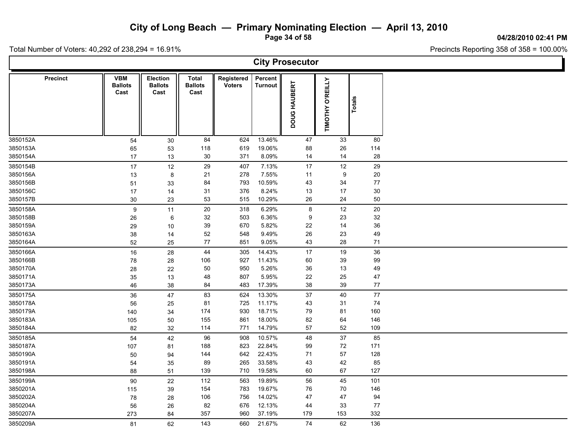**Page 34 of 58**

**04/28/2010 02:41 PM**

Total Number of Voters: 40,292 of 238,294 = 16.91%

| <b>City Prosecutor</b> |                                      |                                           |                                        |                             |                           |                  |                  |        |  |  |  |  |
|------------------------|--------------------------------------|-------------------------------------------|----------------------------------------|-----------------------------|---------------------------|------------------|------------------|--------|--|--|--|--|
| <b>Precinct</b>        | <b>VBM</b><br><b>Ballots</b><br>Cast | <b>Election</b><br><b>Ballots</b><br>Cast | <b>Total</b><br><b>Ballots</b><br>Cast | Registered<br><b>Voters</b> | Percent<br><b>Turnout</b> | DOUG HAUBERT     | TIMOTHY O'REILLY | Totals |  |  |  |  |
| 3850152A               | 54                                   | 30                                        | 84                                     | 624                         | 13.46%                    | 47               | 33               | 80     |  |  |  |  |
| 3850153A               | 65                                   | 53                                        | 118                                    | 619                         | 19.06%                    | 88               | 26               | 114    |  |  |  |  |
| 3850154A               | 17                                   | 13                                        | 30                                     | 371                         | 8.09%                     | 14               | 14               | 28     |  |  |  |  |
| 3850154B               | 17                                   | 12                                        | 29                                     | 407                         | 7.13%                     | 17               | 12               | 29     |  |  |  |  |
| 3850156A               | 13                                   | 8                                         | 21                                     | 278                         | 7.55%                     | 11               | 9                | 20     |  |  |  |  |
| 3850156B               | 51                                   | 33                                        | 84                                     | 793                         | 10.59%                    | 43               | 34               | 77     |  |  |  |  |
| 3850156C               | $17\,$                               | 14                                        | 31                                     | 376                         | 8.24%                     | 13               | 17               | $30\,$ |  |  |  |  |
| 3850157B               | 30                                   | 23                                        | 53                                     | 515                         | 10.29%                    | 26               | 24               | $50\,$ |  |  |  |  |
| 3850158A               | 9                                    | 11                                        | $20\,$                                 | 318                         | 6.29%                     | $\bf 8$          | 12               | 20     |  |  |  |  |
| 3850158B               | 26                                   | 6                                         | 32                                     | 503                         | 6.36%                     | $\boldsymbol{9}$ | 23               | 32     |  |  |  |  |
| 3850159A               | 29                                   | 10                                        | 39                                     | 670                         | 5.82%                     | 22               | 14               | $36\,$ |  |  |  |  |
| 3850163A               | 38                                   | 14                                        | 52                                     | 548                         | 9.49%                     | 26               | 23               | 49     |  |  |  |  |
| 3850164A               | 52                                   | 25                                        | 77                                     | 851                         | 9.05%                     | 43               | 28               | 71     |  |  |  |  |
| 3850166A               | 16                                   | 28                                        | 44                                     | 305                         | 14.43%                    | 17               | 19               | 36     |  |  |  |  |
| 3850166B               | ${\bf 78}$                           | 28                                        | 106                                    | 927                         | 11.43%                    | 60               | 39               | 99     |  |  |  |  |
| 3850170A               | 28                                   | 22                                        | 50                                     | 950                         | 5.26%                     | 36               | 13               | 49     |  |  |  |  |
| 3850171A               | 35                                   | 13                                        | 48                                     | 807                         | 5.95%                     | 22               | 25               | 47     |  |  |  |  |
| 3850173A               | 46                                   | 38                                        | 84                                     | 483                         | 17.39%                    | 38               | 39               | 77     |  |  |  |  |
| 3850175A               | 36                                   | 47                                        | 83                                     | 624                         | 13.30%                    | 37               | 40               | 77     |  |  |  |  |
| 3850178A               | 56                                   | 25                                        | 81                                     | 725                         | 11.17%                    | 43               | 31               | 74     |  |  |  |  |
| 3850179A               | 140                                  | 34                                        | 174                                    | 930                         | 18.71%                    | 79               | 81               | 160    |  |  |  |  |
| 3850183A               | 105                                  | 50                                        | 155                                    | 861                         | 18.00%                    | 82               | 64               | 146    |  |  |  |  |
| 3850184A               | 82                                   | 32                                        | 114                                    | 771                         | 14.79%                    | 57               | 52               | 109    |  |  |  |  |
| 3850185A               | 54                                   | 42                                        | 96                                     | 908                         | 10.57%                    | 48               | 37               | 85     |  |  |  |  |
| 3850187A               | 107                                  | 81                                        | 188                                    | 823                         | 22.84%                    | 99               | 72               | 171    |  |  |  |  |
| 3850190A               | 50                                   | 94                                        | 144                                    | 642                         | 22.43%                    | 71               | 57               | 128    |  |  |  |  |
| 3850191A               | 54                                   | 35                                        | 89                                     | 265                         | 33.58%                    | 43               | 42               | 85     |  |  |  |  |
| 3850198A               | 88                                   | 51                                        | 139                                    | 710                         | 19.58%                    | 60               | 67               | 127    |  |  |  |  |
| 3850199A               | 90                                   | 22                                        | 112                                    | 563                         | 19.89%                    | 56               | 45               | 101    |  |  |  |  |
| 3850201A               | 115                                  | 39                                        | 154                                    | 783                         | 19.67%                    | 76               | 70               | 146    |  |  |  |  |
| 3850202A               | 78                                   | 28                                        | 106                                    | 756                         | 14.02%                    | 47               | 47               | 94     |  |  |  |  |
| 3850204A               | 56                                   | 26                                        | 82                                     | 676                         | 12.13%                    | 44               | 33               | 77     |  |  |  |  |
| 3850207A               | 273                                  | 84                                        | 357                                    | 960                         | 37.19%                    | 179              | 153              | 332    |  |  |  |  |
| 3850209A               | 81                                   | 62                                        | 143                                    | 660                         | 21.67%                    | 74               | 62               | 136    |  |  |  |  |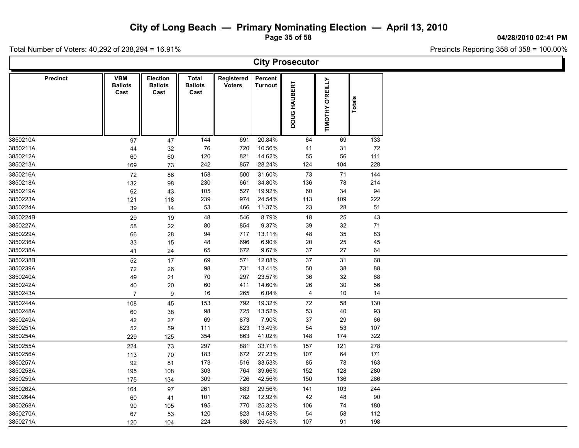**Page 35 of 58**

**04/28/2010 02:41 PM**

Total Number of Voters: 40,292 of 238,294 = 16.91%

L

| <b>City Prosecutor</b> |                                      |                                    |                                 |                             |                           |              |                  |               |  |  |  |  |
|------------------------|--------------------------------------|------------------------------------|---------------------------------|-----------------------------|---------------------------|--------------|------------------|---------------|--|--|--|--|
| <b>Precinct</b>        | <b>VBM</b><br><b>Ballots</b><br>Cast | Election<br><b>Ballots</b><br>Cast | Total<br><b>Ballots</b><br>Cast | Registered<br><b>Voters</b> | Percent<br><b>Turnout</b> | DOUG HAUBERT | TIMOTHY O'REILLY | <b>Totals</b> |  |  |  |  |
| 3850210A               | 97                                   | 47                                 | 144                             | 691                         | 20.84%                    | 64           | 69               | 133           |  |  |  |  |
| 3850211A               | 44                                   | 32                                 | 76                              | 720                         | 10.56%                    | 41           | 31               | 72            |  |  |  |  |
| 3850212A               | 60                                   | 60                                 | 120                             | 821                         | 14.62%                    | 55           | 56               | 111           |  |  |  |  |
| 3850213A               | 169                                  | 73                                 | 242                             | 857                         | 28.24%                    | 124          | 104              | 228           |  |  |  |  |
| 3850216A               | 72                                   | 86                                 | 158                             | 500                         | 31.60%                    | 73           | $\bf 71$         | 144           |  |  |  |  |
| 3850218A               | 132                                  | 98                                 | 230                             | 661                         | 34.80%                    | 136          | 78               | 214           |  |  |  |  |
| 3850219A               | 62                                   | 43                                 | 105                             | 527                         | 19.92%                    | 60           | 34               | 94            |  |  |  |  |
| 3850223A               | 121                                  | 118                                | 239                             | 974                         | 24.54%                    | 113          | 109              | 222           |  |  |  |  |
| 3850224A               | 39                                   | 14                                 | 53                              | 466                         | 11.37%                    | 23           | 28               | 51            |  |  |  |  |
| 3850224B               | 29                                   | 19                                 | 48                              | 546                         | 8.79%                     | 18           | 25               | 43            |  |  |  |  |
| 3850227A               | 58                                   | 22                                 | 80                              | 854                         | 9.37%                     | 39           | 32               | 71            |  |  |  |  |
| 3850229A               | 66                                   | 28                                 | 94                              | 717                         | 13.11%                    | 48           | 35               | 83            |  |  |  |  |
| 3850236A               | 33                                   | 15                                 | 48                              | 696                         | 6.90%                     | 20           | 25               | 45            |  |  |  |  |
| 3850238A               | 41                                   | 24                                 | 65                              | 672                         | 9.67%                     | 37           | 27               | 64            |  |  |  |  |
| 3850238B               | 52                                   | 17                                 | 69                              | 571                         | 12.08%                    | 37           | 31               | 68            |  |  |  |  |
| 3850239A               | 72                                   | 26                                 | 98                              | 731                         | 13.41%                    | $50\,$       | 38               | 88            |  |  |  |  |
| 3850240A               | 49                                   | 21                                 | 70                              | 297                         | 23.57%                    | 36           | 32               | 68            |  |  |  |  |
| 3850242A               | 40                                   | 20                                 | 60                              | 411                         | 14.60%                    | 26           | $30\,$           | 56            |  |  |  |  |
| 3850243A               | $\overline{7}$                       | $\boldsymbol{9}$                   | $16\,$                          | 265                         | 6.04%                     | 4            | $10\,$           | 14            |  |  |  |  |
| 3850244A               | 108                                  | 45                                 | 153                             | 792                         | 19.32%                    | $\bf 72$     | 58               | 130           |  |  |  |  |
| 3850248A               | 60                                   | 38                                 | 98                              | 725                         | 13.52%                    | 53           | 40               | 93            |  |  |  |  |
| 3850249A               | 42                                   | 27                                 | 69                              | 873                         | 7.90%                     | 37           | 29               | 66            |  |  |  |  |
| 3850251A               | 52                                   | 59                                 | 111                             | 823                         | 13.49%                    | 54           | 53               | 107           |  |  |  |  |
| 3850254A               | 229                                  | 125                                | 354                             | 863                         | 41.02%                    | 148          | 174              | 322           |  |  |  |  |
| 3850255A               | 224                                  | 73                                 | 297                             | 881                         | 33.71%                    | 157          | 121              | 278           |  |  |  |  |
| 3850256A               | 113                                  | 70                                 | 183                             | 672                         | 27.23%                    | 107          | 64               | 171           |  |  |  |  |
| 3850257A               | 92                                   | 81                                 | 173                             | 516                         | 33.53%                    | 85           | 78               | 163           |  |  |  |  |
| 3850258A               | 195                                  | 108                                | 303                             | 764                         | 39.66%                    | 152          | 128              | 280           |  |  |  |  |
| 3850259A               | 175                                  | 134                                | 309                             | 726                         | 42.56%                    | 150          | 136              | 286           |  |  |  |  |
| 3850262A               | 164                                  | 97                                 | 261                             | 883                         | 29.56%                    | 141          | 103              | 244           |  |  |  |  |
| 3850264A               | 60                                   | 41                                 | 101                             | 782                         | 12.92%                    | 42           | 48               | 90            |  |  |  |  |
| 3850268A               | 90                                   | 105                                | 195                             | 770                         | 25.32%                    | 106          | 74               | 180           |  |  |  |  |
| 3850270A               | 67                                   | 53                                 | 120                             | 823                         | 14.58%                    | 54           | 58               | 112           |  |  |  |  |
| 3850271A               | 120                                  | 104                                | 224                             | 880                         | 25.45%                    | 107          | 91               | 198           |  |  |  |  |
|                        |                                      |                                    |                                 |                             |                           |              |                  |               |  |  |  |  |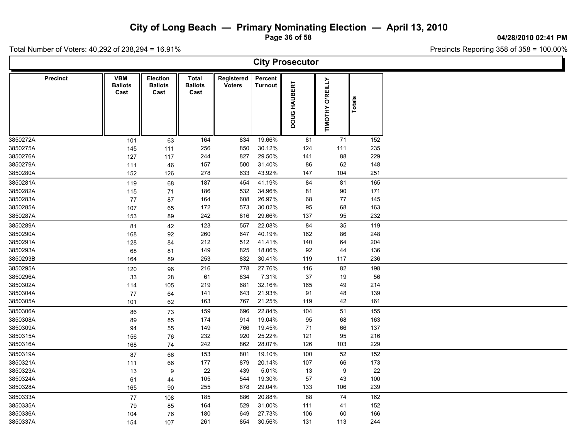**Page 36 of 58**

**04/28/2010 02:41 PM**

Ъ.

Total Number of Voters: 40,292 of 238,294 = 16.91%

Г

|                 | <b>City Prosecutor</b>               |                                           |                                 |                             |                    |              |                            |               |  |  |  |  |  |
|-----------------|--------------------------------------|-------------------------------------------|---------------------------------|-----------------------------|--------------------|--------------|----------------------------|---------------|--|--|--|--|--|
| <b>Precinct</b> | <b>VBM</b><br><b>Ballots</b><br>Cast | <b>Election</b><br><b>Ballots</b><br>Cast | Total<br><b>Ballots</b><br>Cast | Registered<br><b>Voters</b> | Percent<br>Turnout | DOUG HAUBERT | <b>O'REILLY</b><br>TIMOTHY | <b>Totals</b> |  |  |  |  |  |
| 3850272A        | 101                                  | 63                                        | 164                             | 834                         | 19.66%             | 81           | 71                         | 152           |  |  |  |  |  |
| 3850275A        | 145                                  | 111                                       | 256                             | 850                         | 30.12%             | 124          | 111                        | 235           |  |  |  |  |  |
| 3850276A        | 127                                  | 117                                       | 244                             | 827                         | 29.50%             | 141          | 88                         | 229           |  |  |  |  |  |
| 3850279A        | 111                                  | 46                                        | 157                             | 500                         | 31.40%             | 86           | 62                         | 148           |  |  |  |  |  |
| 3850280A        | 152                                  | 126                                       | 278                             | 633                         | 43.92%             | 147          | 104                        | 251           |  |  |  |  |  |
| 3850281A        | 119                                  | 68                                        | 187                             | 454                         | 41.19%             | 84           | 81                         | 165           |  |  |  |  |  |
| 3850282A        | 115                                  | $71$                                      | 186                             | 532                         | 34.96%             | 81           | 90                         | 171           |  |  |  |  |  |
| 3850283A        | 77                                   | 87                                        | 164                             | 608                         | 26.97%             | 68           | 77                         | 145           |  |  |  |  |  |
| 3850285A        | 107                                  | 65                                        | 172                             | 573                         | 30.02%             | 95           | 68                         | 163           |  |  |  |  |  |
| 3850287A        | 153                                  | 89                                        | 242                             | 816                         | 29.66%             | 137          | 95                         | 232           |  |  |  |  |  |
| 3850289A        | 81                                   | 42                                        | 123                             | 557                         | 22.08%             | 84           | 35                         | 119           |  |  |  |  |  |
| 3850290A        | 168                                  | 92                                        | 260                             | 647                         | 40.19%             | 162          | 86                         | 248           |  |  |  |  |  |
| 3850291A        | 128                                  | 84                                        | 212                             | 512                         | 41.41%             | 140          | 64                         | 204           |  |  |  |  |  |
| 3850293A        | 68                                   | 81                                        | 149                             | 825                         | 18.06%             | 92           | 44                         | 136           |  |  |  |  |  |
| 3850293B        | 164                                  | 89                                        | 253                             | 832                         | 30.41%             | 119          | 117                        | 236           |  |  |  |  |  |
| 3850295A        | 120                                  | 96                                        | 216                             | 778                         | 27.76%             | 116          | 82                         | 198           |  |  |  |  |  |
| 3850296A        | 33                                   | 28                                        | 61                              | 834                         | 7.31%              | 37           | 19                         | 56            |  |  |  |  |  |
| 3850302A        | 114                                  | 105                                       | 219                             | 681                         | 32.16%             | 165          | 49                         | 214           |  |  |  |  |  |
| 3850304A        | 77                                   | 64                                        | 141                             | 643                         | 21.93%             | 91           | 48                         | 139           |  |  |  |  |  |
| 3850305A        | 101                                  | 62                                        | 163                             | 767                         | 21.25%             | 119          | 42                         | 161           |  |  |  |  |  |
| 3850306A        | 86                                   | 73                                        | 159                             | 696                         | 22.84%             | 104          | 51                         | 155           |  |  |  |  |  |
| 3850308A        | 89                                   | 85                                        | 174                             | 914                         | 19.04%             | 95           | 68                         | 163           |  |  |  |  |  |
| 3850309A        | 94                                   | 55                                        | 149                             | 766                         | 19.45%             | 71           | 66                         | 137           |  |  |  |  |  |
| 3850315A        | 156                                  | 76                                        | 232                             | 920                         | 25.22%             | 121          | 95                         | 216           |  |  |  |  |  |
| 3850316A        | 168                                  | 74                                        | 242                             | 862                         | 28.07%             | 126          | 103                        | 229           |  |  |  |  |  |
| 3850319A        | 87                                   | 66                                        | 153                             | 801                         | 19.10%             | 100          | 52                         | 152           |  |  |  |  |  |
| 3850321A        | 111                                  | 66                                        | 177                             | 879                         | 20.14%             | 107          | 66                         | 173           |  |  |  |  |  |
| 3850323A        | 13                                   | 9                                         | 22                              | 439                         | 5.01%              | 13           | $\boldsymbol{9}$           | 22            |  |  |  |  |  |
| 3850324A        | 61                                   | 44                                        | 105                             | 544                         | 19.30%             | 57           | 43                         | 100           |  |  |  |  |  |
| 3850328A        | 165                                  | 90                                        | 255                             | 878                         | 29.04%             | 133          | 106                        | 239           |  |  |  |  |  |
| 3850333A        | $77\,$                               | 108                                       | 185                             | 886                         | 20.88%             | 88           | 74                         | 162           |  |  |  |  |  |
| 3850335A        | 79                                   | 85                                        | 164                             | 529                         | 31.00%             | 111          | 41                         | 152           |  |  |  |  |  |
| 3850336A        | 104                                  | 76                                        | 180                             | 649                         | 27.73%             | 106          | 60                         | 166           |  |  |  |  |  |
| 3850337A        | 154                                  | 107                                       | 261                             | 854                         | 30.56%             | 131          | 113                        | 244           |  |  |  |  |  |
|                 |                                      |                                           |                                 |                             |                    |              |                            |               |  |  |  |  |  |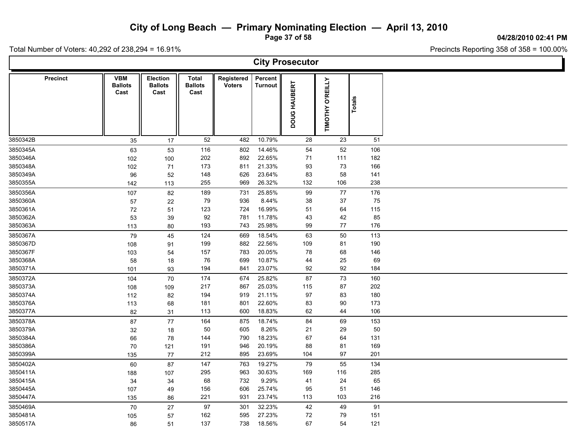**Page 37 of 58**

**04/28/2010 02:41 PM**

T

Total Number of Voters: 40,292 of 238,294 = 16.91%

 $\mathsf{L}$ 

| <b>City Prosecutor</b> |                                      |                                           |                                 |                             |                           |              |                  |        |  |  |  |  |  |
|------------------------|--------------------------------------|-------------------------------------------|---------------------------------|-----------------------------|---------------------------|--------------|------------------|--------|--|--|--|--|--|
| <b>Precinct</b>        | <b>VBM</b><br><b>Ballots</b><br>Cast | <b>Election</b><br><b>Ballots</b><br>Cast | Total<br><b>Ballots</b><br>Cast | Registered<br><b>Voters</b> | Percent<br><b>Turnout</b> | DOUG HAUBERT | TIMOTHY O'REILLY | Totals |  |  |  |  |  |
| 3850342B               | 35                                   | 17                                        | 52                              | 482                         | 10.79%                    | 28           | 23               | 51     |  |  |  |  |  |
| 3850345A               | 63                                   | 53                                        | 116                             | 802                         | 14.46%                    | 54           | 52               | 106    |  |  |  |  |  |
| 3850346A               | 102                                  | 100                                       | 202                             | 892                         | 22.65%                    | 71           | 111              | 182    |  |  |  |  |  |
| 3850348A               | 102                                  | 71                                        | 173                             | 811                         | 21.33%                    | 93           | 73               | 166    |  |  |  |  |  |
| 3850349A               | 96                                   | 52                                        | 148                             | 626                         | 23.64%                    | 83           | 58               | 141    |  |  |  |  |  |
| 3850355A               | 142                                  | 113                                       | 255                             | 969                         | 26.32%                    | 132          | 106              | 238    |  |  |  |  |  |
| 3850356A               | 107                                  | 82                                        | 189                             | 731                         | 25.85%                    | 99           | 77               | 176    |  |  |  |  |  |
| 3850360A               | 57                                   | 22                                        | 79                              | 936                         | 8.44%                     | 38           | 37               | 75     |  |  |  |  |  |
| 3850361A               | 72                                   | 51                                        | 123                             | 724                         | 16.99%                    | 51           | 64               | 115    |  |  |  |  |  |
| 3850362A               | 53                                   | 39                                        | 92                              | 781                         | 11.78%                    | 43           | 42               | 85     |  |  |  |  |  |
| 3850363A               | 113                                  | 80                                        | 193                             | 743                         | 25.98%                    | 99           | 77               | 176    |  |  |  |  |  |
| 3850367A               | 79                                   | 45                                        | 124                             | 669                         | 18.54%                    | 63           | 50               | 113    |  |  |  |  |  |
| 3850367D               | 108                                  | 91                                        | 199                             | 882                         | 22.56%                    | 109          | 81               | 190    |  |  |  |  |  |
| 3850367F               | 103                                  | 54                                        | 157                             | 783                         | 20.05%                    | 78           | 68               | 146    |  |  |  |  |  |
| 3850368A               | 58                                   | 18                                        | 76                              | 699                         | 10.87%                    | 44           | 25               | 69     |  |  |  |  |  |
| 3850371A               | 101                                  | 93                                        | 194                             | 841                         | 23.07%                    | 92           | 92               | 184    |  |  |  |  |  |
| 3850372A               | 104                                  | 70                                        | 174                             | 674                         | 25.82%                    | 87           | 73               | 160    |  |  |  |  |  |
| 3850373A               | 108                                  | 109                                       | 217                             | 867                         | 25.03%                    | 115          | 87               | 202    |  |  |  |  |  |
| 3850374A               | 112                                  | 82                                        | 194                             | 919                         | 21.11%                    | 97           | 83               | 180    |  |  |  |  |  |
| 3850376A               | 113                                  | 68                                        | 181                             | 801                         | 22.60%                    | 83           | 90               | 173    |  |  |  |  |  |
| 3850377A               | 82                                   | 31                                        | 113                             | 600                         | 18.83%                    | 62           | 44               | 106    |  |  |  |  |  |
| 3850378A               | 87                                   | 77                                        | 164                             | 875                         | 18.74%                    | 84           | 69               | 153    |  |  |  |  |  |
| 3850379A               | 32                                   | 18                                        | 50                              | 605                         | 8.26%                     | 21           | 29               | 50     |  |  |  |  |  |
| 3850384A               | 66                                   | 78                                        | 144                             | 790                         | 18.23%                    | 67           | 64               | 131    |  |  |  |  |  |
| 3850386A               | 70                                   | 121                                       | 191                             | 946                         | 20.19%                    | 88           | 81               | 169    |  |  |  |  |  |
| 3850399A               | 135                                  | 77                                        | 212                             | 895                         | 23.69%                    | 104          | 97               | 201    |  |  |  |  |  |
| 3850402A               | 60                                   | 87                                        | 147                             | 763                         | 19.27%                    | 79           | 55               | 134    |  |  |  |  |  |
| 3850411A               | 188                                  | 107                                       | 295                             | 963                         | 30.63%                    | 169          | 116              | 285    |  |  |  |  |  |
| 3850415A               | 34                                   | 34                                        | 68                              | 732                         | 9.29%                     | 41           | 24               | 65     |  |  |  |  |  |
| 3850445A               | 107                                  | 49                                        | 156                             | 606                         | 25.74%                    | 95           | 51               | 146    |  |  |  |  |  |
| 3850447A               | 135                                  | 86                                        | 221                             | 931                         | 23.74%                    | 113          | 103              | 216    |  |  |  |  |  |
| 3850469A               | 70                                   | $27\,$                                    | 97                              | 301                         | 32.23%                    | 42           | 49               | 91     |  |  |  |  |  |
| 3850481A               | 105                                  | 57                                        | 162                             | 595                         | 27.23%                    | 72           | 79               | 151    |  |  |  |  |  |
| 3850517A               | 86                                   | 51                                        | 137                             | 738                         | 18.56%                    | 67           | 54               | 121    |  |  |  |  |  |
|                        |                                      |                                           |                                 |                             |                           |              |                  |        |  |  |  |  |  |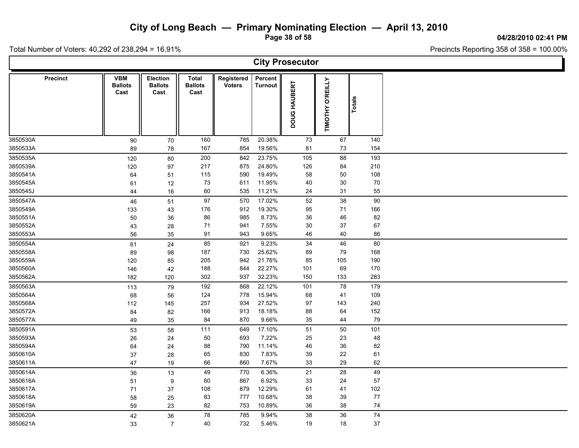**Page 38 of 58**

**04/28/2010 02:41 PM**

Ъ

Total Number of Voters: 40,292 of 238,294 = 16.91%

Г

|                      | <b>City Prosecutor</b>               |                                           |                                 |                             |                    |              |                  |            |  |  |  |  |  |  |
|----------------------|--------------------------------------|-------------------------------------------|---------------------------------|-----------------------------|--------------------|--------------|------------------|------------|--|--|--|--|--|--|
| <b>Precinct</b>      | <b>VBM</b><br><b>Ballots</b><br>Cast | <b>Election</b><br><b>Ballots</b><br>Cast | Total<br><b>Ballots</b><br>Cast | Registered<br><b>Voters</b> | Percent<br>Turnout | DOUG HAUBERT | TIMOTHY O'REILLY | Totals     |  |  |  |  |  |  |
| 3850530A             | 90                                   | 70                                        | 160                             | 785                         | 20.38%             | 73           | 67               | 140        |  |  |  |  |  |  |
| 3850533A             | 89                                   | 78                                        | 167                             | 854                         | 19.56%             | 81           | 73               | 154        |  |  |  |  |  |  |
| 3850535A             | 120                                  | 80                                        | 200                             | 842                         | 23.75%             | 105          | 88               | 193        |  |  |  |  |  |  |
| 3850539A             | 120                                  | 97                                        | 217                             | 875                         | 24.80%             | 126          | 84               | 210        |  |  |  |  |  |  |
| 3850541A             | 64                                   | 51                                        | 115                             | 590                         | 19.49%             | 58           | $50\,$           | 108        |  |  |  |  |  |  |
| 3850545A             | 61                                   | 12                                        | 73                              | 611                         | 11.95%             | 40           | $30\,$           | $70\,$     |  |  |  |  |  |  |
| 3850545J             | 44                                   | $16\,$                                    | 60                              | 535                         | 11.21%             | 24           | 31               | 55         |  |  |  |  |  |  |
| 3850547A             | 46                                   | 51                                        | $97\,$                          | 570                         | 17.02%             | 52           | 38               | $90\,$     |  |  |  |  |  |  |
| 3850549A             | 133                                  | 43                                        | 176                             | 912                         | 19.30%             | 95           | 71               | 166        |  |  |  |  |  |  |
| 3850551A             | 50                                   | 36                                        | 86                              | 985                         | 8.73%              | 36           | 46               | 82         |  |  |  |  |  |  |
| 3850552A<br>3850553A | 43                                   | 28                                        | 71<br>91                        | 941<br>943                  | 7.55%<br>9.65%     | 30<br>46     | 37<br>$40\,$     | 67<br>86   |  |  |  |  |  |  |
|                      | 56                                   | 35                                        |                                 |                             |                    |              |                  |            |  |  |  |  |  |  |
| 3850554A             | 61                                   | 24                                        | 85                              | 921                         | 9.23%              | 34           | 46               | 80         |  |  |  |  |  |  |
| 3850558A             | 89                                   | 98                                        | 187                             | 730                         | 25.62%             | 89           | 79               | 168        |  |  |  |  |  |  |
| 3850559A             | 120                                  | 85                                        | 205                             | 942                         | 21.76%             | 85           | 105              | 190        |  |  |  |  |  |  |
| 3850560A<br>3850562A | 146                                  | 42                                        | 188<br>302                      | 844<br>937                  | 22.27%<br>32.23%   | 101<br>150   | 69<br>133        | 170<br>283 |  |  |  |  |  |  |
|                      | 182                                  | 120                                       |                                 |                             |                    |              |                  |            |  |  |  |  |  |  |
| 3850563A             | 113                                  | 79                                        | 192                             | 868                         | 22.12%             | 101          | 78               | 179        |  |  |  |  |  |  |
| 3850564A             | 68                                   | 56                                        | 124                             | 778                         | 15.94%<br>27.52%   | 68           | 41               | 109        |  |  |  |  |  |  |
| 3850568A<br>3850572A | 112                                  | 145                                       | 257<br>166                      | 934<br>913                  | 18.18%             | 97<br>88     | 143<br>64        | 240<br>152 |  |  |  |  |  |  |
| 3850577A             | 84                                   | 82                                        | 84                              | 870                         | 9.66%              | 35           | 44               | 79         |  |  |  |  |  |  |
|                      | 49                                   | 35                                        |                                 |                             |                    |              |                  |            |  |  |  |  |  |  |
| 3850591A<br>3850593A | 53                                   | 58                                        | 111<br>50                       | 649<br>693                  | 17.10%<br>7.22%    | 51<br>25     | 50<br>23         | 101<br>48  |  |  |  |  |  |  |
|                      | 26                                   | 24                                        |                                 | 790                         | 11.14%             |              | 36               | 82         |  |  |  |  |  |  |
| 3850594A<br>3850610A | 64                                   | 24                                        | 88<br>65                        | 830                         | 7.83%              | 46<br>39     | 22               | 61         |  |  |  |  |  |  |
| 3850611A             | $37\,$<br>47                         | 28<br>19                                  | 66                              | 860                         | 7.67%              | 33           | 29               | 62         |  |  |  |  |  |  |
| 3850614A             |                                      |                                           |                                 |                             | 6.36%              |              |                  |            |  |  |  |  |  |  |
| 3850616A             | 36                                   | 13                                        | 49<br>60                        | 770<br>867                  | 6.92%              | 21<br>33     | 28<br>24         | 49<br>57   |  |  |  |  |  |  |
| 3850617A             | 51                                   | 9                                         | 108                             | 879                         | 12.29%             | 61           | 41               | 102        |  |  |  |  |  |  |
| 3850618A             | 71<br>58                             | 37<br>25                                  | 83                              | 777                         | 10.68%             | 38           | 39               | 77         |  |  |  |  |  |  |
| 3850619A             | 59                                   | 23                                        | 82                              | 753                         | 10.89%             | 36           | 38               | ${\bf 74}$ |  |  |  |  |  |  |
|                      |                                      |                                           |                                 |                             |                    |              |                  | 74         |  |  |  |  |  |  |
| 3850620A<br>3850621A | 42                                   | 36                                        | 78<br>40                        | 785<br>732                  | 9.94%<br>5.46%     | 38<br>19     | 36<br>18         | $37\,$     |  |  |  |  |  |  |
|                      | 33                                   | $\overline{7}$                            |                                 |                             |                    |              |                  |            |  |  |  |  |  |  |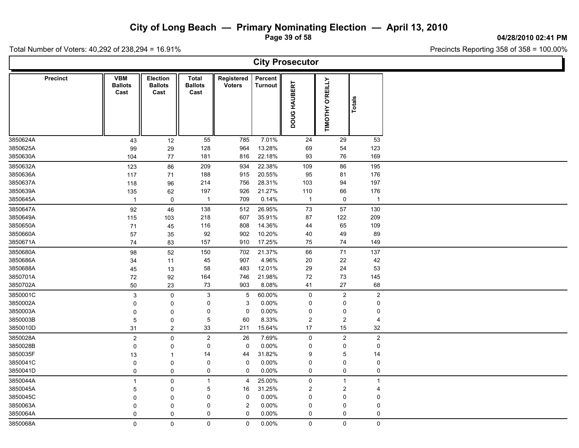**Page 39 of 58**

**04/28/2010 02:41 PM**

T

Total Number of Voters: 40,292 of 238,294 = 16.91%

 $\mathsf{L}$ 

|                      | <b>City Prosecutor</b> |                                      |                                           |                                 |                             |                    |                      |                            |                  |  |  |  |  |  |
|----------------------|------------------------|--------------------------------------|-------------------------------------------|---------------------------------|-----------------------------|--------------------|----------------------|----------------------------|------------------|--|--|--|--|--|
|                      | <b>Precinct</b>        | <b>VBM</b><br><b>Ballots</b><br>Cast | <b>Election</b><br><b>Ballots</b><br>Cast | Total<br><b>Ballots</b><br>Cast | Registered<br><b>Voters</b> | Percent<br>Turnout | DOUG HAUBERT         | <b>O'REILLY</b><br>TIMOTHY | Totals           |  |  |  |  |  |
| 3850624A             |                        | 43                                   | 12                                        | 55                              | 785                         | 7.01%              | 24                   | 29                         | 53               |  |  |  |  |  |
| 3850625A             |                        | 99                                   | 29                                        | 128                             | 964                         | 13.28%             | 69                   | 54                         | 123              |  |  |  |  |  |
| 3850630A             |                        | 104                                  | 77                                        | 181                             | 816                         | 22.18%             | 93                   | 76                         | 169              |  |  |  |  |  |
| 3850632A             |                        | 123                                  | 86                                        | 209                             | 934                         | 22.38%             | 109                  | 86                         | 195              |  |  |  |  |  |
| 3850636A             |                        | 117                                  | 71                                        | 188                             | 915                         | 20.55%             | 95                   | 81                         | 176              |  |  |  |  |  |
| 3850637A             |                        | 118                                  | 96                                        | 214                             | 756                         | 28.31%             | 103                  | 94                         | 197              |  |  |  |  |  |
| 3850639A             |                        | 135                                  | 62                                        | 197                             | 926                         | 21.27%             | 110                  | 66                         | 176              |  |  |  |  |  |
| 3850645A             |                        | $\mathbf{1}$                         | 0                                         | $\overline{1}$                  | 709                         | 0.14%              | $\mathbf{1}$         | $\mathsf 0$                | $\overline{1}$   |  |  |  |  |  |
| 3850647A             |                        | 92                                   | 46                                        | 138                             | 512                         | 26.95%             | 73                   | 57                         | 130              |  |  |  |  |  |
| 3850649A             |                        | 115                                  | 103                                       | 218                             | 607                         | 35.91%             | 87                   | 122                        | 209              |  |  |  |  |  |
| 3850650A             |                        | 71                                   | 45                                        | 116                             | 808                         | 14.36%             | 44                   | 65                         | 109              |  |  |  |  |  |
| 3850660A             |                        | 57                                   | 35                                        | 92                              | 902                         | 10.20%             | 40                   | 49                         | 89               |  |  |  |  |  |
| 3850671A             |                        | 74                                   | 83                                        | 157                             | 910                         | 17.25%             | 75                   | 74                         | 149              |  |  |  |  |  |
| 3850680A             |                        | 98                                   | 52                                        | 150                             | 702                         | 21.37%             | 66                   | $71$                       | 137              |  |  |  |  |  |
| 3850686A             |                        | 34                                   | 11                                        | 45                              | 907                         | 4.96%              | $20\,$               | 22                         | 42               |  |  |  |  |  |
| 3850688A             |                        | 45                                   | 13                                        | 58                              | 483                         | 12.01%             | 29                   | 24                         | 53               |  |  |  |  |  |
| 3850701A             |                        | 72                                   | 92                                        | 164                             | 746                         | 21.98%             | 72                   | $73\,$                     | 145              |  |  |  |  |  |
| 3850702A             |                        | 50                                   | 23                                        | 73                              | 903                         | 8.08%              | 41                   | 27                         | 68               |  |  |  |  |  |
| 3850001C             |                        | $\mathsf 3$                          | $\mathbf 0$                               | 3                               | $\overline{5}$              | 60.00%             | 0                    | $\overline{2}$             | $\overline{c}$   |  |  |  |  |  |
| 3850002A             |                        | 0                                    | 0                                         | 0                               | 3                           | 0.00%              | 0                    | $\pmb{0}$                  | 0                |  |  |  |  |  |
| 3850003A             |                        | $\mathbf 0$                          | 0                                         | 0                               | $\mathbf 0$                 | 0.00%              | 0                    | 0                          | 0                |  |  |  |  |  |
| 3850003B<br>3850010D |                        | $\overline{5}$                       | $\mathbf 0$                               | 5<br>33                         | 60                          | 8.33%<br>15.64%    | $\overline{c}$<br>17 | $\boldsymbol{2}$           | 4<br>32          |  |  |  |  |  |
|                      |                        | 31                                   | $\boldsymbol{2}$                          |                                 | 211                         |                    |                      | 15                         |                  |  |  |  |  |  |
| 3850028A             |                        | $\boldsymbol{2}$                     | 0                                         | $\overline{\mathbf{c}}$         | 26                          | 7.69%              | $\mathbf 0$          | $\boldsymbol{2}$           | $\sqrt{2}$       |  |  |  |  |  |
| 3850028B             |                        | $\mathbf 0$                          | $\mathbf 0$                               | 0                               | $\mathbf 0$                 | 0.00%              | 0                    | $\mathbf 0$                | 0                |  |  |  |  |  |
| 3850035F             |                        | 13                                   | $\mathbf{1}$                              | 14<br>0                         | 44                          | 31.82%             | 9<br>0               | 5<br>0                     | 14               |  |  |  |  |  |
| 3850041C<br>3850041D |                        | $\mathbf 0$                          | $\mathsf 0$                               | 0                               | $\mathbf 0$<br>$\mathbf 0$  | $0.00\%$<br>0.00%  | 0                    | 0                          | 0<br>0           |  |  |  |  |  |
|                      |                        | 0                                    | 0                                         |                                 |                             |                    |                      |                            |                  |  |  |  |  |  |
| 3850044A             |                        | $\mathbf{1}$                         | $\mathbf 0$                               | $\overline{1}$                  | $\overline{4}$              | 25.00%             | $\pmb{0}$            | $\mathbf{1}$               | $\overline{1}$   |  |  |  |  |  |
| 3850045A             |                        | $\overline{5}$                       | 0                                         | 5                               | 16                          | 31.25%             | $\boldsymbol{2}$     | $\boldsymbol{2}$           | 4                |  |  |  |  |  |
| 3850045C<br>3850063A |                        | $\mathbf{0}$                         | $\mathbf 0$                               | 0<br>0                          | $\mathbf 0$<br>$\sqrt{2}$   | 0.00%<br>0.00%     | 0<br>0               | 0<br>$\mathbf 0$           | 0<br>$\mathbf 0$ |  |  |  |  |  |
| 3850064A             |                        | $\Omega$<br>0                        | $\mathbf 0$<br>0                          | 0                               | $\mathbf 0$                 | 0.00%              | $\mathbf 0$          | 0                          | 0                |  |  |  |  |  |
| 3850068A             |                        |                                      |                                           |                                 |                             | 0.00%              |                      |                            |                  |  |  |  |  |  |
|                      |                        | $\mathbf 0$                          | $\mathbf 0$                               | 0                               | $\mathbf 0$                 |                    | $\mathsf{O}$         | $\mathsf{O}\xspace$        | 0                |  |  |  |  |  |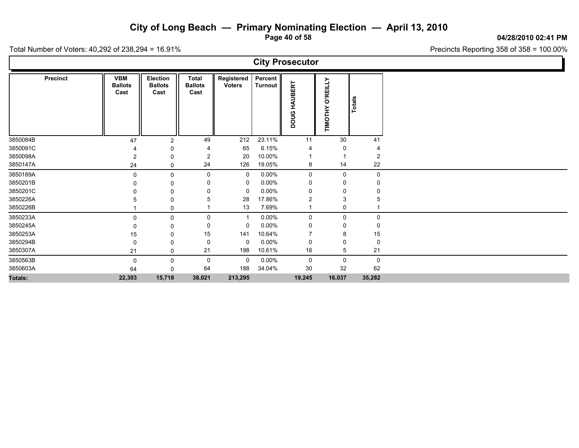**Page 40 of 58**

**04/28/2010 02:41 PM**

Precincts Reporting 358 of 358 = 100.00%

| <b>City Prosecutor</b> |                 |                                      |                                    |                                 |                             |                           |                        |                            |              |  |  |  |  |
|------------------------|-----------------|--------------------------------------|------------------------------------|---------------------------------|-----------------------------|---------------------------|------------------------|----------------------------|--------------|--|--|--|--|
|                        | <b>Precinct</b> | <b>VBM</b><br><b>Ballots</b><br>Cast | Election<br><b>Ballots</b><br>Cast | Total<br><b>Ballots</b><br>Cast | Registered<br><b>Voters</b> | Percent<br><b>Turnout</b> | <b>HAUBERT</b><br>poug | <b>O'REILLY</b><br>TIMOTHY | Totals       |  |  |  |  |
| 3850084B               |                 | 47                                   | 2                                  | 49                              | 212                         | 23.11%                    | 11                     | 30                         | 41           |  |  |  |  |
| 3850091C               |                 |                                      |                                    |                                 | 65                          | 6.15%                     |                        |                            |              |  |  |  |  |
| 3850098A<br>3850147A   |                 | 2                                    | 0                                  | 2<br>24                         | 20<br>126                   | 10.00%<br>19.05%          |                        | 14                         | 2<br>22      |  |  |  |  |
|                        |                 | 24                                   | 0                                  |                                 |                             |                           | 8                      |                            |              |  |  |  |  |
| 3850189A<br>3850201B   |                 | $\Omega$                             | 0                                  | 0                               | 0<br>0                      | $0.00\%$<br>$0.00\%$      | 0<br>0                 | $\mathbf 0$<br>0           | 0            |  |  |  |  |
| 3850201C               |                 |                                      | 0<br>$\Omega$                      |                                 | - 0                         | $0.00\%$                  | 0                      | 0                          |              |  |  |  |  |
| 3850226A               |                 |                                      | 0                                  |                                 | 28                          | 17.86%                    | 2                      | 3                          |              |  |  |  |  |
| 3850226B               |                 |                                      | 0                                  |                                 | 13                          | 7.69%                     | -1                     | 0                          |              |  |  |  |  |
| 3850233A               |                 | $\Omega$                             | 0                                  | 0                               | -1                          | $0.00\%$                  | 0                      | 0                          | $\mathbf{0}$ |  |  |  |  |
| 3850245A               |                 |                                      | 0                                  | 0                               | 0                           | $0.00\%$                  | 0                      | 0                          |              |  |  |  |  |
| 3850253A               |                 | 15                                   | 0                                  | 15                              | 141                         | 10.64%                    |                        | 8                          | 15           |  |  |  |  |
| 3850294B               |                 | 0                                    | 0                                  | 0                               | $\mathbf 0$                 | $0.00\%$                  | 0                      | 0                          | 0            |  |  |  |  |
| 3850307A               |                 | 21                                   | 0                                  | 21                              | 198                         | 10.61%                    | 16                     | 5                          | 21           |  |  |  |  |
| 3850563B               |                 | 0                                    | 0                                  | 0                               | $\mathbf 0$                 | $0.00\%$                  | 0                      | $\mathsf 0$                | $\mathbf 0$  |  |  |  |  |
| 3850603A               |                 | 64                                   | 0                                  | 64                              | 188                         | 34.04%                    | 30                     | 32                         | 62           |  |  |  |  |
| Totals:                |                 | 22,303                               | 15,718                             | 38,021                          | 213,295                     |                           | 19,245                 | 16,037                     | 35,282       |  |  |  |  |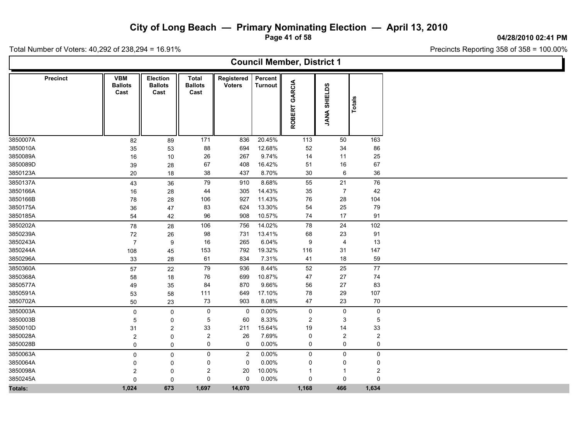**Page 41 of 58**

**04/28/2010 02:41 PM**

Ъ

Precincts Reporting 358 of 358 = 100.00%

|                 | <b>Council Member, District 1</b>    |                                           |                                        |                             |                           |                         |                              |        |  |  |  |  |  |  |
|-----------------|--------------------------------------|-------------------------------------------|----------------------------------------|-----------------------------|---------------------------|-------------------------|------------------------------|--------|--|--|--|--|--|--|
| <b>Precinct</b> | <b>VBM</b><br><b>Ballots</b><br>Cast | <b>Election</b><br><b>Ballots</b><br>Cast | <b>Total</b><br><b>Ballots</b><br>Cast | Registered<br><b>Voters</b> | Percent<br><b>Turnout</b> | GARCIA<br><b>ROBERT</b> | ဖာ<br>SHIELD:<br><b>ANAL</b> | Totals |  |  |  |  |  |  |
| 3850007A        | 82                                   | 89                                        | 171                                    | 836                         | 20.45%                    | 113                     | 50                           | 163    |  |  |  |  |  |  |
| 3850010A        | 35                                   | 53                                        | 88                                     | 694                         | 12.68%                    | 52                      | 34                           | 86     |  |  |  |  |  |  |
| 3850089A        | 16                                   | 10                                        | 26                                     | 267                         | 9.74%                     | 14                      | 11                           | 25     |  |  |  |  |  |  |
| 3850089D        | 39                                   | 28                                        | 67                                     | 408                         | 16.42%                    | 51                      | 16                           | 67     |  |  |  |  |  |  |
| 3850123A        | 20                                   | 18                                        | 38                                     | 437                         | 8.70%                     | 30                      | 6                            | 36     |  |  |  |  |  |  |
| 3850137A        | 43                                   | 36                                        | 79                                     | 910                         | 8.68%                     | 55                      | 21                           | 76     |  |  |  |  |  |  |
| 3850166A        | 16                                   | 28                                        | 44                                     | 305                         | 14.43%                    | 35                      | $\overline{7}$               | 42     |  |  |  |  |  |  |
| 3850166B        | 78                                   | 28                                        | 106                                    | 927                         | 11.43%                    | 76                      | 28                           | 104    |  |  |  |  |  |  |
| 3850175A        | 36                                   | 47                                        | 83                                     | 624                         | 13.30%                    | 54                      | 25                           | 79     |  |  |  |  |  |  |
| 3850185A        | 54                                   | 42                                        | 96                                     | 908                         | 10.57%                    | 74                      | 17                           | 91     |  |  |  |  |  |  |
| 3850202A        | 78                                   | 28                                        | 106                                    | 756                         | 14.02%                    | 78                      | 24                           | 102    |  |  |  |  |  |  |
| 3850239A        | 72                                   | 26                                        | 98                                     | 731                         | 13.41%                    | 68                      | 23                           | 91     |  |  |  |  |  |  |
| 3850243A        | $\overline{7}$                       | 9                                         | 16                                     | 265                         | 6.04%                     | 9                       | 4                            | 13     |  |  |  |  |  |  |
| 3850244A        | 108                                  | 45                                        | 153                                    | 792                         | 19.32%                    | 116                     | 31                           | 147    |  |  |  |  |  |  |
| 3850296A        | 33                                   | 28                                        | 61                                     | 834                         | 7.31%                     | 41                      | 18                           | 59     |  |  |  |  |  |  |
| 3850360A        | 57                                   | 22                                        | 79                                     | 936                         | 8.44%                     | 52                      | 25                           | 77     |  |  |  |  |  |  |
| 3850368A        | 58                                   | 18                                        | 76                                     | 699                         | 10.87%                    | 47                      | 27                           | 74     |  |  |  |  |  |  |
| 3850577A        | 49                                   | 35                                        | 84                                     | 870                         | 9.66%                     | 56                      | 27                           | 83     |  |  |  |  |  |  |
| 3850591A        | 53                                   | 58                                        | 111                                    | 649                         | 17.10%                    | 78                      | 29                           | 107    |  |  |  |  |  |  |
| 3850702A        | 50                                   | 23                                        | 73                                     | 903                         | 8.08%                     | 47                      | 23                           | 70     |  |  |  |  |  |  |
| 3850003A        | $\pmb{0}$                            | $\pmb{0}$                                 | 0                                      | $\mathbf 0$                 | 0.00%                     | 0                       | $\mathsf{O}$                 | 0      |  |  |  |  |  |  |
| 3850003B        | 5                                    | 0                                         | 5                                      | 60                          | 8.33%                     | $\overline{2}$          | 3                            | 5      |  |  |  |  |  |  |
| 3850010D        | 31                                   | $\overline{\mathbf{c}}$                   | 33                                     | 211                         | 15.64%                    | 19                      | 14                           | 33     |  |  |  |  |  |  |
| 3850028A        | $\overline{2}$                       | 0                                         | 2                                      | 26                          | 7.69%                     | 0                       | $\overline{2}$               | 2      |  |  |  |  |  |  |
| 3850028B        | 0                                    | 0                                         | 0                                      | $\mathbf 0$                 | 0.00%                     | 0                       | 0                            | 0      |  |  |  |  |  |  |
| 3850063A        | $\mathbf 0$                          | $\mathsf{O}\xspace$                       | 0                                      | $\overline{2}$              | 0.00%                     | 0                       | $\mathsf{O}$                 | 0      |  |  |  |  |  |  |
| 3850064A        | $\Omega$                             | 0                                         | 0                                      | 0                           | 0.00%                     | 0                       | 0                            | 0      |  |  |  |  |  |  |
| 3850098A        | 2                                    | 0                                         | 2                                      | 20                          | 10.00%                    | -1                      | -1                           | 2      |  |  |  |  |  |  |
| 3850245A        | $\mathbf 0$                          | $\mathbf 0$                               | 0                                      | $\mathbf 0$                 | 0.00%                     | 0                       | 0                            | 0      |  |  |  |  |  |  |
| Totals:         | 1,024                                | 673                                       | 1,697                                  | 14,070                      |                           | 1,168                   | 466                          | 1,634  |  |  |  |  |  |  |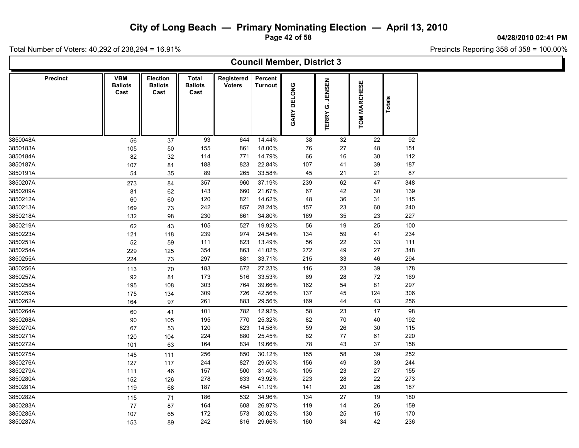**Page 42 of 58**

Precincts Reporting 358 of 358 = 100.00%

**04/28/2010 02:41 PM**

Ъ

|          | <b>Council Member, District 3</b> |                                      |                                    |                                        |                             |                           |             |                                    |                                   |        |  |  |  |  |
|----------|-----------------------------------|--------------------------------------|------------------------------------|----------------------------------------|-----------------------------|---------------------------|-------------|------------------------------------|-----------------------------------|--------|--|--|--|--|
|          | <b>Precinct</b>                   | <b>VBM</b><br><b>Ballots</b><br>Cast | Election<br><b>Ballots</b><br>Cast | <b>Total</b><br><b>Ballots</b><br>Cast | Registered<br><b>Voters</b> | Percent<br><b>Turnout</b> | GARY DELONG | <b>JENSEN</b><br>Ö<br><b>TERRY</b> | ESE<br><b>MARCH</b><br><b>NOL</b> | Totals |  |  |  |  |
| 3850048A |                                   | 56                                   | 37                                 | 93                                     | 644                         | 14.44%                    | 38          | 32                                 | 22                                | 92     |  |  |  |  |
| 3850183A |                                   | 105                                  | 50                                 | 155                                    | 861                         | 18.00%                    | 76          | 27                                 | 48                                | 151    |  |  |  |  |
| 3850184A |                                   | 82                                   | 32                                 | 114                                    | 771                         | 14.79%                    | 66          | 16                                 | 30                                | 112    |  |  |  |  |
| 3850187A |                                   | 107                                  | 81                                 | 188                                    | 823                         | 22.84%                    | 107         | 41                                 | 39                                | 187    |  |  |  |  |
| 3850191A |                                   | 54                                   | 35                                 | 89                                     | 265                         | 33.58%                    | 45          | 21                                 | 21                                | 87     |  |  |  |  |
| 3850207A |                                   | 273                                  | 84                                 | 357                                    | 960                         | 37.19%                    | 239         | 62                                 | 47                                | 348    |  |  |  |  |
| 3850209A |                                   | 81                                   | 62                                 | 143                                    | 660                         | 21.67%                    | 67          | 42                                 | 30                                | 139    |  |  |  |  |
| 3850212A |                                   | 60                                   | 60                                 | 120                                    | 821                         | 14.62%                    | 48          | 36                                 | 31                                | 115    |  |  |  |  |
| 3850213A |                                   | 169                                  | 73                                 | 242                                    | 857                         | 28.24%                    | 157         | 23                                 | 60                                | 240    |  |  |  |  |
| 3850218A |                                   | 132                                  | 98                                 | 230                                    | 661                         | 34.80%                    | 169         | 35                                 | 23                                | 227    |  |  |  |  |
| 3850219A |                                   | 62                                   | 43                                 | 105                                    | 527                         | 19.92%                    | 56          | 19                                 | 25                                | 100    |  |  |  |  |
| 3850223A |                                   | 121                                  | 118                                | 239                                    | 974                         | 24.54%                    | 134         | 59                                 | 41                                | 234    |  |  |  |  |
| 3850251A |                                   | $52\,$                               | 59                                 | 111                                    | 823                         | 13.49%                    | 56          | 22                                 | 33                                | 111    |  |  |  |  |
| 3850254A |                                   | 229                                  | 125                                | 354                                    | 863                         | 41.02%                    | 272         | 49                                 | 27                                | 348    |  |  |  |  |
| 3850255A |                                   | 224                                  | 73                                 | 297                                    | 881                         | 33.71%                    | 215         | 33                                 | 46                                | 294    |  |  |  |  |
| 3850256A |                                   | 113                                  | 70                                 | 183                                    | 672                         | 27.23%                    | 116         | 23                                 | 39                                | 178    |  |  |  |  |
| 3850257A |                                   | 92                                   | 81                                 | 173                                    | 516                         | 33.53%                    | 69          | 28                                 | 72                                | 169    |  |  |  |  |
| 3850258A |                                   | 195                                  | 108                                | 303                                    | 764                         | 39.66%                    | 162         | 54                                 | 81                                | 297    |  |  |  |  |
| 3850259A |                                   | 175                                  | 134                                | 309                                    | 726                         | 42.56%                    | 137         | 45                                 | 124                               | 306    |  |  |  |  |
| 3850262A |                                   | 164                                  | 97                                 | 261                                    | 883                         | 29.56%                    | 169         | 44                                 | 43                                | 256    |  |  |  |  |
| 3850264A |                                   | 60                                   | 41                                 | 101                                    | 782                         | 12.92%                    | 58          | 23                                 | 17                                | 98     |  |  |  |  |
| 3850268A |                                   | 90                                   | 105                                | 195                                    | 770                         | 25.32%                    | 82          | 70                                 | 40                                | 192    |  |  |  |  |
| 3850270A |                                   | 67                                   | 53                                 | 120                                    | 823                         | 14.58%                    | 59          | 26                                 | 30                                | 115    |  |  |  |  |
| 3850271A |                                   | 120                                  | 104                                | 224                                    | 880                         | 25.45%                    | 82          | 77                                 | 61                                | 220    |  |  |  |  |
| 3850272A |                                   | 101                                  | 63                                 | 164                                    | 834                         | 19.66%                    | 78          | 43                                 | 37                                | 158    |  |  |  |  |
| 3850275A |                                   | 145                                  | 111                                | 256                                    | 850                         | 30.12%                    | 155         | 58                                 | 39                                | 252    |  |  |  |  |
| 3850276A |                                   | 127                                  | 117                                | 244                                    | 827                         | 29.50%                    | 156         | 49                                 | 39                                | 244    |  |  |  |  |
| 3850279A |                                   | 111                                  | 46                                 | 157                                    | 500                         | 31.40%                    | 105         | 23                                 | 27                                | 155    |  |  |  |  |
| 3850280A |                                   | 152                                  | 126                                | 278                                    | 633                         | 43.92%                    | 223         | 28                                 | 22                                | 273    |  |  |  |  |
| 3850281A |                                   | 119                                  | 68                                 | 187                                    | 454                         | 41.19%                    | 141         | 20                                 | 26                                | 187    |  |  |  |  |
| 3850282A |                                   | 115                                  | 71                                 | 186                                    | 532                         | 34.96%                    | 134         | 27                                 | 19                                | 180    |  |  |  |  |
| 3850283A |                                   | 77                                   | 87                                 | 164                                    | 608                         | 26.97%                    | 119         | 14                                 | 26                                | 159    |  |  |  |  |
| 3850285A |                                   | 107                                  | 65                                 | 172                                    | 573                         | 30.02%                    | 130         | 25                                 | 15                                | 170    |  |  |  |  |
| 3850287A |                                   | 153                                  | 89                                 | 242                                    | 816                         | 29.66%                    | 160         | 34                                 | 42                                | 236    |  |  |  |  |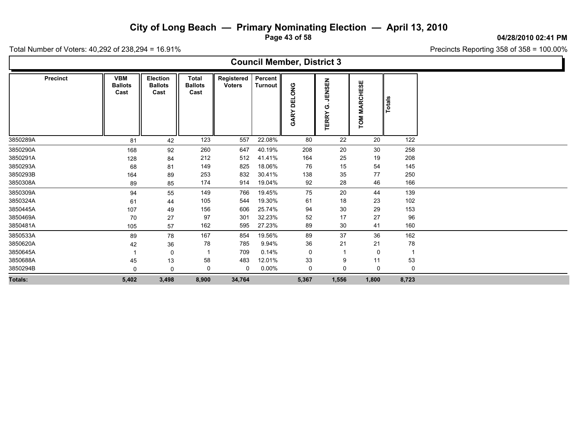**Page 43 of 58**

 $P_{\text{R}}$  Presiding 358 of 358 = 100.00%

Total Number of Voters: 40,292 of 238,294 = 16.91%

Г

|  | Precincts Reporting $358$ of $358 = 100.00\%$ |  |  |
|--|-----------------------------------------------|--|--|
|  |                                               |  |  |

| <b>Council Member, District 3</b> |                                      |                                           |                                        |                             |                      |                         |                                    |                        |        |  |  |  |  |
|-----------------------------------|--------------------------------------|-------------------------------------------|----------------------------------------|-----------------------------|----------------------|-------------------------|------------------------------------|------------------------|--------|--|--|--|--|
| <b>Precinct</b>                   | <b>VBM</b><br><b>Ballots</b><br>Cast | <b>Election</b><br><b>Ballots</b><br>Cast | <b>Total</b><br><b>Ballots</b><br>Cast | Registered<br><b>Voters</b> | Percent  <br>Turnout | <b>SNO</b><br>띰<br>GARY | <b>JENSEN</b><br>ပ<br><b>TERRY</b> | <b>MARCHESE</b><br>TOM | Totals |  |  |  |  |
| 3850289A                          | 81                                   | 42                                        | 123                                    | 557                         | 22.08%               | 80                      | 22                                 | 20                     | 122    |  |  |  |  |
| 3850290A                          | 168                                  | 92                                        | 260                                    | 647                         | 40.19%               | 208                     | 20                                 | 30                     | 258    |  |  |  |  |
| 3850291A                          | 128                                  | 84                                        | 212                                    | 512                         | 41.41%               | 164                     | 25                                 | 19                     | 208    |  |  |  |  |
| 3850293A                          | 68                                   | 81                                        | 149                                    | 825                         | 18.06%               | 76                      | 15                                 | 54                     | 145    |  |  |  |  |
| 3850293B                          | 164                                  | 89                                        | 253                                    | 832                         | 30.41%               | 138                     | 35                                 | 77                     | 250    |  |  |  |  |
| 3850308A                          | 89                                   | 85                                        | 174                                    | 914                         | 19.04%               | 92                      | 28                                 | 46                     | 166    |  |  |  |  |
| 3850309A                          | 94                                   | 55                                        | 149                                    | 766                         | 19.45%               | 75                      | 20                                 | 44                     | 139    |  |  |  |  |
| 3850324A                          | 61                                   | 44                                        | 105                                    | 544                         | 19.30%               | 61                      | 18                                 | 23                     | 102    |  |  |  |  |
| 3850445A                          | 107                                  | 49                                        | 156                                    | 606                         | 25.74%               | 94                      | $30\,$                             | 29                     | 153    |  |  |  |  |
| 3850469A                          | 70                                   | 27                                        | 97                                     | 301                         | 32.23%               | 52                      | 17                                 | 27                     | 96     |  |  |  |  |
| 3850481A                          | 105                                  | 57                                        | 162                                    | 595                         | 27.23%               | 89                      | 30                                 | 41                     | 160    |  |  |  |  |
| 3850533A                          | 89                                   | 78                                        | 167                                    | 854                         | 19.56%               | 89                      | 37                                 | 36                     | 162    |  |  |  |  |
| 3850620A                          | 42                                   | 36                                        | 78                                     | 785                         | 9.94%                | 36                      | 21                                 | 21                     | 78     |  |  |  |  |
| 3850645A                          |                                      | $\Omega$                                  |                                        | 709                         | 0.14%                | 0                       |                                    | 0                      |        |  |  |  |  |
| 3850688A                          | 45                                   | 13                                        | 58                                     | 483                         | 12.01%               | 33                      | 9                                  | 11                     | 53     |  |  |  |  |
| 3850294B                          | 0                                    | 0                                         | 0                                      | 0                           | $0.00\%$             | 0                       | 0                                  | 0                      | 0      |  |  |  |  |
| Totals:                           | 5,402                                | 3,498                                     | 8,900                                  | 34,764                      |                      | 5,367                   | 1,556                              | 1,800                  | 8,723  |  |  |  |  |
|                                   |                                      |                                           |                                        |                             |                      |                         |                                    |                        |        |  |  |  |  |

#### **04/28/2010 02:41 PM**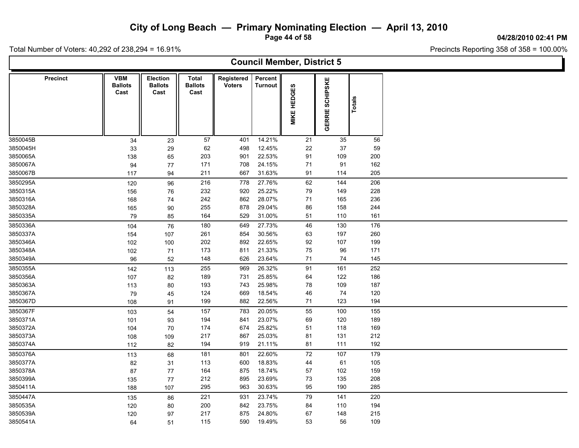**Page 44 of 58**

**04/28/2010 02:41 PM**

Total Number of Voters: 40,292 of 238,294 = 16.91%

| <b>Council Member, District 5</b> |                                      |                                           |                                        |                             |                           |                    |                        |        |  |  |  |  |  |
|-----------------------------------|--------------------------------------|-------------------------------------------|----------------------------------------|-----------------------------|---------------------------|--------------------|------------------------|--------|--|--|--|--|--|
| <b>Precinct</b>                   | <b>VBM</b><br><b>Ballots</b><br>Cast | <b>Election</b><br><b>Ballots</b><br>Cast | <b>Total</b><br><b>Ballots</b><br>Cast | Registered<br><b>Voters</b> | Percent<br><b>Turnout</b> | <b>MIKE HEDGES</b> | <b>GERRIE SCHIPSKE</b> | Totals |  |  |  |  |  |
| 3850045B                          | 34                                   | 23                                        | 57                                     | 401                         | 14.21%                    | 21                 | 35                     | 56     |  |  |  |  |  |
| 3850045H                          | 33                                   | 29                                        | 62                                     | 498                         | 12.45%                    | 22                 | 37                     | 59     |  |  |  |  |  |
| 3850065A                          | 138                                  | 65                                        | 203                                    | 901                         | 22.53%                    | 91                 | 109                    | 200    |  |  |  |  |  |
| 3850067A                          | 94                                   | 77                                        | 171                                    | 708                         | 24.15%                    | 71                 | 91                     | 162    |  |  |  |  |  |
| 3850067B                          | 117                                  | 94                                        | 211                                    | 667                         | 31.63%                    | 91                 | 114                    | 205    |  |  |  |  |  |
| 3850295A                          | 120                                  | 96                                        | 216                                    | 778                         | 27.76%                    | 62                 | 144                    | 206    |  |  |  |  |  |
| 3850315A                          | 156                                  | 76                                        | 232                                    | 920                         | 25.22%                    | 79                 | 149                    | 228    |  |  |  |  |  |
| 3850316A                          | 168                                  | 74                                        | 242                                    | 862                         | 28.07%                    | 71                 | 165                    | 236    |  |  |  |  |  |
| 3850328A                          | 165                                  | $90\,$                                    | 255                                    | 878                         | 29.04%                    | 86                 | 158                    | 244    |  |  |  |  |  |
| 3850335A                          | 79                                   | 85                                        | 164                                    | 529                         | 31.00%                    | 51                 | 110                    | 161    |  |  |  |  |  |
| 3850336A                          | 104                                  | 76                                        | 180                                    | 649                         | 27.73%                    | 46                 | 130                    | 176    |  |  |  |  |  |
| 3850337A                          | 154                                  | 107                                       | 261                                    | 854                         | 30.56%                    | 63                 | 197                    | 260    |  |  |  |  |  |
| 3850346A                          | 102                                  | 100                                       | 202                                    | 892                         | 22.65%                    | 92                 | 107                    | 199    |  |  |  |  |  |
| 3850348A                          | 102                                  | 71                                        | 173                                    | 811                         | 21.33%                    | 75                 | 96                     | 171    |  |  |  |  |  |
| 3850349A                          | 96                                   | 52                                        | 148                                    | 626                         | 23.64%                    | $71$               | 74                     | 145    |  |  |  |  |  |
| 3850355A                          | 142                                  | 113                                       | 255                                    | 969                         | 26.32%                    | 91                 | 161                    | 252    |  |  |  |  |  |
| 3850356A                          | 107                                  | 82                                        | 189                                    | 731                         | 25.85%                    | 64                 | 122                    | 186    |  |  |  |  |  |
| 3850363A                          | 113                                  | 80                                        | 193                                    | 743                         | 25.98%                    | 78                 | 109                    | 187    |  |  |  |  |  |
| 3850367A                          | 79                                   | 45                                        | 124                                    | 669                         | 18.54%                    | 46                 | 74                     | 120    |  |  |  |  |  |
| 3850367D                          | 108                                  | 91                                        | 199                                    | 882                         | 22.56%                    | 71                 | 123                    | 194    |  |  |  |  |  |
| 3850367F                          | 103                                  | 54                                        | 157                                    | 783                         | 20.05%                    | 55                 | 100                    | 155    |  |  |  |  |  |
| 3850371A                          | 101                                  | 93                                        | 194                                    | 841                         | 23.07%                    | 69                 | 120                    | 189    |  |  |  |  |  |
| 3850372A                          | 104                                  | $70$                                      | 174                                    | 674                         | 25.82%                    | 51                 | 118                    | 169    |  |  |  |  |  |
| 3850373A                          | 108                                  | 109                                       | 217                                    | 867                         | 25.03%                    | 81                 | 131                    | 212    |  |  |  |  |  |
| 3850374A                          | 112                                  | 82                                        | 194                                    | 919                         | 21.11%                    | 81                 | 111                    | 192    |  |  |  |  |  |
| 3850376A                          | 113                                  | 68                                        | 181                                    | 801                         | 22.60%                    | 72                 | 107                    | 179    |  |  |  |  |  |
| 3850377A                          | 82                                   | 31                                        | 113                                    | 600                         | 18.83%                    | 44                 | 61                     | 105    |  |  |  |  |  |
| 3850378A                          | 87                                   | 77                                        | 164                                    | 875                         | 18.74%                    | 57                 | 102                    | 159    |  |  |  |  |  |
| 3850399A                          | 135                                  | 77                                        | 212                                    | 895                         | 23.69%                    | $73\,$             | 135                    | 208    |  |  |  |  |  |
| 3850411A                          | 188                                  | 107                                       | 295                                    | 963                         | 30.63%                    | 95                 | 190                    | 285    |  |  |  |  |  |
| 3850447A                          | 135                                  | 86                                        | 221                                    | 931                         | 23.74%                    | 79                 | 141                    | 220    |  |  |  |  |  |
| 3850535A                          | 120                                  | 80                                        | 200                                    | 842                         | 23.75%                    | 84                 | 110                    | 194    |  |  |  |  |  |
| 3850539A                          | 120                                  | 97                                        | 217                                    | 875                         | 24.80%                    | 67                 | 148                    | 215    |  |  |  |  |  |
| 3850541A                          | 64                                   | 51                                        | 115                                    | 590                         | 19.49%                    | 53                 | 56                     | 109    |  |  |  |  |  |
|                                   |                                      |                                           |                                        |                             |                           |                    |                        |        |  |  |  |  |  |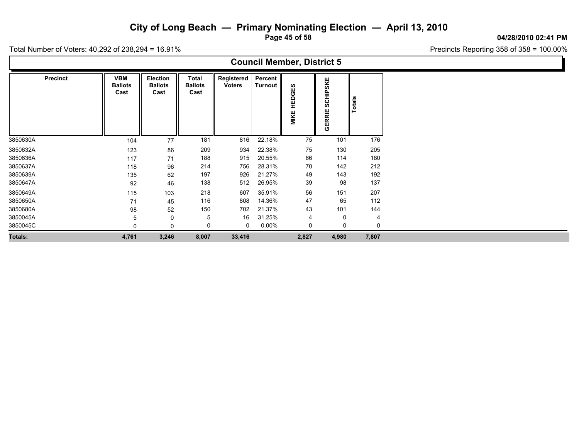**Page 45 of 58**

#### **04/28/2010 02:41 PM**

Precincts Reporting 358 of 358 = 100.00%

| <b>Council Member, District 5</b> |                 |                                      |                                    |                                        |                             |                    |                     |                                |                |  |  |  |  |
|-----------------------------------|-----------------|--------------------------------------|------------------------------------|----------------------------------------|-----------------------------|--------------------|---------------------|--------------------------------|----------------|--|--|--|--|
|                                   | <b>Precinct</b> | <b>VBM</b><br><b>Ballots</b><br>Cast | Election<br><b>Ballots</b><br>Cast | <b>Total</b><br><b>Ballots</b><br>Cast | Registered<br><b>Voters</b> | Percent<br>Turnout | 69<br>HEDGI<br>MIKE | HIPSKE<br>ဒ္တ<br><b>GERRIE</b> | Totals         |  |  |  |  |
| 3850630A                          |                 | 104                                  | 77                                 | 181                                    | 816                         | 22.18%             | 75                  | 101                            | 176            |  |  |  |  |
| 3850632A                          |                 | 123                                  | 86                                 | 209                                    | 934                         | 22.38%             | 75                  | 130                            | 205            |  |  |  |  |
| 3850636A                          |                 | 117                                  | 71                                 | 188                                    | 915                         | 20.55%             | 66                  | 114                            | 180            |  |  |  |  |
| 3850637A                          |                 | 118                                  | 96                                 | 214                                    | 756                         | 28.31%             | 70                  | 142                            | 212            |  |  |  |  |
| 3850639A                          |                 | 135                                  | 62                                 | 197                                    | 926                         | 21.27%             | 49                  | 143                            | 192            |  |  |  |  |
| 3850647A                          |                 | 92                                   | 46                                 | 138                                    | 512                         | 26.95%             | 39                  | 98                             | 137            |  |  |  |  |
| 3850649A                          |                 | 115                                  | 103                                | 218                                    | 607                         | 35.91%             | 56                  | 151                            | 207            |  |  |  |  |
| 3850650A                          |                 | 71                                   | 45                                 | 116                                    | 808                         | 14.36%             | 47                  | 65                             | 112            |  |  |  |  |
| 3850680A                          |                 | 98                                   | 52                                 | 150                                    | 702                         | 21.37%             | 43                  | 101                            | 144            |  |  |  |  |
| 3850045A                          |                 | b                                    | 0                                  | 5                                      | 16                          | 31.25%             | 4                   | 0                              | $\overline{4}$ |  |  |  |  |
| 3850045C                          |                 | $\Omega$                             | 0                                  | 0                                      | 0                           | $0.00\%$           | 0                   | 0                              | 0              |  |  |  |  |
| Totals:                           |                 | 4,761                                | 3,246                              | 8,007                                  | 33,416                      |                    | 2,827               | 4,980                          | 7,807          |  |  |  |  |
|                                   |                 |                                      |                                    |                                        |                             |                    |                     |                                |                |  |  |  |  |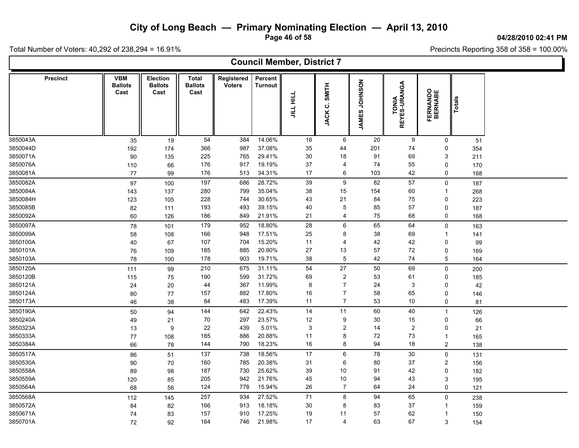**Page 46 of 58**

#### **04/28/2010 02:41 PM**

Ъ

Precincts Reporting 358 of 358 = 100.00%

Total Number of Voters: 40,292 of 238,294 = 16.91%

Г

|                 |                                      |                                    |                                 |                             |                           | <b>Council Member, District 7</b> |                         |                         |                       |                            |        |  |
|-----------------|--------------------------------------|------------------------------------|---------------------------------|-----------------------------|---------------------------|-----------------------------------|-------------------------|-------------------------|-----------------------|----------------------------|--------|--|
| <b>Precinct</b> | <b>VBM</b><br><b>Ballots</b><br>Cast | Election<br><b>Ballots</b><br>Cast | Total<br><b>Ballots</b><br>Cast | Registered<br><b>Voters</b> | Percent<br><b>Turnout</b> | JILL HILL                         | <b>SMITH</b><br>JACK C. | NOSNHOL<br><b>JAMES</b> | TONIA<br>REYES-URANGA | <b>FERNANDO</b><br>BERNABE | Totals |  |
| 3850043A        | 35                                   | 19                                 | 54                              | 384                         | 14.06%                    | 16                                | 6                       | 20                      | $\boldsymbol{9}$      | $\mathbf 0$                | 51     |  |
| 3850044D        | 192                                  | 174                                | 366                             | 987                         | 37.08%                    | 35                                | 44                      | 201                     | 74                    | $\mathbf 0$                | 354    |  |
| 3850071A        | 90                                   | 135                                | 225                             | 765                         | 29.41%                    | 30                                | 18                      | 91                      | 69                    | 3                          | 211    |  |
| 3850076A        | 110                                  | 66                                 | 176                             | 917                         | 19.19%                    | 37                                | $\overline{4}$          | 74                      | 55                    | $\mathbf 0$                | 170    |  |
| 3850081A        | 77                                   | 99                                 | 176                             | 513                         | 34.31%                    | 17                                | 6                       | 103                     | 42                    | 0                          | 168    |  |
| 3850082A        | 97                                   | 100                                | 197                             | 686                         | 28.72%                    | 39                                | 9                       | 82                      | 57                    | $\mathbf 0$                | 187    |  |
| 3850084A        | 143                                  | 137                                | 280                             | 799                         | 35.04%                    | 38                                | 15                      | 154                     | 60                    | $\overline{\mathbf{1}}$    | 268    |  |
| 3850084H        | 123                                  | 105                                | 228                             | 744                         | 30.65%                    | 43                                | 21                      | 84                      | 75                    | $\mathbf 0$                | 223    |  |
| 3850085B        | 82                                   | 111                                | 193                             | 493                         | 39.15%                    | 40                                | 5                       | 85                      | 57                    | $\pmb{0}$                  | 187    |  |
| 3850092A        | 60                                   | 126                                | 186                             | 849                         | 21.91%                    | 21                                | $\overline{4}$          | 75                      | 68                    | 0                          | 168    |  |
| 3850097A        | 78                                   | 101                                | 179                             | 952                         | 18.80%                    | 28                                | $\,6\,$                 | 65                      | 64                    | $\pmb{0}$                  | 163    |  |
| 3850099A        | 58                                   | 108                                | 166                             | 948                         | 17.51%                    | 25                                | 8                       | 38                      | 69                    | $\overline{\mathbf{1}}$    | 141    |  |
| 3850100A        | 40                                   | 67                                 | 107                             | 704                         | 15.20%                    | 11                                | $\overline{4}$          | 42                      | 42                    | $\pmb{0}$                  | 99     |  |
| 3850101A        | 76                                   | 109                                | 185                             | 885                         | 20.90%                    | 27                                | 13                      | 57                      | 72                    | $\mathbf 0$                | 169    |  |
| 3850103A        | 78                                   | 100                                | 178                             | 903                         | 19.71%                    | 38                                | $\mathbf 5$             | 42                      | 74                    | $\overline{5}$             | 164    |  |
| 3850120A        | 111                                  | 99                                 | 210                             | 675                         | 31.11%                    | 54                                | 27                      | 50                      | 69                    | $\pmb{0}$                  | 200    |  |
| 3850120B        | 115                                  | 75                                 | 190                             | 599                         | 31.72%                    | 69                                | $\overline{2}$          | 53                      | 61                    | 0                          | 185    |  |
| 3850121A        | 24                                   | 20                                 | 44                              | 367                         | 11.99%                    | 8                                 | $\overline{7}$          | 24                      | 3                     | $\mathbf 0$                | 42     |  |
| 3850124A        | 80                                   | 77                                 | 157                             | 882                         | 17.80%                    | 16                                | $\overline{7}$          | 58                      | 65                    | $\mathbf 0$                | 146    |  |
| 3850173A        | 46                                   | 38                                 | 84                              | 483                         | 17.39%                    | 11                                | $\overline{7}$          | 53                      | $10$                  | $\mathbf 0$                | 81     |  |
| 3850190A        | 50                                   | 94                                 | 144                             | 642                         | 22.43%                    | 14                                | 11                      | 60                      | 40                    | $\overline{1}$             | 126    |  |
| 3850240A        | 49                                   | 21                                 | 70                              | 297                         | 23.57%                    | 12                                | 9                       | 30                      | 15                    | $\mathbf 0$                | 66     |  |
| 3850323A        | 13                                   | 9                                  | 22                              | 439                         | 5.01%                     | 3                                 | $\overline{\mathbf{c}}$ | 14                      | $\sqrt{2}$            | $\mathbf 0$                | 21     |  |
| 3850333A        | 77                                   | 108                                | 185                             | 886                         | 20.88%                    | 11                                | 8                       | 72                      | 73                    | $\overline{1}$             | 165    |  |
| 3850384A        | 66                                   | 78                                 | 144                             | 790                         | 18.23%                    | 16                                | 8                       | 94                      | 18                    | $\overline{2}$             | 138    |  |
| 3850517A        | 86                                   | 51                                 | 137                             | 738                         | 18.56%                    | 17                                | 6                       | 78                      | 30                    | $\mathbf 0$                | 131    |  |
| 3850530A        | 90                                   | 70                                 | 160                             | 785                         | 20.38%                    | 31                                | 6                       | 80                      | 37                    | $\overline{2}$             | 156    |  |
| 3850558A        | 89                                   | 98                                 | 187                             | 730                         | 25.62%                    | 39                                | 10                      | 91                      | 42                    | $\pmb{0}$                  | 182    |  |
| 3850559A        | 120                                  | 85                                 | 205                             | 942                         | 21.76%                    | 45                                | 10                      | 94                      | 43                    | 3                          | 195    |  |
| 3850564A        | 68                                   | 56                                 | 124                             | 778                         | 15.94%                    | 26                                | $\overline{7}$          | 64                      | 24                    | $\mathbf 0$                | 121    |  |
| 3850568A        | 112                                  | 145                                | 257                             | 934                         | 27.52%                    | 71                                | $\bf 8$                 | 94                      | 65                    | $\mathbf 0$                | 238    |  |
| 3850572A        | 84                                   | 82                                 | 166                             | 913                         | 18.18%                    | 30                                | 8                       | 83                      | 37                    | -1                         | 159    |  |
| 3850671A        | 74                                   | 83                                 | 157                             | 910                         | 17.25%                    | 19                                | 11                      | 57                      | 62                    | -1                         | 150    |  |
| 3850701A        | 72                                   | 92                                 | 164                             | 746                         | 21.98%                    | 17                                | 4                       | 63                      | 67                    | 3                          | 154    |  |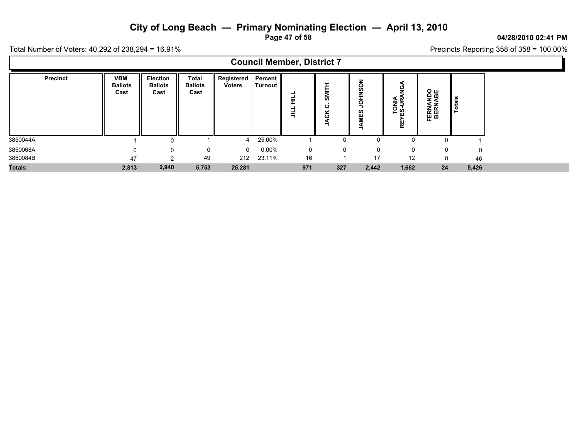**Page 47 of 58**

#### **04/28/2010 02:41 PM**

Precincts Reporting 358 of 358 = 100.00%

Total Number of Voters: 40,292 of 238,294 = 16.91%

 $\blacksquare$ 

|                 |                                      |                                    |                                 |                                       |          | <b>Council Member, District 7</b> |                           |                                             |                      |                                         |               |
|-----------------|--------------------------------------|------------------------------------|---------------------------------|---------------------------------------|----------|-----------------------------------|---------------------------|---------------------------------------------|----------------------|-----------------------------------------|---------------|
| <b>Precinct</b> | <b>VBM</b><br><b>Ballots</b><br>Cast | Election<br><b>Ballots</b><br>Cast | Total<br><b>Ballots</b><br>Cast | Registered   Percent<br><b>Voters</b> | Turnout  | Ξ<br>巪                            | SMITH<br>ပ<br>š<br>⋖<br>っ | $\overline{6}$<br><b>SNHOL</b><br>MES<br>ड़ | TONIA<br>ES-URA<br>٣ | <b>ABE</b><br><b>ERNA</b><br>BERNA<br>ш | <b>Totals</b> |
| 3850044A        |                                      |                                    |                                 | Δ                                     | 25.00%   |                                   |                           |                                             | <sup>0</sup>         |                                         |               |
| 3850068A        |                                      |                                    |                                 | $\mathbf 0$                           | $0.00\%$ | 0                                 |                           |                                             | 0                    |                                         | $\Omega$      |
| 3850084B        | 47                                   |                                    | 49                              | 212                                   | 23.11%   | 16                                |                           | 17                                          | 12                   | $\Omega$                                | 46            |
| Totals:         | 2,813                                | 2,940                              | 5,753                           | 25,281                                |          | 971                               | 327                       | 2,442                                       | 1,662                | 24                                      | 5,426         |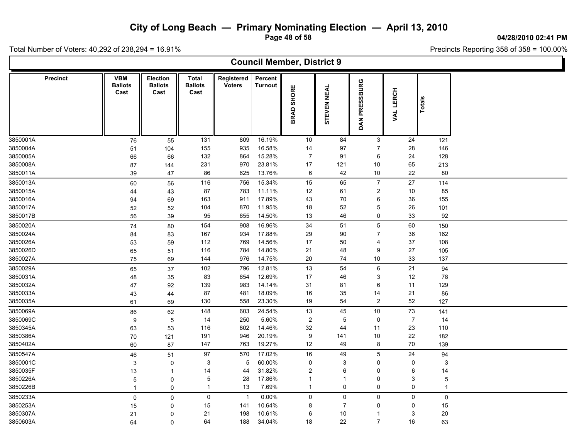**Page 48 of 58**

**04/28/2010 02:41 PM**

Precincts Reporting 358 of 358 = 100.00%

Total Number of Voters: 40,292 of 238,294 = 16.91%

L

|                 |                                      |                                           |                                 |                             |                           | <b>Council Member, District 9</b> |                    |                         |                |                |  |
|-----------------|--------------------------------------|-------------------------------------------|---------------------------------|-----------------------------|---------------------------|-----------------------------------|--------------------|-------------------------|----------------|----------------|--|
| <b>Precinct</b> | <b>VBM</b><br><b>Ballots</b><br>Cast | <b>Election</b><br><b>Ballots</b><br>Cast | Total<br><b>Ballots</b><br>Cast | Registered<br><b>Voters</b> | Percent<br><b>Turnout</b> | BRAD SHORE                        | <b>STEVEN NEAL</b> | PRESSBURG<br><b>DAN</b> | VAL LERCH      | Totals         |  |
| 3850001A        | 76                                   | 55                                        | 131                             | 809                         | 16.19%                    | 10                                | 84                 | 3                       | 24             | 121            |  |
| 3850004A        | 51                                   | 104                                       | 155                             | 935                         | 16.58%                    | 14                                | 97                 | $\overline{7}$          | 28             | 146            |  |
| 3850005A        | 66                                   | 66                                        | 132                             | 864                         | 15.28%                    | $\overline{7}$                    | 91                 | 6                       | 24             | 128            |  |
| 3850008A        | 87                                   | 144                                       | 231                             | 970                         | 23.81%                    | 17                                | 121                | 10                      | 65             | 213            |  |
| 3850011A        | 39                                   | 47                                        | 86                              | 625                         | 13.76%                    | 6                                 | 42                 | 10                      | 22             | 80             |  |
| 3850013A        | 60                                   | 56                                        | 116                             | 756                         | 15.34%                    | 15                                | 65                 | $\overline{7}$          | 27             | 114            |  |
| 3850015A        | 44                                   | 43                                        | 87                              | 783                         | 11.11%                    | 12                                | 61                 | $\overline{\mathbf{c}}$ | 10             | 85             |  |
| 3850016A        | 94                                   | 69                                        | 163                             | 911                         | 17.89%                    | 43                                | 70                 | 6                       | 36             | 155            |  |
| 3850017A        | 52                                   | 52                                        | 104                             | 870                         | 11.95%                    | 18                                | 52                 | 5                       | 26             | 101            |  |
| 3850017B        | 56                                   | 39                                        | 95                              | 655                         | 14.50%                    | 13                                | 46                 | 0                       | 33             | 92             |  |
| 3850020A        | 74                                   | 80                                        | 154                             | 908                         | 16.96%                    | 34                                | 51                 | $\overline{5}$          | 60             | 150            |  |
| 3850024A        | 84                                   | 83                                        | 167                             | 934                         | 17.88%                    | 29                                | 90                 | $\overline{7}$          | $36\,$         | 162            |  |
| 3850026A        | 53                                   | 59                                        | 112                             | 769                         | 14.56%                    | 17                                | 50                 | 4                       | 37             | 108            |  |
| 3850026D        | 65                                   | 51                                        | 116                             | 784                         | 14.80%                    | 21                                | 48                 | 9                       | 27             | 105            |  |
| 3850027A        | 75                                   | 69                                        | 144                             | 976                         | 14.75%                    | 20                                | $74\,$             | $10$                    | 33             | 137            |  |
| 3850029A        | 65                                   | 37                                        | 102                             | 796                         | 12.81%                    | 13                                | 54                 | 6                       | 21             | 94             |  |
| 3850031A        | 48                                   | 35                                        | 83                              | 654                         | 12.69%                    | 17                                | 46                 | 3                       | 12             | 78             |  |
| 3850032A        | 47                                   | 92                                        | 139                             | 983                         | 14.14%                    | 31                                | 81                 | 6                       | 11             | 129            |  |
| 3850033A        | 43                                   | 44                                        | 87                              | 481                         | 18.09%                    | 16                                | 35                 | 14                      | 21             | 86             |  |
| 3850035A        | 61                                   | 69                                        | 130                             | 558                         | 23.30%                    | 19                                | 54                 | 2                       | 52             | 127            |  |
| 3850069A        | 86                                   | 62                                        | 148                             | 603                         | 24.54%                    | 13                                | 45                 | 10                      | $73\,$         | 141            |  |
| 3850069C        | 9                                    | $\overline{5}$                            | 14                              | 250                         | 5.60%                     | $\overline{c}$                    | $\overline{5}$     | 0                       | $\overline{7}$ | 14             |  |
| 3850345A        | 63                                   | 53                                        | 116                             | 802                         | 14.46%                    | 32                                | 44                 | 11                      | 23             | 110            |  |
| 3850386A        | 70                                   | 121                                       | 191                             | 946                         | 20.19%                    | 9                                 | 141                | $10$                    | 22             | 182            |  |
| 3850402A        | 60                                   | 87                                        | 147                             | 763                         | 19.27%                    | 12                                | 49                 | 8                       | 70             | 139            |  |
| 3850547A        | 46                                   | 51                                        | 97                              | 570                         | 17.02%                    | 16                                | 49                 | 5                       | 24             | 94             |  |
| 3850001C        | 3                                    | 0                                         | 3                               | $5\,$                       | 60.00%                    | 0                                 | 3                  | 0                       | $\mathbf 0$    | 3              |  |
| 3850035F        | 13                                   | $\mathbf{1}$                              | 14                              | 44                          | 31.82%                    | $\overline{c}$                    | 6                  | $\mathbf 0$             | 6              | 14             |  |
| 3850226A        | $\overline{5}$                       | 0                                         | 5                               | 28                          | 17.86%                    | $\mathbf{1}$                      | $\mathbf 1$        | 0                       | 3              | $\overline{5}$ |  |
| 3850226B        | $\mathbf{1}$                         | 0                                         | $\mathbf 1$                     | 13                          | 7.69%                     | $\mathbf{1}$                      | 0                  | 0                       | 0              | $\mathbf{1}$   |  |
| 3850233A        | $\mathbf 0$                          | $\mathbf 0$                               | 0                               | $\overline{1}$              | 0.00%                     | 0                                 | $\pmb{0}$          | 0                       | $\mathbf 0$    | $\mathsf 0$    |  |
| 3850253A        | 15                                   | $\Omega$                                  | 15                              | 141                         | 10.64%                    | 8                                 | $\overline{7}$     | $\mathbf 0$             | $\mathbf 0$    | 15             |  |
| 3850307A        | 21                                   | $\Omega$                                  | 21                              | 198                         | 10.61%                    | 6                                 | 10                 | -1                      | 3              | 20             |  |
| 3850603A        | 64                                   | 0                                         | 64                              | 188                         | 34.04%                    | 18                                | 22                 | $\overline{7}$          | 16             | 63             |  |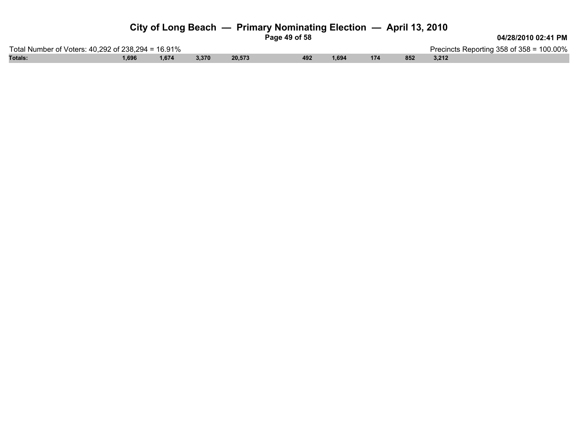| Page 49 of 58 |
|---------------|
|               |

**04/28/2010 02:41 PM**

Total Number of Voters: 40,292 of 238,294 = 16.91% Precincts Reporting 358 of 358 = 100.00% **Totals: 1,696 1,674 3,370 20,573 492 1,694 174 852 3,212**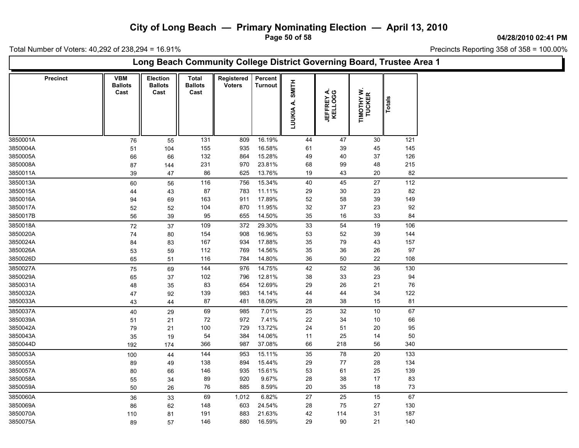**Page 50 of 58**

**04/28/2010 02:41 PM**

Total Number of Voters: 40,292 of 238,294 = 16.91%

| <b>VBM</b><br>Percent<br><b>Precinct</b><br>Election<br>Total<br>Registered<br>SMITH<br><b>Ballots</b><br><b>Ballots</b><br><b>Ballots</b><br><b>Voters</b><br><b>Turnout</b><br>TIMOTHY W.<br>TUCKER<br><b>JEFFREY A.<br/>KELLOGG</b><br>Cast<br>Cast<br>Cast<br>Totals<br>LUUKIA A.<br>16.19%<br>121<br>131<br>809<br>44<br>47<br>30<br>76<br>55<br>16.58%<br>155<br>935<br>61<br>45<br>145<br>39<br>51<br>104<br>132<br>864<br>15.28%<br>49<br>40<br>37<br>126<br>66<br>66<br>23.81%<br>68<br>99<br>48<br>215<br>231<br>970<br>87<br>144<br>13.76%<br>19<br>20<br>82<br>86<br>625<br>43<br>47<br>39<br>112<br>116<br>15.34%<br>40<br>45<br>27<br>60<br>56<br>756<br>82<br>87<br>783<br>11.11%<br>30<br>23<br>29<br>43<br>44<br>163<br>17.89%<br>52<br>58<br>39<br>149<br>911<br>94<br>69<br>11.95%<br>32<br>37<br>23<br>92<br>104<br>870<br>52<br>52<br>655<br>14.50%<br>35<br>$16\,$<br>33<br>84<br>95<br>56<br>39<br>109<br>372<br>29.30%<br>33<br>54<br>19<br>106<br>72<br>37<br>16.96%<br>52<br>39<br>144<br>154<br>908<br>53<br>74<br>80<br>17.88%<br>35<br>79<br>43<br>157<br>167<br>934<br>84<br>83<br>769<br>14.56%<br>35<br>36<br>26<br>97<br>112<br>53<br>59<br>14.80%<br>22<br>116<br>784<br>36<br>50<br>108<br>65<br>51<br>52<br>36<br>144<br>14.75%<br>42<br>130<br>976<br>75<br>69<br>12.81%<br>102<br>796<br>38<br>33<br>23<br>94<br>37<br>65<br>83<br>12.69%<br>29<br>26<br>21<br>76<br>654<br>35<br>48<br>34<br>139<br>983<br>14.14%<br>44<br>44<br>122<br>92<br>47<br>87<br>18.09%<br>28<br>38<br>15<br>81<br>481<br>43<br>44<br>69<br>7.01%<br>67<br>25<br>32<br>10<br>40<br>29<br>985<br>7.41%<br>22<br>66<br>72<br>972<br>34<br>10<br>21<br>51<br>13.72%<br>95<br>100<br>729<br>24<br>51<br>20<br>79<br>21<br>14.06%<br>54<br>384<br>11<br>25<br>14<br>50<br>35<br>19<br>366<br>987<br>37.08%<br>66<br>218<br>56<br>340<br>192<br>174<br>78<br>35<br>20<br>133<br>144<br>953<br>15.11%<br>100<br>44<br>77<br>134<br>138<br>15.44%<br>29<br>28<br>894<br>89<br>49<br>15.61%<br>53<br>61<br>25<br>139<br>146<br>935<br>66<br>80<br>9.67%<br>28<br>38<br>17<br>83<br>89<br>920<br>55<br>34<br>885<br>8.59%<br>20<br>35<br>18<br>73<br>76<br>50<br>26<br>69<br>6.82%<br>67<br>1,012<br>27<br>25<br>15<br>36<br>33<br>24.54%<br>130<br>148<br>603<br>28<br>75<br>27<br>86<br>62<br>187<br>883<br>21.63%<br>42<br>31<br>191<br>114<br>81<br>110 |          | Long Beach Community College District Governing Board, Trustee Area 1 |    |     |     |        |    |    |    |     |  |  |  |  |  |
|-------------------------------------------------------------------------------------------------------------------------------------------------------------------------------------------------------------------------------------------------------------------------------------------------------------------------------------------------------------------------------------------------------------------------------------------------------------------------------------------------------------------------------------------------------------------------------------------------------------------------------------------------------------------------------------------------------------------------------------------------------------------------------------------------------------------------------------------------------------------------------------------------------------------------------------------------------------------------------------------------------------------------------------------------------------------------------------------------------------------------------------------------------------------------------------------------------------------------------------------------------------------------------------------------------------------------------------------------------------------------------------------------------------------------------------------------------------------------------------------------------------------------------------------------------------------------------------------------------------------------------------------------------------------------------------------------------------------------------------------------------------------------------------------------------------------------------------------------------------------------------------------------------------------------------------------------------------------------------------------------------------------------------------------------------------------------------------------------------------------------------------------------------------------------------------------------------------------------------------------------------------------------------------------------------------------------------------------------------------------|----------|-----------------------------------------------------------------------|----|-----|-----|--------|----|----|----|-----|--|--|--|--|--|
| 3850027A<br>3850029A<br>3850031A<br>3850032A<br>3850042A<br>3850043A<br>3850044D<br>3850053A<br>3850055A<br>3850057A<br>3850058A<br>3850059A<br>3850060A<br>3850069A<br>3850070A                                                                                                                                                                                                                                                                                                                                                                                                                                                                                                                                                                                                                                                                                                                                                                                                                                                                                                                                                                                                                                                                                                                                                                                                                                                                                                                                                                                                                                                                                                                                                                                                                                                                                                                                                                                                                                                                                                                                                                                                                                                                                                                                                                                  |          |                                                                       |    |     |     |        |    |    |    |     |  |  |  |  |  |
|                                                                                                                                                                                                                                                                                                                                                                                                                                                                                                                                                                                                                                                                                                                                                                                                                                                                                                                                                                                                                                                                                                                                                                                                                                                                                                                                                                                                                                                                                                                                                                                                                                                                                                                                                                                                                                                                                                                                                                                                                                                                                                                                                                                                                                                                                                                                                                   | 3850001A |                                                                       |    |     |     |        |    |    |    |     |  |  |  |  |  |
|                                                                                                                                                                                                                                                                                                                                                                                                                                                                                                                                                                                                                                                                                                                                                                                                                                                                                                                                                                                                                                                                                                                                                                                                                                                                                                                                                                                                                                                                                                                                                                                                                                                                                                                                                                                                                                                                                                                                                                                                                                                                                                                                                                                                                                                                                                                                                                   | 3850004A |                                                                       |    |     |     |        |    |    |    |     |  |  |  |  |  |
|                                                                                                                                                                                                                                                                                                                                                                                                                                                                                                                                                                                                                                                                                                                                                                                                                                                                                                                                                                                                                                                                                                                                                                                                                                                                                                                                                                                                                                                                                                                                                                                                                                                                                                                                                                                                                                                                                                                                                                                                                                                                                                                                                                                                                                                                                                                                                                   | 3850005A |                                                                       |    |     |     |        |    |    |    |     |  |  |  |  |  |
|                                                                                                                                                                                                                                                                                                                                                                                                                                                                                                                                                                                                                                                                                                                                                                                                                                                                                                                                                                                                                                                                                                                                                                                                                                                                                                                                                                                                                                                                                                                                                                                                                                                                                                                                                                                                                                                                                                                                                                                                                                                                                                                                                                                                                                                                                                                                                                   | 3850008A |                                                                       |    |     |     |        |    |    |    |     |  |  |  |  |  |
|                                                                                                                                                                                                                                                                                                                                                                                                                                                                                                                                                                                                                                                                                                                                                                                                                                                                                                                                                                                                                                                                                                                                                                                                                                                                                                                                                                                                                                                                                                                                                                                                                                                                                                                                                                                                                                                                                                                                                                                                                                                                                                                                                                                                                                                                                                                                                                   | 3850011A |                                                                       |    |     |     |        |    |    |    |     |  |  |  |  |  |
|                                                                                                                                                                                                                                                                                                                                                                                                                                                                                                                                                                                                                                                                                                                                                                                                                                                                                                                                                                                                                                                                                                                                                                                                                                                                                                                                                                                                                                                                                                                                                                                                                                                                                                                                                                                                                                                                                                                                                                                                                                                                                                                                                                                                                                                                                                                                                                   | 3850013A |                                                                       |    |     |     |        |    |    |    |     |  |  |  |  |  |
|                                                                                                                                                                                                                                                                                                                                                                                                                                                                                                                                                                                                                                                                                                                                                                                                                                                                                                                                                                                                                                                                                                                                                                                                                                                                                                                                                                                                                                                                                                                                                                                                                                                                                                                                                                                                                                                                                                                                                                                                                                                                                                                                                                                                                                                                                                                                                                   | 3850015A |                                                                       |    |     |     |        |    |    |    |     |  |  |  |  |  |
|                                                                                                                                                                                                                                                                                                                                                                                                                                                                                                                                                                                                                                                                                                                                                                                                                                                                                                                                                                                                                                                                                                                                                                                                                                                                                                                                                                                                                                                                                                                                                                                                                                                                                                                                                                                                                                                                                                                                                                                                                                                                                                                                                                                                                                                                                                                                                                   | 3850016A |                                                                       |    |     |     |        |    |    |    |     |  |  |  |  |  |
|                                                                                                                                                                                                                                                                                                                                                                                                                                                                                                                                                                                                                                                                                                                                                                                                                                                                                                                                                                                                                                                                                                                                                                                                                                                                                                                                                                                                                                                                                                                                                                                                                                                                                                                                                                                                                                                                                                                                                                                                                                                                                                                                                                                                                                                                                                                                                                   | 3850017A |                                                                       |    |     |     |        |    |    |    |     |  |  |  |  |  |
|                                                                                                                                                                                                                                                                                                                                                                                                                                                                                                                                                                                                                                                                                                                                                                                                                                                                                                                                                                                                                                                                                                                                                                                                                                                                                                                                                                                                                                                                                                                                                                                                                                                                                                                                                                                                                                                                                                                                                                                                                                                                                                                                                                                                                                                                                                                                                                   | 3850017B |                                                                       |    |     |     |        |    |    |    |     |  |  |  |  |  |
|                                                                                                                                                                                                                                                                                                                                                                                                                                                                                                                                                                                                                                                                                                                                                                                                                                                                                                                                                                                                                                                                                                                                                                                                                                                                                                                                                                                                                                                                                                                                                                                                                                                                                                                                                                                                                                                                                                                                                                                                                                                                                                                                                                                                                                                                                                                                                                   | 3850018A |                                                                       |    |     |     |        |    |    |    |     |  |  |  |  |  |
|                                                                                                                                                                                                                                                                                                                                                                                                                                                                                                                                                                                                                                                                                                                                                                                                                                                                                                                                                                                                                                                                                                                                                                                                                                                                                                                                                                                                                                                                                                                                                                                                                                                                                                                                                                                                                                                                                                                                                                                                                                                                                                                                                                                                                                                                                                                                                                   | 3850020A |                                                                       |    |     |     |        |    |    |    |     |  |  |  |  |  |
|                                                                                                                                                                                                                                                                                                                                                                                                                                                                                                                                                                                                                                                                                                                                                                                                                                                                                                                                                                                                                                                                                                                                                                                                                                                                                                                                                                                                                                                                                                                                                                                                                                                                                                                                                                                                                                                                                                                                                                                                                                                                                                                                                                                                                                                                                                                                                                   | 3850024A |                                                                       |    |     |     |        |    |    |    |     |  |  |  |  |  |
|                                                                                                                                                                                                                                                                                                                                                                                                                                                                                                                                                                                                                                                                                                                                                                                                                                                                                                                                                                                                                                                                                                                                                                                                                                                                                                                                                                                                                                                                                                                                                                                                                                                                                                                                                                                                                                                                                                                                                                                                                                                                                                                                                                                                                                                                                                                                                                   | 3850026A |                                                                       |    |     |     |        |    |    |    |     |  |  |  |  |  |
|                                                                                                                                                                                                                                                                                                                                                                                                                                                                                                                                                                                                                                                                                                                                                                                                                                                                                                                                                                                                                                                                                                                                                                                                                                                                                                                                                                                                                                                                                                                                                                                                                                                                                                                                                                                                                                                                                                                                                                                                                                                                                                                                                                                                                                                                                                                                                                   | 3850026D |                                                                       |    |     |     |        |    |    |    |     |  |  |  |  |  |
|                                                                                                                                                                                                                                                                                                                                                                                                                                                                                                                                                                                                                                                                                                                                                                                                                                                                                                                                                                                                                                                                                                                                                                                                                                                                                                                                                                                                                                                                                                                                                                                                                                                                                                                                                                                                                                                                                                                                                                                                                                                                                                                                                                                                                                                                                                                                                                   |          |                                                                       |    |     |     |        |    |    |    |     |  |  |  |  |  |
|                                                                                                                                                                                                                                                                                                                                                                                                                                                                                                                                                                                                                                                                                                                                                                                                                                                                                                                                                                                                                                                                                                                                                                                                                                                                                                                                                                                                                                                                                                                                                                                                                                                                                                                                                                                                                                                                                                                                                                                                                                                                                                                                                                                                                                                                                                                                                                   |          |                                                                       |    |     |     |        |    |    |    |     |  |  |  |  |  |
|                                                                                                                                                                                                                                                                                                                                                                                                                                                                                                                                                                                                                                                                                                                                                                                                                                                                                                                                                                                                                                                                                                                                                                                                                                                                                                                                                                                                                                                                                                                                                                                                                                                                                                                                                                                                                                                                                                                                                                                                                                                                                                                                                                                                                                                                                                                                                                   |          |                                                                       |    |     |     |        |    |    |    |     |  |  |  |  |  |
|                                                                                                                                                                                                                                                                                                                                                                                                                                                                                                                                                                                                                                                                                                                                                                                                                                                                                                                                                                                                                                                                                                                                                                                                                                                                                                                                                                                                                                                                                                                                                                                                                                                                                                                                                                                                                                                                                                                                                                                                                                                                                                                                                                                                                                                                                                                                                                   |          |                                                                       |    |     |     |        |    |    |    |     |  |  |  |  |  |
|                                                                                                                                                                                                                                                                                                                                                                                                                                                                                                                                                                                                                                                                                                                                                                                                                                                                                                                                                                                                                                                                                                                                                                                                                                                                                                                                                                                                                                                                                                                                                                                                                                                                                                                                                                                                                                                                                                                                                                                                                                                                                                                                                                                                                                                                                                                                                                   | 3850033A |                                                                       |    |     |     |        |    |    |    |     |  |  |  |  |  |
|                                                                                                                                                                                                                                                                                                                                                                                                                                                                                                                                                                                                                                                                                                                                                                                                                                                                                                                                                                                                                                                                                                                                                                                                                                                                                                                                                                                                                                                                                                                                                                                                                                                                                                                                                                                                                                                                                                                                                                                                                                                                                                                                                                                                                                                                                                                                                                   | 3850037A |                                                                       |    |     |     |        |    |    |    |     |  |  |  |  |  |
|                                                                                                                                                                                                                                                                                                                                                                                                                                                                                                                                                                                                                                                                                                                                                                                                                                                                                                                                                                                                                                                                                                                                                                                                                                                                                                                                                                                                                                                                                                                                                                                                                                                                                                                                                                                                                                                                                                                                                                                                                                                                                                                                                                                                                                                                                                                                                                   | 3850039A |                                                                       |    |     |     |        |    |    |    |     |  |  |  |  |  |
|                                                                                                                                                                                                                                                                                                                                                                                                                                                                                                                                                                                                                                                                                                                                                                                                                                                                                                                                                                                                                                                                                                                                                                                                                                                                                                                                                                                                                                                                                                                                                                                                                                                                                                                                                                                                                                                                                                                                                                                                                                                                                                                                                                                                                                                                                                                                                                   |          |                                                                       |    |     |     |        |    |    |    |     |  |  |  |  |  |
|                                                                                                                                                                                                                                                                                                                                                                                                                                                                                                                                                                                                                                                                                                                                                                                                                                                                                                                                                                                                                                                                                                                                                                                                                                                                                                                                                                                                                                                                                                                                                                                                                                                                                                                                                                                                                                                                                                                                                                                                                                                                                                                                                                                                                                                                                                                                                                   |          |                                                                       |    |     |     |        |    |    |    |     |  |  |  |  |  |
|                                                                                                                                                                                                                                                                                                                                                                                                                                                                                                                                                                                                                                                                                                                                                                                                                                                                                                                                                                                                                                                                                                                                                                                                                                                                                                                                                                                                                                                                                                                                                                                                                                                                                                                                                                                                                                                                                                                                                                                                                                                                                                                                                                                                                                                                                                                                                                   |          |                                                                       |    |     |     |        |    |    |    |     |  |  |  |  |  |
|                                                                                                                                                                                                                                                                                                                                                                                                                                                                                                                                                                                                                                                                                                                                                                                                                                                                                                                                                                                                                                                                                                                                                                                                                                                                                                                                                                                                                                                                                                                                                                                                                                                                                                                                                                                                                                                                                                                                                                                                                                                                                                                                                                                                                                                                                                                                                                   |          |                                                                       |    |     |     |        |    |    |    |     |  |  |  |  |  |
|                                                                                                                                                                                                                                                                                                                                                                                                                                                                                                                                                                                                                                                                                                                                                                                                                                                                                                                                                                                                                                                                                                                                                                                                                                                                                                                                                                                                                                                                                                                                                                                                                                                                                                                                                                                                                                                                                                                                                                                                                                                                                                                                                                                                                                                                                                                                                                   |          |                                                                       |    |     |     |        |    |    |    |     |  |  |  |  |  |
|                                                                                                                                                                                                                                                                                                                                                                                                                                                                                                                                                                                                                                                                                                                                                                                                                                                                                                                                                                                                                                                                                                                                                                                                                                                                                                                                                                                                                                                                                                                                                                                                                                                                                                                                                                                                                                                                                                                                                                                                                                                                                                                                                                                                                                                                                                                                                                   |          |                                                                       |    |     |     |        |    |    |    |     |  |  |  |  |  |
|                                                                                                                                                                                                                                                                                                                                                                                                                                                                                                                                                                                                                                                                                                                                                                                                                                                                                                                                                                                                                                                                                                                                                                                                                                                                                                                                                                                                                                                                                                                                                                                                                                                                                                                                                                                                                                                                                                                                                                                                                                                                                                                                                                                                                                                                                                                                                                   |          |                                                                       |    |     |     |        |    |    |    |     |  |  |  |  |  |
|                                                                                                                                                                                                                                                                                                                                                                                                                                                                                                                                                                                                                                                                                                                                                                                                                                                                                                                                                                                                                                                                                                                                                                                                                                                                                                                                                                                                                                                                                                                                                                                                                                                                                                                                                                                                                                                                                                                                                                                                                                                                                                                                                                                                                                                                                                                                                                   |          |                                                                       |    |     |     |        |    |    |    |     |  |  |  |  |  |
|                                                                                                                                                                                                                                                                                                                                                                                                                                                                                                                                                                                                                                                                                                                                                                                                                                                                                                                                                                                                                                                                                                                                                                                                                                                                                                                                                                                                                                                                                                                                                                                                                                                                                                                                                                                                                                                                                                                                                                                                                                                                                                                                                                                                                                                                                                                                                                   |          |                                                                       |    |     |     |        |    |    |    |     |  |  |  |  |  |
|                                                                                                                                                                                                                                                                                                                                                                                                                                                                                                                                                                                                                                                                                                                                                                                                                                                                                                                                                                                                                                                                                                                                                                                                                                                                                                                                                                                                                                                                                                                                                                                                                                                                                                                                                                                                                                                                                                                                                                                                                                                                                                                                                                                                                                                                                                                                                                   |          |                                                                       |    |     |     |        |    |    |    |     |  |  |  |  |  |
|                                                                                                                                                                                                                                                                                                                                                                                                                                                                                                                                                                                                                                                                                                                                                                                                                                                                                                                                                                                                                                                                                                                                                                                                                                                                                                                                                                                                                                                                                                                                                                                                                                                                                                                                                                                                                                                                                                                                                                                                                                                                                                                                                                                                                                                                                                                                                                   |          |                                                                       |    |     |     |        |    |    |    |     |  |  |  |  |  |
|                                                                                                                                                                                                                                                                                                                                                                                                                                                                                                                                                                                                                                                                                                                                                                                                                                                                                                                                                                                                                                                                                                                                                                                                                                                                                                                                                                                                                                                                                                                                                                                                                                                                                                                                                                                                                                                                                                                                                                                                                                                                                                                                                                                                                                                                                                                                                                   | 3850075A | 89                                                                    | 57 | 146 | 880 | 16.59% | 29 | 90 | 21 | 140 |  |  |  |  |  |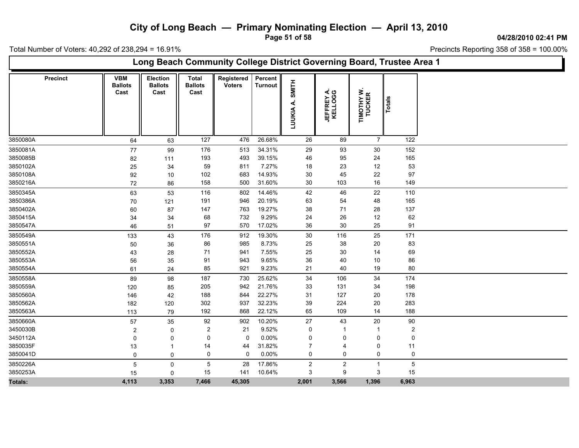**Page 51 of 58**

**04/28/2010 02:41 PM**

Total Number of Voters: 40,292 of 238,294 = 16.91%

| Long Beach Community College District Governing Board, Trustee Area 1 |                                      |                                    |                                        |                             |                           |                              |                       |                      |                |  |  |  |
|-----------------------------------------------------------------------|--------------------------------------|------------------------------------|----------------------------------------|-----------------------------|---------------------------|------------------------------|-----------------------|----------------------|----------------|--|--|--|
| <b>Precinct</b>                                                       | <b>VBM</b><br><b>Ballots</b><br>Cast | Election<br><b>Ballots</b><br>Cast | <b>Total</b><br><b>Ballots</b><br>Cast | Registered<br><b>Voters</b> | Percent<br><b>Turnout</b> | <b>HLINIS</b><br>4<br>LUUKIA | JEFFREY A.<br>KELLOGG | TIMOTHY W.<br>TUCKER | Totals         |  |  |  |
| 3850080A                                                              | 64                                   | 63                                 | 127                                    | 476                         | 26.68%                    | 26                           | 89                    | $\overline{7}$       | 122            |  |  |  |
| 3850081A                                                              | 77                                   | 99                                 | 176                                    | 513                         | 34.31%                    | 29                           | 93                    | 30                   | 152            |  |  |  |
| 3850085B                                                              | 82                                   | 111                                | 193                                    | 493                         | 39.15%                    | 46                           | 95                    | 24                   | 165            |  |  |  |
| 3850102A                                                              | 25                                   | 34                                 | 59                                     | 811                         | 7.27%                     | 18                           | 23                    | 12                   | 53             |  |  |  |
| 3850108A                                                              | 92                                   | 10                                 | 102                                    | 683                         | 14.93%                    | 30                           | 45                    | 22                   | 97             |  |  |  |
| 3850216A                                                              | 72                                   | 86                                 | 158                                    | 500                         | 31.60%                    | 30                           | 103                   | 16                   | 149            |  |  |  |
| 3850345A                                                              | 63                                   | 53                                 | 116                                    | 802                         | 14.46%                    | 42                           | 46                    | 22                   | 110            |  |  |  |
| 3850386A                                                              | 70                                   | 121                                | 191                                    | 946                         | 20.19%                    | 63                           | 54                    | 48                   | 165            |  |  |  |
| 3850402A                                                              | 60                                   | 87                                 | 147                                    | 763                         | 19.27%                    | 38                           | 71                    | 28                   | 137            |  |  |  |
| 3850415A                                                              | 34                                   | 34                                 | 68                                     | 732                         | 9.29%                     | 24                           | 26                    | $12$                 | 62             |  |  |  |
| 3850547A                                                              | 46                                   | 51                                 | 97                                     | 570                         | 17.02%                    | 36                           | 30                    | 25                   | 91             |  |  |  |
| 3850549A                                                              | 133                                  | 43                                 | 176                                    | 912                         | 19.30%                    | 30                           | 116                   | 25                   | 171            |  |  |  |
| 3850551A                                                              | 50                                   | 36                                 | 86                                     | 985                         | 8.73%                     | 25                           | 38                    | 20                   | 83             |  |  |  |
| 3850552A                                                              | 43                                   | 28                                 | 71                                     | 941                         | 7.55%                     | 25                           | 30                    | 14                   | 69             |  |  |  |
| 3850553A                                                              | 56                                   | 35                                 | 91                                     | 943                         | 9.65%                     | 36                           | 40                    | 10                   | 86             |  |  |  |
| 3850554A                                                              | 61                                   | 24                                 | 85                                     | 921                         | 9.23%                     | 21                           | 40                    | 19                   | 80             |  |  |  |
| 3850558A                                                              | 89                                   | 98                                 | 187                                    | 730                         | 25.62%                    | 34                           | 106                   | 34                   | 174            |  |  |  |
| 3850559A                                                              | 120                                  | 85                                 | 205                                    | 942                         | 21.76%                    | 33                           | 131                   | 34                   | 198            |  |  |  |
| 3850560A                                                              | 146                                  | 42                                 | 188                                    | 844                         | 22.27%                    | 31                           | 127                   | 20                   | 178            |  |  |  |
| 3850562A                                                              | 182                                  | 120                                | 302                                    | 937                         | 32.23%                    | 39                           | 224                   | $20\,$               | 283            |  |  |  |
| 3850563A                                                              | 113                                  | 79                                 | 192                                    | 868                         | 22.12%                    | 65                           | 109                   | 14                   | 188            |  |  |  |
| 3850660A                                                              | 57                                   | 35                                 | 92                                     | 902                         | 10.20%                    | 27                           | 43                    | $20\,$               | 90             |  |  |  |
| 3450030B                                                              | $\overline{2}$                       | 0                                  | 2                                      | 21                          | 9.52%                     | 0                            |                       |                      | $\overline{2}$ |  |  |  |
| 3450112A                                                              | $\Omega$                             | 0                                  | 0                                      | $\mathbf 0$                 | 0.00%                     | 0                            | 0                     | 0                    | 0              |  |  |  |
| 3850035F                                                              | 13                                   |                                    | 14                                     | 44                          | 31.82%                    | 7                            | 4                     | 0                    | 11             |  |  |  |
| 3850041D                                                              | 0                                    | 0                                  | 0                                      | $\pmb{0}$                   | 0.00%                     | $\pmb{0}$                    | $\mathsf 0$           | 0                    | $\mathbf 0$    |  |  |  |
| 3850226A                                                              | 5                                    | 0                                  | 5                                      | 28                          | 17.86%                    | $\overline{2}$               | $\overline{c}$        | $\mathbf{1}$         | $\overline{5}$ |  |  |  |
| 3850253A                                                              | 15                                   | 0                                  | 15                                     | 141                         | 10.64%                    | 3                            | 9                     | 3                    | 15             |  |  |  |
| Totals:                                                               | 4,113                                | 3,353                              | 7,466                                  | 45,305                      |                           | 2,001                        | 3,566                 | 1,396                | 6,963          |  |  |  |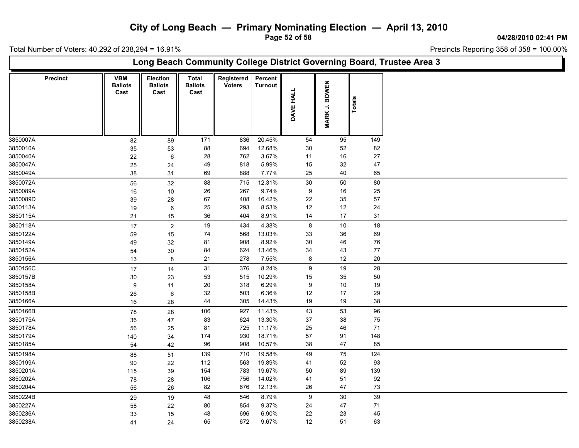**Page 52 of 58**

**04/28/2010 02:41 PM**

Total Number of Voters: 40,292 of 238,294 = 16.91%

 $\Box$ 

| Long Beach Community College District Governing Board, Trustee Area 3 |                                      |                                    |                                        |                             |                           |                  |               |               |  |  |  |  |  |
|-----------------------------------------------------------------------|--------------------------------------|------------------------------------|----------------------------------------|-----------------------------|---------------------------|------------------|---------------|---------------|--|--|--|--|--|
| <b>Precinct</b>                                                       | <b>VBM</b><br><b>Ballots</b><br>Cast | Election<br><b>Ballots</b><br>Cast | <b>Total</b><br><b>Ballots</b><br>Cast | Registered<br><b>Voters</b> | Percent<br><b>Turnout</b> | DAVE HALL        | MARK J. BOWEN | <b>Totals</b> |  |  |  |  |  |
| 3850007A                                                              | 82                                   | 89                                 | 171                                    | 836                         | 20.45%                    | 54               | 95            | 149           |  |  |  |  |  |
| 3850010A                                                              | 35                                   | 53                                 | 88                                     | 694                         | 12.68%                    | 30               | 52            | 82            |  |  |  |  |  |
| 3850040A                                                              | 22                                   | $\,6\,$                            | 28                                     | 762                         | 3.67%                     | 11               | $16\,$        | $27\,$        |  |  |  |  |  |
| 3850047A                                                              | 25                                   | 24                                 | 49                                     | 818                         | 5.99%                     | 15               | 32            | $47\,$        |  |  |  |  |  |
| 3850049A                                                              | 38                                   | 31                                 | 69                                     | 888                         | 7.77%                     | 25               | 40            | 65            |  |  |  |  |  |
| 3850072A                                                              | 56                                   | 32                                 | 88                                     | 715                         | 12.31%                    | $30\,$           | 50            | 80            |  |  |  |  |  |
| 3850089A                                                              | 16                                   | 10                                 | 26                                     | 267                         | 9.74%                     | $\boldsymbol{9}$ | 16            | 25            |  |  |  |  |  |
| 3850089D                                                              | 39                                   | 28                                 | 67                                     | 408                         | 16.42%                    | 22               | 35            | 57            |  |  |  |  |  |
| 3850113A                                                              | 19                                   | $\,6\,$                            | 25                                     | 293                         | 8.53%                     | 12               | $12\,$        | 24            |  |  |  |  |  |
| 3850115A                                                              | 21                                   | 15                                 | $36\,$                                 | 404                         | 8.91%                     | 14               | $17\,$        | 31            |  |  |  |  |  |
| 3850118A                                                              | 17                                   | $\sqrt{2}$                         | $19$                                   | 434                         | 4.38%                     | $\bf 8$          | $10\,$        | $18$          |  |  |  |  |  |
| 3850122A                                                              | 59                                   | 15                                 | 74                                     | 568                         | 13.03%                    | 33               | 36            | 69            |  |  |  |  |  |
| 3850149A                                                              | 49                                   | 32                                 | 81                                     | 908                         | 8.92%                     | $30\,$           | 46            | 76            |  |  |  |  |  |
| 3850152A                                                              | 54                                   | 30                                 | 84                                     | 624                         | 13.46%                    | 34               | 43            | $77$          |  |  |  |  |  |
| 3850156A                                                              | 13                                   | 8                                  | 21                                     | 278                         | 7.55%                     | 8                | 12            | 20            |  |  |  |  |  |
| 3850156C                                                              | $17$                                 | 14                                 | 31                                     | 376                         | 8.24%                     | 9                | 19            | $28\,$        |  |  |  |  |  |
| 3850157B                                                              | 30                                   | 23                                 | 53                                     | 515                         | 10.29%                    | 15               | 35            | 50            |  |  |  |  |  |
| 3850158A                                                              | 9                                    | 11                                 | $20\,$                                 | 318                         | 6.29%                     | $\boldsymbol{9}$ | $10\,$        | 19            |  |  |  |  |  |
| 3850158B                                                              | 26                                   | $\,6$                              | 32                                     | 503                         | 6.36%                     | 12               | 17            | 29            |  |  |  |  |  |
| 3850166A                                                              | 16                                   | 28                                 | 44                                     | 305                         | 14.43%                    | 19               | $19$          | 38            |  |  |  |  |  |
| 3850166B                                                              | 78                                   | 28                                 | 106                                    | 927                         | 11.43%                    | 43               | 53            | 96            |  |  |  |  |  |
| 3850175A                                                              | 36                                   | 47                                 | 83                                     | 624                         | 13.30%                    | 37               | 38            | 75            |  |  |  |  |  |
| 3850178A                                                              | 56                                   | 25                                 | 81                                     | 725                         | 11.17%                    | 25               | 46            | $71$          |  |  |  |  |  |
| 3850179A                                                              | 140                                  | 34                                 | 174                                    | 930                         | 18.71%                    | 57               | 91            | 148           |  |  |  |  |  |
| 3850185A                                                              | 54                                   | 42                                 | 96                                     | 908                         | 10.57%                    | $38\,$           | 47            | 85            |  |  |  |  |  |
| 3850198A                                                              | 88                                   | 51                                 | 139                                    | 710                         | 19.58%                    | 49               | 75            | 124           |  |  |  |  |  |
| 3850199A                                                              | 90                                   | 22                                 | 112                                    | 563                         | 19.89%                    | 41               | 52            | 93            |  |  |  |  |  |
| 3850201A                                                              | 115                                  | 39                                 | 154                                    | 783                         | 19.67%                    | 50               | 89            | 139           |  |  |  |  |  |
| 3850202A                                                              | ${\bf 78}$                           | 28                                 | 106                                    | 756                         | 14.02%                    | 41               | 51            | 92            |  |  |  |  |  |
| 3850204A                                                              | 56                                   | 26                                 | 82                                     | 676                         | 12.13%                    | 26               | 47            | 73            |  |  |  |  |  |
| 3850224B                                                              | 29                                   | 19                                 | 48                                     | 546                         | 8.79%                     | 9                | 30            | 39            |  |  |  |  |  |
| 3850227A                                                              | 58                                   | 22                                 | 80                                     | 854                         | 9.37%                     | 24               | 47            | 71            |  |  |  |  |  |
| 3850236A                                                              | 33                                   | 15                                 | 48                                     | 696                         | 6.90%                     | 22               | 23            | 45            |  |  |  |  |  |
| 3850238A                                                              | 41                                   | 24                                 | 65                                     | 672                         | 9.67%                     | 12               | 51            | 63            |  |  |  |  |  |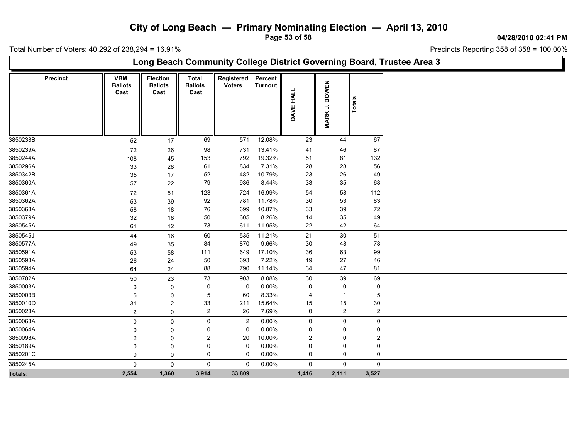**Page 53 of 58**

**04/28/2010 02:41 PM**

Total Number of Voters: 40,292 of 238,294 = 16.91%

 $\blacksquare$ 

| Long Beach Community College District Governing Board, Trustee Area 3 |                 |                                      |                                    |                                        |                             |                           |                            |                                                         |                |  |  |  |
|-----------------------------------------------------------------------|-----------------|--------------------------------------|------------------------------------|----------------------------------------|-----------------------------|---------------------------|----------------------------|---------------------------------------------------------|----------------|--|--|--|
|                                                                       | <b>Precinct</b> | <b>VBM</b><br><b>Ballots</b><br>Cast | Election<br><b>Ballots</b><br>Cast | <b>Total</b><br><b>Ballots</b><br>Cast | Registered<br><b>Voters</b> | Percent<br><b>Turnout</b> | <b>HALL</b><br><b>DAVE</b> | <b>BOWEN</b><br>$\overline{\phantom{a}}$<br><b>MARK</b> | Totals         |  |  |  |
| 3850238B                                                              |                 | 52                                   | 17                                 | 69                                     | 571                         | 12.08%                    | 23                         | 44                                                      | 67             |  |  |  |
| 3850239A                                                              |                 | 72                                   | 26                                 | 98                                     | 731                         | 13.41%                    | 41                         | 46                                                      | 87             |  |  |  |
| 3850244A                                                              |                 | 108                                  | 45                                 | 153                                    | 792                         | 19.32%                    | 51                         | 81                                                      | 132            |  |  |  |
| 3850296A                                                              |                 | 33                                   | 28                                 | 61                                     | 834                         | 7.31%                     | 28                         | 28                                                      | 56             |  |  |  |
| 3850342B                                                              |                 | 35                                   | 17                                 | 52                                     | 482                         | 10.79%                    | 23                         | 26                                                      | 49             |  |  |  |
| 3850360A                                                              |                 | 57                                   | 22                                 | 79                                     | 936                         | 8.44%                     | 33                         | 35                                                      | 68             |  |  |  |
| 3850361A                                                              |                 | $72\,$                               | 51                                 | 123                                    | 724                         | 16.99%                    | 54                         | 58                                                      | 112            |  |  |  |
| 3850362A                                                              |                 | 53                                   | 39                                 | 92                                     | 781                         | 11.78%                    | 30                         | 53                                                      | 83             |  |  |  |
| 3850368A                                                              |                 | 58                                   | 18                                 | 76                                     | 699                         | 10.87%                    | 33                         | 39                                                      | $72\,$         |  |  |  |
| 3850379A                                                              |                 | 32                                   | 18                                 | 50                                     | 605                         | 8.26%                     | 14                         | 35                                                      | 49             |  |  |  |
| 3850545A                                                              |                 | 61                                   | 12                                 | 73                                     | 611                         | 11.95%                    | 22                         | 42                                                      | 64             |  |  |  |
| 3850545J                                                              |                 | 44                                   | 16                                 | 60                                     | 535                         | 11.21%                    | 21                         | 30                                                      | 51             |  |  |  |
| 3850577A                                                              |                 | 49                                   | 35                                 | 84                                     | 870                         | 9.66%                     | 30                         | 48                                                      | ${\bf 78}$     |  |  |  |
| 3850591A                                                              |                 | 53                                   | 58                                 | 111                                    | 649                         | 17.10%                    | $36\,$                     | 63                                                      | 99             |  |  |  |
| 3850593A                                                              |                 | 26                                   | 24                                 | $50\,$                                 | 693                         | 7.22%                     | 19                         | 27                                                      | 46             |  |  |  |
| 3850594A                                                              |                 | 64                                   | 24                                 | 88                                     | 790                         | 11.14%                    | 34                         | 47                                                      | 81             |  |  |  |
| 3850702A                                                              |                 | 50                                   | 23                                 | 73                                     | 903                         | 8.08%                     | 30                         | 39                                                      | 69             |  |  |  |
| 3850003A                                                              |                 | 0                                    | 0                                  | 0                                      | $\mathbf 0$                 | 0.00%                     | 0                          | 0                                                       | 0              |  |  |  |
| 3850003B                                                              |                 | 5                                    | 0                                  | 5                                      | 60                          | 8.33%                     | $\overline{4}$             | $\overline{1}$                                          | 5              |  |  |  |
| 3850010D                                                              |                 | 31                                   | $\overline{2}$                     | 33                                     | 211                         | 15.64%                    | 15                         | 15                                                      | 30             |  |  |  |
| 3850028A                                                              |                 | $\overline{2}$                       | $\mathbf 0$                        | $\overline{2}$                         | 26                          | 7.69%                     | 0                          | $\overline{2}$                                          | $\overline{2}$ |  |  |  |
| 3850063A                                                              |                 | 0                                    | 0                                  | 0                                      | $\overline{c}$              | 0.00%                     | 0                          | $\mathsf{O}$                                            | 0              |  |  |  |
| 3850064A                                                              |                 | 0                                    | 0                                  | 0                                      | $\mathbf 0$                 | 0.00%                     | 0                          | 0                                                       | $\Omega$       |  |  |  |
| 3850098A                                                              |                 | $\overline{c}$                       | 0                                  | 2                                      | 20                          | 10.00%                    | $\overline{c}$             | 0                                                       | 2              |  |  |  |
| 3850189A                                                              |                 | $\Omega$                             | 0                                  | 0                                      | $\mathbf 0$                 | 0.00%                     | 0                          | 0                                                       | 0              |  |  |  |
| 3850201C                                                              |                 | 0                                    | 0                                  | 0                                      | 0                           | 0.00%                     | 0                          | 0                                                       | 0              |  |  |  |
| 3850245A                                                              |                 | $\mathbf 0$                          | $\mathbf 0$                        | $\mathbf 0$                            | $\overline{0}$              | 0.00%                     | 0                          | $\mathsf{O}$                                            | $\mathbf 0$    |  |  |  |
| Totals:                                                               |                 | 2,554                                | 1,360                              | 3,914                                  | 33,809                      |                           | 1,416                      | 2,111                                                   | 3,527          |  |  |  |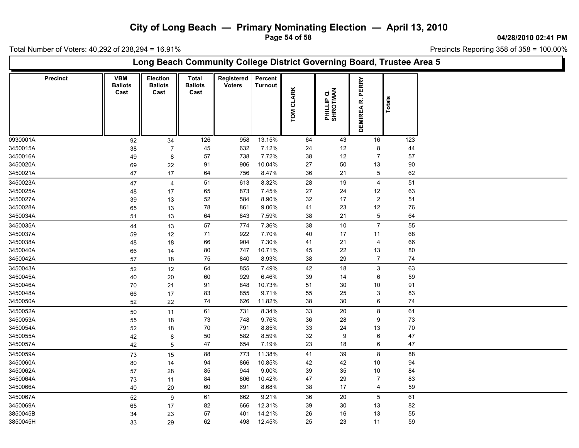**Page 54 of 58**

**04/28/2010 02:41 PM**

Total Number of Voters: 40,292 of 238,294 = 16.91%

L

|                 | Long Beach Community College District Governing Board, Trustee Area 5 |                                      |                                    |                                        |                             |                           |                            |                        |                               |        |  |  |  |
|-----------------|-----------------------------------------------------------------------|--------------------------------------|------------------------------------|----------------------------------------|-----------------------------|---------------------------|----------------------------|------------------------|-------------------------------|--------|--|--|--|
| <b>Precinct</b> |                                                                       | <b>VBM</b><br><b>Ballots</b><br>Cast | Election<br><b>Ballots</b><br>Cast | <b>Total</b><br><b>Ballots</b><br>Cast | Registered<br><b>Voters</b> | Percent<br><b>Turnout</b> | <b>CLARK</b><br><b>NOL</b> | PHILLIP Q.<br>SHROTMAN | PERRY<br>نم<br><b>DEMIREA</b> | Total  |  |  |  |
| 0930001A        |                                                                       | 92                                   | 34                                 | 126                                    | 958                         | 13.15%                    | 64                         | 43                     | 16                            | 123    |  |  |  |
| 3450015A        |                                                                       | 38                                   | $\overline{7}$                     | 45                                     | 632                         | 7.12%                     | 24                         | 12                     | 8                             | 44     |  |  |  |
| 3450016A        |                                                                       | 49                                   | 8                                  | 57                                     | 738                         | 7.72%                     | 38                         | 12                     | $\overline{7}$                | 57     |  |  |  |
| 3450020A        |                                                                       | 69                                   | 22                                 | 91                                     | 906                         | 10.04%                    | 27                         | 50                     | 13                            | 90     |  |  |  |
| 3450021A        |                                                                       | 47                                   | 17                                 | 64                                     | 756                         | 8.47%                     | 36                         | 21                     | 5                             | 62     |  |  |  |
| 3450023A        |                                                                       | 47                                   | 4                                  | 51                                     | 613                         | 8.32%                     | 28                         | 19                     | $\overline{4}$                | 51     |  |  |  |
| 3450025A        |                                                                       | 48                                   | 17                                 | 65                                     | 873                         | 7.45%                     | 27                         | 24                     | 12                            | 63     |  |  |  |
| 3450027A        |                                                                       | 39                                   | 13                                 | 52                                     | 584                         | 8.90%                     | 32                         | 17                     | $\overline{c}$                | 51     |  |  |  |
| 3450028A        |                                                                       | 65                                   | 13                                 | 78                                     | 861                         | 9.06%                     | 41                         | 23                     | $12$                          | 76     |  |  |  |
| 3450034A        |                                                                       | 51                                   | 13                                 | 64                                     | 843                         | 7.59%                     | 38                         | 21                     | 5                             | 64     |  |  |  |
| 3450035A        |                                                                       | 44                                   | 13                                 | 57                                     | 774                         | 7.36%                     | 38                         | 10                     | $\overline{7}$                | 55     |  |  |  |
| 3450037A        |                                                                       | 59                                   | 12                                 | 71                                     | 922                         | 7.70%                     | 40                         | 17                     | 11                            | 68     |  |  |  |
| 3450038A        |                                                                       | 48                                   | 18                                 | 66                                     | 904                         | 7.30%                     | 41                         | 21                     | 4                             | 66     |  |  |  |
| 3450040A        |                                                                       | 66                                   | 14                                 | 80                                     | 747                         | 10.71%                    | 45                         | 22                     | 13                            | $80\,$ |  |  |  |
| 3450042A        |                                                                       | 57                                   | 18                                 | 75                                     | 840                         | 8.93%                     | 38                         | 29                     | $\overline{7}$                | 74     |  |  |  |
| 3450043A        |                                                                       |                                      |                                    | 64                                     | 855                         | 7.49%                     | 42                         | 18                     | $\mathbf{3}$                  | 63     |  |  |  |
| 3450045A        |                                                                       | 52                                   | 12<br>20                           | 60                                     | 929                         | 6.46%                     | 39                         | 14                     | 6                             | 59     |  |  |  |
|                 |                                                                       | 40                                   |                                    | 91                                     |                             | 10.73%                    | 51                         | $30\,$                 |                               |        |  |  |  |
| 3450046A        |                                                                       | 70                                   | 21                                 |                                        | 848                         |                           |                            |                        | 10<br>3                       | 91     |  |  |  |
| 3450048A        |                                                                       | 66                                   | 17                                 | 83                                     | 855                         | 9.71%<br>11.82%           | 55<br>38                   | 25                     |                               | 83     |  |  |  |
| 3450050A        |                                                                       | 52                                   | 22                                 | $74\,$                                 | 626                         |                           |                            | 30                     | 6                             | 74     |  |  |  |
| 3450052A        |                                                                       | 50                                   | 11                                 | 61                                     | 731                         | 8.34%                     | 33                         | 20                     | 8                             | 61     |  |  |  |
| 3450053A        |                                                                       | 55                                   | 18                                 | 73                                     | 748                         | 9.76%                     | 36                         | 28                     | 9                             | 73     |  |  |  |
| 3450054A        |                                                                       | 52                                   | 18                                 | 70                                     | 791                         | 8.85%                     | 33                         | 24                     | 13                            | 70     |  |  |  |
| 3450055A        |                                                                       | 42                                   | 8                                  | $50\,$                                 | 582                         | 8.59%                     | 32                         | 9                      | 6                             | 47     |  |  |  |
| 3450057A        |                                                                       | 42                                   | 5                                  | 47                                     | 654                         | 7.19%                     | 23                         | 18                     | 6                             | 47     |  |  |  |
| 3450059A        |                                                                       | 73                                   | 15                                 | 88                                     | 773                         | 11.38%                    | 41                         | 39                     | 8                             | 88     |  |  |  |
| 3450060A        |                                                                       | 80                                   | 14                                 | 94                                     | 866                         | 10.85%                    | 42                         | 42                     | 10                            | 94     |  |  |  |
| 3450062A        |                                                                       | 57                                   | 28                                 | 85                                     | 944                         | 9.00%                     | 39                         | 35                     | 10                            | 84     |  |  |  |
| 3450064A        |                                                                       | 73                                   | 11                                 | 84                                     | 806                         | 10.42%                    | 47                         | 29                     | $\overline{7}$                | 83     |  |  |  |
| 3450066A        |                                                                       | 40                                   | 20                                 | 60                                     | 691                         | 8.68%                     | 38                         | 17                     | 4                             | 59     |  |  |  |
| 3450067A        |                                                                       | 52                                   | 9                                  | 61                                     | 662                         | 9.21%                     | 36                         | 20                     | $\sqrt{5}$                    | 61     |  |  |  |
| 3450069A        |                                                                       | 65                                   | 17                                 | 82                                     | 666                         | 12.31%                    | 39                         | 30                     | 13                            | 82     |  |  |  |
| 3850045B        |                                                                       | 34                                   | 23                                 | 57                                     | 401                         | 14.21%                    | 26                         | 16                     | 13                            | 55     |  |  |  |
| 3850045H        |                                                                       | 33                                   | 29                                 | 62                                     | 498                         | 12.45%                    | 25                         | 23                     | 11                            | 59     |  |  |  |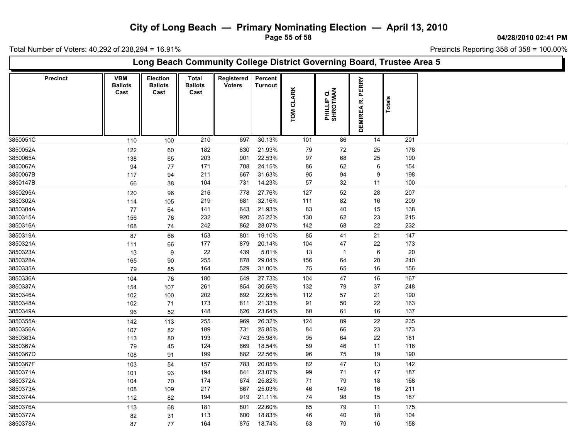**Page 55 of 58**

**04/28/2010 02:41 PM**

Total Number of Voters: 40,292 of 238,294 = 16.91%

| Long Beach Community College District Governing Board, Trustee Area 5 |                                      |                                           |                                        |                             |                           |                     |                        |                  |        |  |  |  |  |
|-----------------------------------------------------------------------|--------------------------------------|-------------------------------------------|----------------------------------------|-----------------------------|---------------------------|---------------------|------------------------|------------------|--------|--|--|--|--|
| <b>Precinct</b>                                                       | <b>VBM</b><br><b>Ballots</b><br>Cast | <b>Election</b><br><b>Ballots</b><br>Cast | <b>Total</b><br><b>Ballots</b><br>Cast | Registered<br><b>Voters</b> | Percent<br><b>Turnout</b> | <b>CLARK</b><br>TOM | PHILLIP Q.<br>SHROTMAN | DEMIREA R. PERRY | Totals |  |  |  |  |
| 3850051C                                                              | 110                                  | 100                                       | 210                                    | 697                         | 30.13%                    | 101                 | 86                     | 14               | 201    |  |  |  |  |
| 3850052A                                                              | 122                                  | 60                                        | 182                                    | 830                         | 21.93%                    | 79                  | 72                     | 25               | 176    |  |  |  |  |
| 3850065A                                                              | 138                                  | 65                                        | 203                                    | 901                         | 22.53%                    | 97                  | 68                     | 25               | 190    |  |  |  |  |
| 3850067A                                                              | 94                                   | 77                                        | 171                                    | 708                         | 24.15%                    | 86                  | 62                     | 6                | 154    |  |  |  |  |
| 3850067B                                                              | 117                                  | 94                                        | 211                                    | 667                         | 31.63%                    | 95                  | 94                     | 9                | 198    |  |  |  |  |
| 3850147B                                                              | 66                                   | $38\,$                                    | 104                                    | 731                         | 14.23%                    | 57                  | 32                     | 11               | 100    |  |  |  |  |
| 3850295A                                                              | 120                                  | 96                                        | 216                                    | 778                         | 27.76%                    | 127                 | 52                     | 28               | 207    |  |  |  |  |
| 3850302A                                                              | 114                                  | 105                                       | 219                                    | 681                         | 32.16%                    | 111                 | 82                     | 16               | 209    |  |  |  |  |
| 3850304A                                                              | 77                                   | 64                                        | 141                                    | 643                         | 21.93%                    | 83                  | 40                     | 15               | 138    |  |  |  |  |
| 3850315A                                                              | 156                                  | 76                                        | 232                                    | 920                         | 25.22%                    | 130                 | 62                     | 23               | 215    |  |  |  |  |
| 3850316A                                                              | 168                                  | 74                                        | 242                                    | 862                         | 28.07%                    | 142                 | 68                     | 22               | 232    |  |  |  |  |
| 3850319A                                                              | 87                                   | 66                                        | 153                                    | 801                         | 19.10%                    | 85                  | 41                     | 21               | 147    |  |  |  |  |
| 3850321A                                                              | 111                                  | 66                                        | 177                                    | 879                         | 20.14%                    | 104                 | 47                     | 22               | 173    |  |  |  |  |
| 3850323A                                                              | 13                                   | $\boldsymbol{9}$                          | 22                                     | 439                         | 5.01%                     | 13                  | $\overline{1}$         | $\,6\,$          | 20     |  |  |  |  |
| 3850328A                                                              | 165                                  | 90                                        | 255                                    | 878                         | 29.04%                    | 156                 | 64                     | 20               | 240    |  |  |  |  |
| 3850335A                                                              | 79                                   | 85                                        | 164                                    | 529                         | 31.00%                    | 75                  | 65                     | 16               | 156    |  |  |  |  |
| 3850336A                                                              | 104                                  | 76                                        | 180                                    | 649                         | 27.73%                    | 104                 | 47                     | 16               | 167    |  |  |  |  |
| 3850337A                                                              | 154                                  | 107                                       | 261                                    | 854                         | 30.56%                    | 132                 | 79                     | 37               | 248    |  |  |  |  |
| 3850346A                                                              | 102                                  | 100                                       | 202                                    | 892                         | 22.65%                    | 112                 | 57                     | 21               | 190    |  |  |  |  |
| 3850348A                                                              | 102                                  | 71                                        | 173                                    | 811                         | 21.33%                    | 91                  | 50                     | 22               | 163    |  |  |  |  |
| 3850349A                                                              | 96                                   | 52                                        | 148                                    | 626                         | 23.64%                    | 60                  | 61                     | $16\,$           | 137    |  |  |  |  |
| 3850355A                                                              | 142                                  | 113                                       | 255                                    | 969                         | 26.32%                    | 124                 | 89                     | 22               | 235    |  |  |  |  |
| 3850356A                                                              | 107                                  | 82                                        | 189                                    | 731                         | 25.85%                    | 84                  | 66                     | 23               | 173    |  |  |  |  |
| 3850363A                                                              | 113                                  | 80                                        | 193                                    | 743                         | 25.98%                    | 95                  | 64                     | 22               | 181    |  |  |  |  |
| 3850367A                                                              | 79                                   | 45                                        | 124                                    | 669                         | 18.54%                    | 59                  | 46                     | 11               | 116    |  |  |  |  |
| 3850367D                                                              | 108                                  | 91                                        | 199                                    | 882                         | 22.56%                    | 96                  | 75                     | 19               | 190    |  |  |  |  |
| 3850367F                                                              | 103                                  | 54                                        | 157                                    | 783                         | 20.05%                    | 82                  | 47                     | 13               | 142    |  |  |  |  |
| 3850371A                                                              | 101                                  | 93                                        | 194                                    | 841                         | 23.07%                    | 99                  | 71                     | 17               | 187    |  |  |  |  |
| 3850372A                                                              | 104                                  | 70                                        | 174                                    | 674                         | 25.82%                    | 71                  | 79                     | 18               | 168    |  |  |  |  |
| 3850373A                                                              | 108                                  | 109                                       | 217                                    | 867                         | 25.03%                    | 46                  | 149                    | 16               | 211    |  |  |  |  |
| 3850374A                                                              | 112                                  | 82                                        | 194                                    | 919                         | 21.11%                    | 74                  | 98                     | 15               | 187    |  |  |  |  |
| 3850376A                                                              | 113                                  | 68                                        | 181                                    | 801                         | 22.60%                    | 85                  | 79                     | 11               | 175    |  |  |  |  |
| 3850377A                                                              | 82                                   | 31                                        | 113                                    | 600                         | 18.83%                    | 46                  | 40                     | 18               | 104    |  |  |  |  |
| 3850378A                                                              | 87                                   | 77                                        | 164                                    | 875                         | 18.74%                    | 63                  | 79                     | 16               | 158    |  |  |  |  |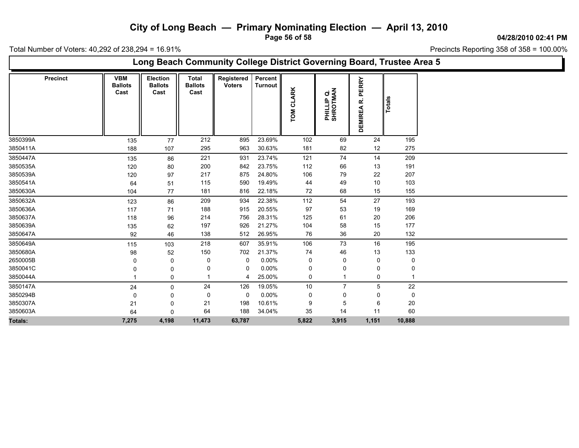**Page 56 of 58**

**04/28/2010 02:41 PM**

Total Number of Voters: 40,292 of 238,294 = 16.91%

| Long Beach Community College District Governing Board, Trustee Area 5 |                                      |                                    |                                        |                             |                           |                            |                        |                                  |        |  |  |  |  |
|-----------------------------------------------------------------------|--------------------------------------|------------------------------------|----------------------------------------|-----------------------------|---------------------------|----------------------------|------------------------|----------------------------------|--------|--|--|--|--|
| <b>Precinct</b>                                                       | <b>VBM</b><br><b>Ballots</b><br>Cast | Election<br><b>Ballots</b><br>Cast | <b>Total</b><br><b>Ballots</b><br>Cast | Registered<br><b>Voters</b> | Percent<br><b>Turnout</b> | <b>CLARK</b><br><b>NOL</b> | PHILLIP Q.<br>SHROTMAN | ERRY<br>ᇟ<br>œ<br><b>DEMIREA</b> | Total  |  |  |  |  |
| 3850399A                                                              | 135                                  | 77                                 | 212                                    | 895                         | 23.69%                    | 102                        | 69                     | 24                               | 195    |  |  |  |  |
| 3850411A                                                              | 188                                  | 107                                | 295                                    | 963                         | 30.63%                    | 181                        | 82                     | 12                               | 275    |  |  |  |  |
| 3850447A                                                              | 135                                  | 86                                 | 221                                    | 931                         | 23.74%                    | 121                        | 74                     | 14                               | 209    |  |  |  |  |
| 3850535A                                                              | 120                                  | 80                                 | 200                                    | 842                         | 23.75%                    | 112                        | 66                     | 13                               | 191    |  |  |  |  |
| 3850539A                                                              | 120                                  | 97                                 | 217                                    | 875                         | 24.80%                    | 106                        | 79                     | 22                               | 207    |  |  |  |  |
| 3850541A                                                              | 64                                   | 51                                 | 115                                    | 590                         | 19.49%                    | 44                         | 49                     | 10                               | 103    |  |  |  |  |
| 3850630A                                                              | 104                                  | 77                                 | 181                                    | 816                         | 22.18%                    | 72                         | 68                     | 15                               | 155    |  |  |  |  |
| 3850632A                                                              | 123                                  | 86                                 | 209                                    | 934                         | 22.38%                    | 112                        | 54                     | 27                               | 193    |  |  |  |  |
| 3850636A                                                              | 117                                  | 71                                 | 188                                    | 915                         | 20.55%                    | 97                         | 53                     | 19                               | 169    |  |  |  |  |
| 3850637A                                                              | 118                                  | 96                                 | 214                                    | 756                         | 28.31%                    | 125                        | 61                     | 20                               | 206    |  |  |  |  |
| 3850639A                                                              | 135                                  | 62                                 | 197                                    | 926                         | 21.27%                    | 104                        | 58                     | 15                               | 177    |  |  |  |  |
| 3850647A                                                              | 92                                   | 46                                 | 138                                    | 512                         | 26.95%                    | 76                         | 36                     | 20                               | 132    |  |  |  |  |
| 3850649A                                                              | 115                                  | 103                                | 218                                    | 607                         | 35.91%                    | 106                        | 73                     | 16                               | 195    |  |  |  |  |
| 3850680A                                                              | 98                                   | 52                                 | 150                                    | 702                         | 21.37%                    | 74                         | 46                     | 13                               | 133    |  |  |  |  |
| 2650005B                                                              | 0                                    | 0                                  | 0                                      | 0                           | 0.00%                     | 0                          | 0                      | 0                                | 0      |  |  |  |  |
| 3850041C                                                              |                                      | 0                                  |                                        | -0                          | 0.00%                     | 0                          |                        |                                  |        |  |  |  |  |
| 3850044A                                                              |                                      | 0                                  |                                        | 4                           | 25.00%                    | 0                          |                        | 0                                |        |  |  |  |  |
| 3850147A                                                              | 24                                   | 0                                  | 24                                     | 126                         | 19.05%                    | 10                         | $\overline{7}$         | 5                                | 22     |  |  |  |  |
| 3850294B                                                              | $\Omega$                             | 0                                  | 0                                      | 0                           | 0.00%                     | 0                          | 0                      | 0                                | 0      |  |  |  |  |
| 3850307A                                                              | 21                                   | 0                                  | 21                                     | 198                         | 10.61%                    | 9                          | 5                      | 6                                | 20     |  |  |  |  |
| 3850603A                                                              | 64                                   | $\Omega$                           | 64                                     | 188                         | 34.04%                    | 35                         | 14                     | 11                               | 60     |  |  |  |  |
| Totals:                                                               | 7,275                                | 4,198                              | 11,473                                 | 63,787                      |                           | 5,822                      | 3,915                  | 1,151                            | 10,888 |  |  |  |  |
|                                                                       |                                      |                                    |                                        |                             |                           |                            |                        |                                  |        |  |  |  |  |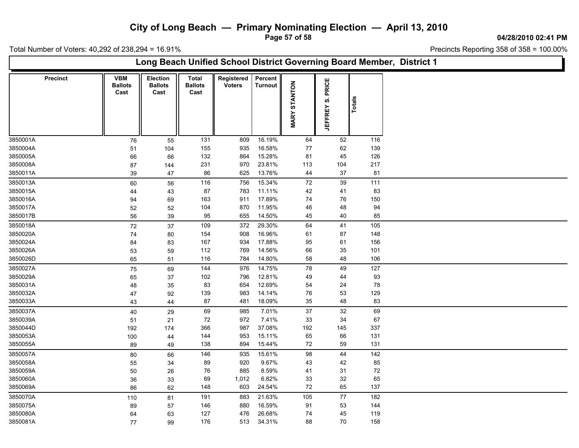**Page 57 of 58**

**04/28/2010 02:41 PM**

Total Number of Voters: 40,292 of 238,294 = 16.91%

 $\Box$ 

| Long Beach Unified School District Governing Board Member, District 1                                                                                                                                                                                                |
|----------------------------------------------------------------------------------------------------------------------------------------------------------------------------------------------------------------------------------------------------------------------|
| <b>VBM</b><br>Election<br>Registered<br>Percent<br><b>Precinct</b><br><b>Total</b><br>PRICE<br><b>MARY STANTON</b><br><b>Ballots</b><br><b>Ballots</b><br><b>Turnout</b><br><b>Ballots</b><br><b>Voters</b><br>Cast<br>Cast<br>Cast<br>Totals<br>ဟ<br><b>JEFFREY</b> |
| 16.19%<br>3850001A<br>131<br>809<br>64<br>52<br>116<br>$76\,$<br>55                                                                                                                                                                                                  |
| 3850004A<br>16.58%<br>77<br>62<br>139<br>155<br>935<br>51<br>104                                                                                                                                                                                                     |
| 3850005A<br>132<br>15.28%<br>81<br>45<br>126<br>864<br>66<br>66                                                                                                                                                                                                      |
| 23.81%<br>113<br>104<br>217<br>3850008A<br>231<br>970<br>87<br>144                                                                                                                                                                                                   |
| 3850011A<br>86<br>625<br>13.76%<br>44<br>37<br>81<br>39<br>47                                                                                                                                                                                                        |
| 15.34%<br>72<br>39<br>111<br>3850013A<br>56<br>116<br>756<br>60                                                                                                                                                                                                      |
| 83<br>3850015A<br>87<br>783<br>11.11%<br>42<br>41<br>44<br>43                                                                                                                                                                                                        |
| 17.89%<br>74<br>76<br>150<br>3850016A<br>163<br>911<br>94<br>69                                                                                                                                                                                                      |
| 11.95%<br>3850017A<br>104<br>870<br>46<br>48<br>94<br>52<br>52                                                                                                                                                                                                       |
| 3850017B<br>655<br>14.50%<br>45<br>40<br>85<br>95<br>56<br>39                                                                                                                                                                                                        |
| 29.30%<br>3850018A<br>$72\,$<br>109<br>372<br>64<br>41<br>105<br>37                                                                                                                                                                                                  |
| 16.96%<br>3850020A<br>148<br>154<br>908<br>61<br>87<br>74<br>80                                                                                                                                                                                                      |
| 17.88%<br>3850024A<br>167<br>934<br>95<br>61<br>156<br>84<br>83                                                                                                                                                                                                      |
| 14.56%<br>66<br>35<br>101<br>3850026A<br>112<br>769<br>53<br>59                                                                                                                                                                                                      |
| 14.80%<br>48<br>3850026D<br>116<br>784<br>58<br>106<br>65<br>51                                                                                                                                                                                                      |
| 144<br>14.75%<br>78<br>49<br>127<br>3850027A<br>976<br>75<br>69                                                                                                                                                                                                      |
| 3850029A<br>12.81%<br>93<br>102<br>796<br>49<br>44<br>65<br>37                                                                                                                                                                                                       |
| 3850031A<br>83<br>654<br>12.69%<br>54<br>24<br>78<br>48<br>35                                                                                                                                                                                                        |
| 14.14%<br>76<br>53<br>3850032A<br>139<br>983<br>129<br>92<br>47                                                                                                                                                                                                      |
| 18.09%<br>3850033A<br>87<br>481<br>35<br>48<br>83<br>43<br>44                                                                                                                                                                                                        |
| 3850037A<br>69<br>7.01%<br>37<br>69<br>985<br>32<br>40<br>29                                                                                                                                                                                                         |
| 7.41%<br>$72\,$<br>972<br>33<br>34<br>67<br>3850039A<br>21<br>51                                                                                                                                                                                                     |
| 37.08%<br>3850044D<br>366<br>987<br>192<br>145<br>337<br>192<br>174                                                                                                                                                                                                  |
| 15.11%<br>3850053A<br>144<br>953<br>65<br>66<br>131<br>100<br>44                                                                                                                                                                                                     |
| 15.44%<br>72<br>59<br>131<br>3850055A<br>138<br>894<br>89<br>49                                                                                                                                                                                                      |
| 146<br>15.61%<br>98<br>44<br>142<br>3850057A<br>935<br>80<br>66                                                                                                                                                                                                      |
| 3850058A<br>920<br>9.67%<br>42<br>85<br>89<br>43<br>55<br>34                                                                                                                                                                                                         |
| 3850059A<br>76<br>885<br>8.59%<br>41<br>31<br>72<br>50<br>26                                                                                                                                                                                                         |
| 32<br>3850060A<br>69<br>1,012<br>6.82%<br>$33\,$<br>65<br>36<br>33                                                                                                                                                                                                   |
| 24.54%<br>72<br>65<br>3850069A<br>148<br>603<br>137<br>86<br>62                                                                                                                                                                                                      |
| 21.63%<br>77<br>3850070A<br>191<br>105<br>182<br>81<br>883<br>110                                                                                                                                                                                                    |
| 16.59%<br>3850075A<br>880<br>91<br>53<br>144<br>89<br>146<br>57                                                                                                                                                                                                      |
| 127<br>476<br>26.68%<br>74<br>45<br>119<br>3850080A<br>63<br>64                                                                                                                                                                                                      |
| 70<br>3850081A<br>176<br>513<br>34.31%<br>88<br>158<br>77<br>99                                                                                                                                                                                                      |